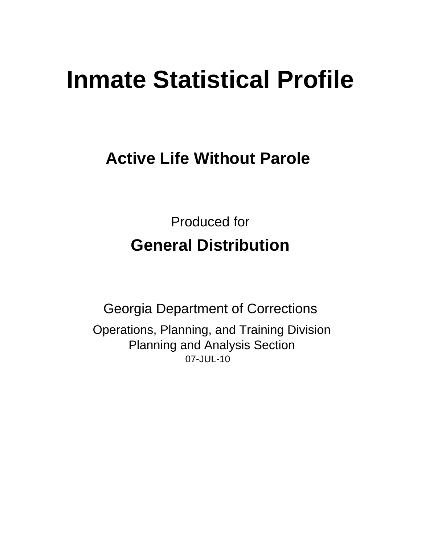# **Inmate Statistical Profile**

## **Active Life Without Parole**

**Produced for General Distribution** 

**Georgia Department of Corrections** Operations, Planning, and Training Division **Planning and Analysis Section** 07-JUL-10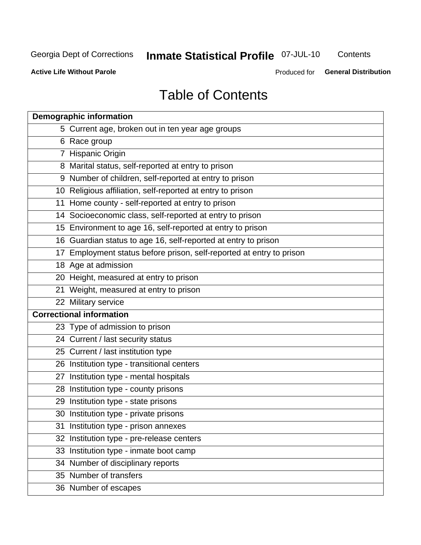## **Inmate Statistical Profile 07-JUL-10**

Contents

**Active Life Without Parole** 

Produced for General Distribution

## **Table of Contents**

| <b>Demographic information</b> |                                                                      |  |  |  |  |  |
|--------------------------------|----------------------------------------------------------------------|--|--|--|--|--|
|                                | 5 Current age, broken out in ten year age groups                     |  |  |  |  |  |
|                                | 6 Race group                                                         |  |  |  |  |  |
|                                | 7 Hispanic Origin                                                    |  |  |  |  |  |
|                                | 8 Marital status, self-reported at entry to prison                   |  |  |  |  |  |
|                                | 9 Number of children, self-reported at entry to prison               |  |  |  |  |  |
|                                | 10 Religious affiliation, self-reported at entry to prison           |  |  |  |  |  |
|                                | 11 Home county - self-reported at entry to prison                    |  |  |  |  |  |
|                                | 14 Socioeconomic class, self-reported at entry to prison             |  |  |  |  |  |
|                                | 15 Environment to age 16, self-reported at entry to prison           |  |  |  |  |  |
|                                | 16 Guardian status to age 16, self-reported at entry to prison       |  |  |  |  |  |
|                                | 17 Employment status before prison, self-reported at entry to prison |  |  |  |  |  |
|                                | 18 Age at admission                                                  |  |  |  |  |  |
|                                | 20 Height, measured at entry to prison                               |  |  |  |  |  |
|                                | 21 Weight, measured at entry to prison                               |  |  |  |  |  |
|                                | 22 Military service                                                  |  |  |  |  |  |
|                                | <b>Correctional information</b>                                      |  |  |  |  |  |
|                                | 23 Type of admission to prison                                       |  |  |  |  |  |
|                                | 24 Current / last security status                                    |  |  |  |  |  |
|                                | 25 Current / last institution type                                   |  |  |  |  |  |
|                                | 26 Institution type - transitional centers                           |  |  |  |  |  |
|                                | 27 Institution type - mental hospitals                               |  |  |  |  |  |
|                                | 28 Institution type - county prisons                                 |  |  |  |  |  |
|                                | 29 Institution type - state prisons                                  |  |  |  |  |  |
|                                | 30 Institution type - private prisons                                |  |  |  |  |  |
|                                | 31 Institution type - prison annexes                                 |  |  |  |  |  |
|                                | 32 Institution type - pre-release centers                            |  |  |  |  |  |
|                                | 33 Institution type - inmate boot camp                               |  |  |  |  |  |
|                                | 34 Number of disciplinary reports                                    |  |  |  |  |  |
|                                | 35 Number of transfers                                               |  |  |  |  |  |
|                                | 36 Number of escapes                                                 |  |  |  |  |  |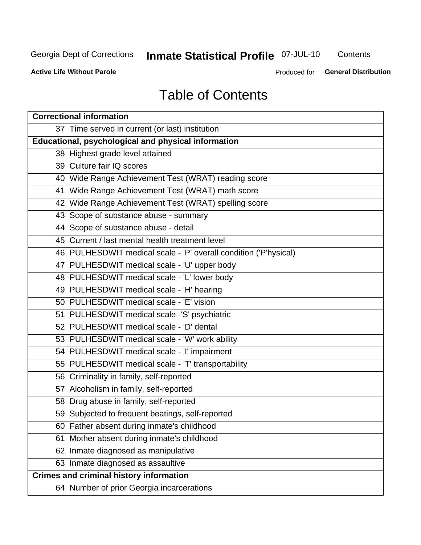## **Inmate Statistical Profile 07-JUL-10**

Contents

**Active Life Without Parole** 

Produced for **General Distribution** 

## **Table of Contents**

| <b>Correctional information</b>                                  |  |  |  |  |  |  |  |
|------------------------------------------------------------------|--|--|--|--|--|--|--|
| 37 Time served in current (or last) institution                  |  |  |  |  |  |  |  |
| Educational, psychological and physical information              |  |  |  |  |  |  |  |
| 38 Highest grade level attained                                  |  |  |  |  |  |  |  |
| 39 Culture fair IQ scores                                        |  |  |  |  |  |  |  |
| 40 Wide Range Achievement Test (WRAT) reading score              |  |  |  |  |  |  |  |
| 41 Wide Range Achievement Test (WRAT) math score                 |  |  |  |  |  |  |  |
| 42 Wide Range Achievement Test (WRAT) spelling score             |  |  |  |  |  |  |  |
| 43 Scope of substance abuse - summary                            |  |  |  |  |  |  |  |
| 44 Scope of substance abuse - detail                             |  |  |  |  |  |  |  |
| 45 Current / last mental health treatment level                  |  |  |  |  |  |  |  |
| 46 PULHESDWIT medical scale - 'P' overall condition ('P'hysical) |  |  |  |  |  |  |  |
| 47 PULHESDWIT medical scale - 'U' upper body                     |  |  |  |  |  |  |  |
| 48 PULHESDWIT medical scale - 'L' lower body                     |  |  |  |  |  |  |  |
| 49 PULHESDWIT medical scale - 'H' hearing                        |  |  |  |  |  |  |  |
| 50 PULHESDWIT medical scale - 'E' vision                         |  |  |  |  |  |  |  |
| 51 PULHESDWIT medical scale -'S' psychiatric                     |  |  |  |  |  |  |  |
| 52 PULHESDWIT medical scale - 'D' dental                         |  |  |  |  |  |  |  |
| 53 PULHESDWIT medical scale - 'W' work ability                   |  |  |  |  |  |  |  |
| 54 PULHESDWIT medical scale - 'I' impairment                     |  |  |  |  |  |  |  |
| 55 PULHESDWIT medical scale - 'T' transportability               |  |  |  |  |  |  |  |
| 56 Criminality in family, self-reported                          |  |  |  |  |  |  |  |
| 57 Alcoholism in family, self-reported                           |  |  |  |  |  |  |  |
| 58 Drug abuse in family, self-reported                           |  |  |  |  |  |  |  |
| 59 Subjected to frequent beatings, self-reported                 |  |  |  |  |  |  |  |
| 60 Father absent during inmate's childhood                       |  |  |  |  |  |  |  |
| Mother absent during inmate's childhood<br>61                    |  |  |  |  |  |  |  |
| 62 Inmate diagnosed as manipulative                              |  |  |  |  |  |  |  |
| 63 Inmate diagnosed as assaultive                                |  |  |  |  |  |  |  |
| <b>Crimes and criminal history information</b>                   |  |  |  |  |  |  |  |
| 64 Number of prior Georgia incarcerations                        |  |  |  |  |  |  |  |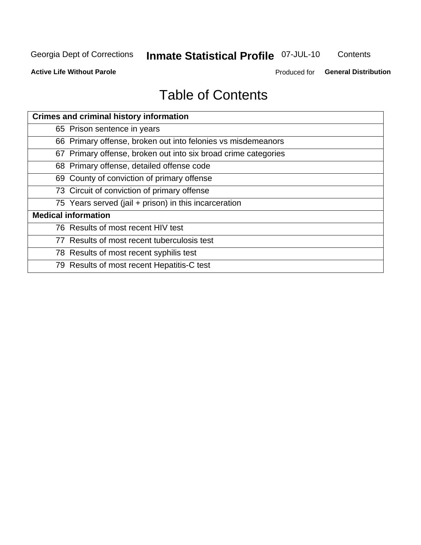## **Inmate Statistical Profile 07-JUL-10**

Contents

**Active Life Without Parole** 

Produced for General Distribution

## **Table of Contents**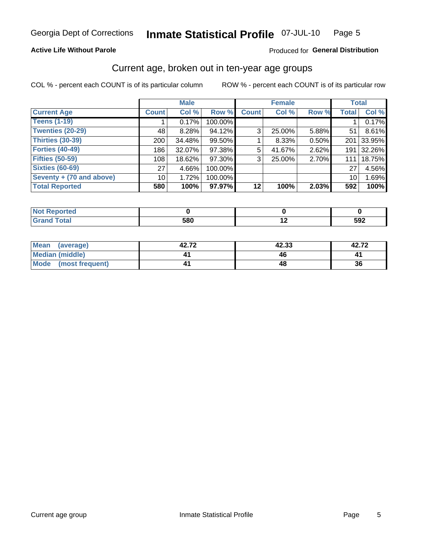#### Inmate Statistical Profile 07-JUL-10 Page 5

#### **Active Life Without Parole**

#### Produced for General Distribution

## Current age, broken out in ten-year age groups

COL % - percent each COUNT is of its particular column

|                          |              | <b>Male</b> |         |                | <b>Female</b> |       | <b>Total</b>    |        |
|--------------------------|--------------|-------------|---------|----------------|---------------|-------|-----------------|--------|
| <b>Current Age</b>       | <b>Count</b> | Col %       | Row %   | <b>Count</b>   | Col %         | Row % | <b>Total</b>    | Col %  |
| <b>Teens (1-19)</b>      |              | 0.17%       | 100.00% |                |               |       |                 | 0.17%  |
| <b>Twenties (20-29)</b>  | 48           | 8.28%       | 94.12%  | 3 <sub>1</sub> | 25.00%        | 5.88% | 51              | 8.61%  |
| Thirties (30-39)         | 200          | 34.48%      | 99.50%  |                | 8.33%         | 0.50% | 201             | 33.95% |
| <b>Forties (40-49)</b>   | 186          | 32.07%      | 97.38%  | 5              | 41.67%        | 2.62% | 191             | 32.26% |
| <b>Fifties (50-59)</b>   | 108          | 18.62%      | 97.30%  | 3              | 25.00%        | 2.70% | 111             | 18.75% |
| <b>Sixties (60-69)</b>   | 27           | 4.66%       | 100.00% |                |               |       | 27              | 4.56%  |
| Seventy + (70 and above) | 10           | 1.72%       | 100.00% |                |               |       | 10 <sup>1</sup> | 1.69%  |
| <b>Total Reported</b>    | 580          | 100%        | 97.97%  | 12             | 100%          | 2.03% | 592             | 100%   |

| ______ | <b>EON</b><br>ว๐เ | $\overline{\phantom{0}}$ | $\mathbf{a}$<br>งฮ∠ |
|--------|-------------------|--------------------------|---------------------|

| Mean<br>(average)       | 42.72 | 42.33 | 42.72 |
|-------------------------|-------|-------|-------|
| <b>Median (middle)</b>  |       |       |       |
| Mode<br>(most frequent) |       |       | 36    |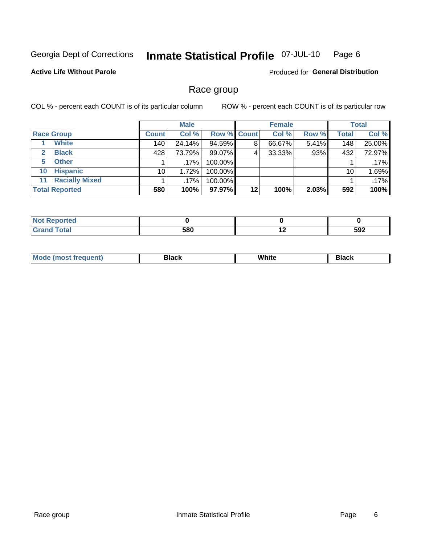#### **Inmate Statistical Profile 07-JUL-10** Page 6

#### **Active Life Without Parole**

**Produced for General Distribution** 

## Race group

COL % - percent each COUNT is of its particular column

|                             |              | <b>Male</b> |             |    | <b>Female</b> |       |              | <b>Total</b> |
|-----------------------------|--------------|-------------|-------------|----|---------------|-------|--------------|--------------|
| <b>Race Group</b>           | <b>Count</b> | Col %       | Row % Count |    | Col %         | Row % | <b>Total</b> | Col %        |
| <b>White</b>                | 140          | 24.14%      | 94.59%      | 8  | 66.67%        | 5.41% | 148          | 25.00%       |
| <b>Black</b>                | 428          | 73.79%      | 99.07%      | 4  | 33.33%        | .93%  | 432          | 72.97%       |
| <b>Other</b><br>5.          |              | $.17\%$     | 100.00%     |    |               |       |              | .17%         |
| <b>Hispanic</b><br>10       | 10           | 1.72%       | 100.00%     |    |               |       | 10           | 1.69%        |
| <b>Racially Mixed</b><br>11 |              | $.17\%$     | 100.00%     |    |               |       |              | .17%         |
| <b>Total Reported</b>       | 580          | 100%        | 97.97%      | 12 | 100%          | 2.03% | 592          | 100%         |

| <b><i>Charles Committee Committee Committee Committee Committee Committee Committee Committee Committee Committee Committee Committee Committee Committee Committee Committee Committee Commi</i></b><br>rero |                     |                          |     |
|---------------------------------------------------------------------------------------------------------------------------------------------------------------------------------------------------------------|---------------------|--------------------------|-----|
| <b>Fotal</b><br>_____                                                                                                                                                                                         | con<br>วชบ<br>- - - | $\overline{\phantom{a}}$ | 592 |

| M | . | <b>PIUVIV</b> |
|---|---|---------------|
|   |   |               |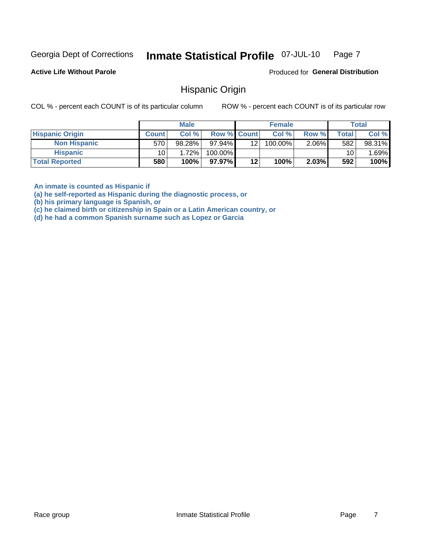#### Inmate Statistical Profile 07-JUL-10 Page 7

**Active Life Without Parole** 

Produced for General Distribution

### **Hispanic Origin**

COL % - percent each COUNT is of its particular column

ROW % - percent each COUNT is of its particular row

|                        |              | <b>Male</b> |                    |     | <b>Female</b> |          |       | <b>Total</b> |
|------------------------|--------------|-------------|--------------------|-----|---------------|----------|-------|--------------|
| <b>Hispanic Origin</b> | <b>Count</b> | Col %       | <b>Row % Count</b> |     | Col %         | Row %    | Total | Col %        |
| <b>Non Hispanic</b>    | 570          | 98.28%      | 97.94%             | 121 | 100.00%       | $2.06\%$ | 582   | 98.31%       |
| <b>Hispanic</b>        | 10           | 1.72%       | 100.00%            |     |               |          | 10    | .69%         |
| <b>Total Reported</b>  | 580          | 100%        | 97.97%             | 12  | 100%          | 2.03%    | 592   | 100%         |

An inmate is counted as Hispanic if

(a) he self-reported as Hispanic during the diagnostic process, or

(b) his primary language is Spanish, or

(c) he claimed birth or citizenship in Spain or a Latin American country, or

(d) he had a common Spanish surname such as Lopez or Garcia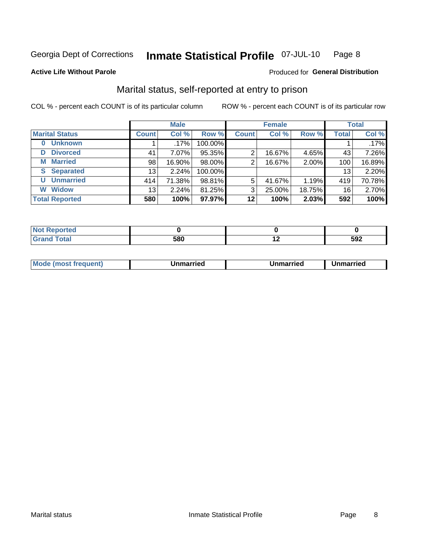#### Inmate Statistical Profile 07-JUL-10 Page 8

#### **Active Life Without Parole**

#### Produced for General Distribution

## Marital status, self-reported at entry to prison

COL % - percent each COUNT is of its particular column

|                            | <b>Male</b>     |          |         | <b>Female</b> |        |        | <b>Total</b> |        |
|----------------------------|-----------------|----------|---------|---------------|--------|--------|--------------|--------|
| <b>Marital Status</b>      | <b>Count</b>    | Col %    | Row %   | <b>Count</b>  | Col %  | Row %  | <b>Total</b> | Col %  |
| <b>Unknown</b><br>$\bf{0}$ |                 | .17%     | 100.00% |               |        |        |              | .17%   |
| <b>Divorced</b><br>D       | 41              | $7.07\%$ | 95.35%  | 2             | 16.67% | 4.65%  | 43           | 7.26%  |
| <b>Married</b><br>М        | 98              | 16.90%   | 98.00%  | 2             | 16.67% | 2.00%  | 100          | 16.89% |
| <b>Separated</b><br>S.     | 13 <sub>1</sub> | 2.24%    | 100.00% |               |        |        | 13           | 2.20%  |
| <b>Unmarried</b><br>U      | 414             | 71.38%   | 98.81%  | 5             | 41.67% | 1.19%  | 419          | 70.78% |
| <b>Widow</b><br>W          | 13              | 2.24%    | 81.25%  | 3             | 25.00% | 18.75% | 16           | 2.70%  |
| <b>Total Reported</b>      | 580             | 100%     | 97.97%  | 12            | 100%   | 2.03%  | 592          | 100%   |

| <b>Not Reported</b><br>. <b>.</b> |     |     |     |
|-----------------------------------|-----|-----|-----|
| <b>Total</b>                      | 580 | . . | 592 |

|--|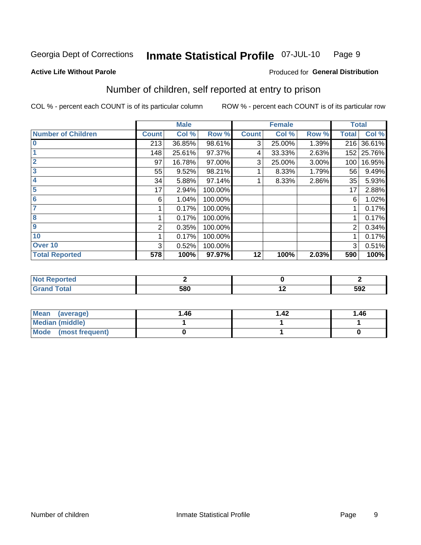#### Inmate Statistical Profile 07-JUL-10 Page 9

**Active Life Without Parole** 

#### **Produced for General Distribution**

## Number of children, self reported at entry to prison

COL % - percent each COUNT is of its particular column

|                           |              | <b>Male</b> |         |              | <b>Female</b> |       | <b>Total</b> |            |
|---------------------------|--------------|-------------|---------|--------------|---------------|-------|--------------|------------|
| <b>Number of Children</b> | <b>Count</b> | Col %       | Row %   | <b>Count</b> | Col %         | Row % | <b>Total</b> | Col %      |
| $\bf{0}$                  | 213          | 36.85%      | 98.61%  | 3            | 25.00%        | 1.39% | 216          | 36.61%     |
|                           | 148          | 25.61%      | 97.37%  | 4            | 33.33%        | 2.63% |              | 152 25.76% |
| $\overline{2}$            | 97           | 16.78%      | 97.00%  | 3            | 25.00%        | 3.00% | 100          | 16.95%     |
| 3                         | 55           | 9.52%       | 98.21%  |              | 8.33%         | 1.79% | 56           | 9.49%      |
| 4                         | 34           | 5.88%       | 97.14%  |              | 8.33%         | 2.86% | 35           | 5.93%      |
| 5                         | 17           | 2.94%       | 100.00% |              |               |       | 17           | 2.88%      |
| 6                         | 6            | 1.04%       | 100.00% |              |               |       | 6            | 1.02%      |
|                           |              | 0.17%       | 100.00% |              |               |       |              | 0.17%      |
| 8                         |              | 0.17%       | 100.00% |              |               |       |              | 0.17%      |
| $\boldsymbol{9}$          | 2            | 0.35%       | 100.00% |              |               |       | 2            | 0.34%      |
| 10                        |              | 0.17%       | 100.00% |              |               |       |              | 0.17%      |
| Over 10                   | 3            | 0.52%       | 100.00% |              |               |       | 3            | 0.51%      |
| <b>Total Reported</b>     | 578          | 100%        | 97.97%  | 12           | 100%          | 2.03% | 590          | 100%       |

| neo    |            |     |
|--------|------------|-----|
| $\sim$ | con<br>υου | 592 |

| Mean<br>(average)       | 1.46 | .42 | 1.46 |
|-------------------------|------|-----|------|
| Median (middle)         |      |     |      |
| Mode<br>(most frequent) |      |     |      |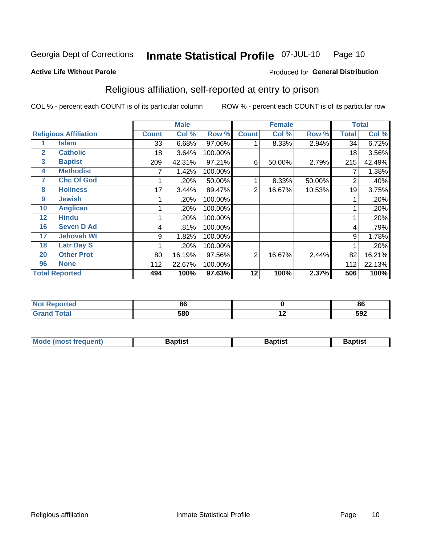#### Inmate Statistical Profile 07-JUL-10 Page 10

Produced for General Distribution

#### **Active Life Without Parole**

## Religious affiliation, self-reported at entry to prison

COL % - percent each COUNT is of its particular column

|              |                              |              | <b>Male</b> |         |                | <b>Female</b> |        |       | <b>Total</b> |
|--------------|------------------------------|--------------|-------------|---------|----------------|---------------|--------|-------|--------------|
|              | <b>Religious Affiliation</b> | <b>Count</b> | Col %       | Row %   | <b>Count</b>   | Col %         | Row %  | Total | Col %        |
|              | <b>Islam</b>                 | 33           | 6.68%       | 97.06%  |                | 8.33%         | 2.94%  | 34    | 6.72%        |
| $\mathbf{2}$ | <b>Catholic</b>              | 18           | 3.64%       | 100.00% |                |               |        | 18    | 3.56%        |
| 3            | <b>Baptist</b>               | 209          | 42.31%      | 97.21%  | 6              | 50.00%        | 2.79%  | 215   | 42.49%       |
| 4            | <b>Methodist</b>             |              | 1.42%       | 100.00% |                |               |        |       | 1.38%        |
| 7            | <b>Chc Of God</b>            |              | .20%        | 50.00%  |                | 8.33%         | 50.00% | 2     | .40%         |
| 8            | <b>Holiness</b>              | 17           | 3.44%       | 89.47%  | 2              | 16.67%        | 10.53% | 19    | 3.75%        |
| 9            | <b>Jewish</b>                |              | .20%        | 100.00% |                |               |        |       | .20%         |
| 10           | <b>Anglican</b>              |              | .20%        | 100.00% |                |               |        |       | .20%         |
| 12           | <b>Hindu</b>                 |              | .20%        | 100.00% |                |               |        |       | .20%         |
| 16           | <b>Seven D Ad</b>            | 4            | .81%        | 100.00% |                |               |        | 4     | .79%         |
| 17           | <b>Jehovah Wt</b>            | 9            | 1.82%       | 100.00% |                |               |        | 9     | 1.78%        |
| 18           | <b>Latr Day S</b>            |              | .20%        | 100.00% |                |               |        |       | .20%         |
| 20           | <b>Other Prot</b>            | 80           | 16.19%      | 97.56%  | $\overline{2}$ | 16.67%        | 2.44%  | 82    | 16.21%       |
| 96           | <b>None</b>                  | 112          | 22.67%      | 100.00% |                |               |        | 112   | 22.13%       |
|              | <b>Total Reported</b>        | 494          | 100%        | 97.63%  | 12             | 100%          | 2.37%  | 506   | 100%         |

| пето        |     |             | 86  |
|-------------|-----|-------------|-----|
| $C = 4 - 7$ | 580 | <u>. . </u> | 592 |

| Mode (most frequent) | Baptist | <b>Baptist</b> | aptıst |
|----------------------|---------|----------------|--------|
|                      |         |                |        |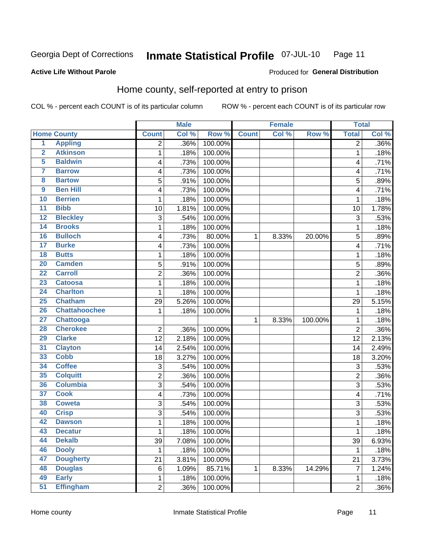#### **Inmate Statistical Profile 07-JUL-10** Page 11

Produced for General Distribution

#### **Active Life Without Parole**

## Home county, self-reported at entry to prison

COL % - percent each COUNT is of its particular column

|                         |                      |                | <b>Male</b> |         |              | <b>Female</b> |         | <b>Total</b>   |         |
|-------------------------|----------------------|----------------|-------------|---------|--------------|---------------|---------|----------------|---------|
|                         | <b>Home County</b>   | <b>Count</b>   | Col %       | Row %   | <b>Count</b> | Col %         | Row %   | <b>Total</b>   | Col %   |
| $\overline{1}$          | <b>Appling</b>       | 2              | .36%        | 100.00% |              |               |         | 2              | $.36\%$ |
| $\overline{2}$          | <b>Atkinson</b>      | $\mathbf{1}$   | .18%        | 100.00% |              |               |         | 1              | .18%    |
| 5                       | <b>Baldwin</b>       | 4              | .73%        | 100.00% |              |               |         | 4              | .71%    |
| 7                       | <b>Barrow</b>        | 4              | .73%        | 100.00% |              |               |         | 4              | .71%    |
| $\overline{\mathbf{8}}$ | <b>Bartow</b>        | 5              | .91%        | 100.00% |              |               |         | 5              | .89%    |
| $\boldsymbol{9}$        | <b>Ben Hill</b>      | 4              | .73%        | 100.00% |              |               |         | 4              | .71%    |
| 10                      | <b>Berrien</b>       | 1              | .18%        | 100.00% |              |               |         | 1              | .18%    |
| $\overline{11}$         | <b>Bibb</b>          | 10             | 1.81%       | 100.00% |              |               |         | 10             | 1.78%   |
| 12                      | <b>Bleckley</b>      | 3              | .54%        | 100.00% |              |               |         | 3              | .53%    |
| 14                      | <b>Brooks</b>        | 1              | .18%        | 100.00% |              |               |         | 1              | .18%    |
| 16                      | <b>Bulloch</b>       | 4              | .73%        | 80.00%  | 1            | 8.33%         | 20.00%  | 5              | .89%    |
| $\overline{17}$         | <b>Burke</b>         | 4              | .73%        | 100.00% |              |               |         | 4              | .71%    |
| 18                      | <b>Butts</b>         | $\mathbf 1$    | .18%        | 100.00% |              |               |         | 1              | .18%    |
| 20                      | <b>Camden</b>        | 5              | .91%        | 100.00% |              |               |         | 5              | .89%    |
| $\overline{22}$         | <b>Carroll</b>       | $\overline{2}$ | .36%        | 100.00% |              |               |         | $\overline{2}$ | .36%    |
| 23                      | <b>Catoosa</b>       | 1              | .18%        | 100.00% |              |               |         | 1              | .18%    |
| 24                      | <b>Charlton</b>      | $\mathbf{1}$   | .18%        | 100.00% |              |               |         | 1              | .18%    |
| 25                      | <b>Chatham</b>       | 29             | 5.26%       | 100.00% |              |               |         | 29             | 5.15%   |
| 26                      | <b>Chattahoochee</b> | 1              | .18%        | 100.00% |              |               |         | 1              | .18%    |
| 27                      | <b>Chattooga</b>     |                |             |         | 1            | 8.33%         | 100.00% | 1              | .18%    |
| 28                      | <b>Cherokee</b>      | $\overline{2}$ | .36%        | 100.00% |              |               |         | $\overline{2}$ | $.36\%$ |
| 29                      | <b>Clarke</b>        | 12             | 2.18%       | 100.00% |              |               |         | 12             | 2.13%   |
| 31                      | <b>Clayton</b>       | 14             | 2.54%       | 100.00% |              |               |         | 14             | 2.49%   |
| 33                      | <b>Cobb</b>          | 18             | 3.27%       | 100.00% |              |               |         | 18             | 3.20%   |
| 34                      | <b>Coffee</b>        | 3              | .54%        | 100.00% |              |               |         | 3              | .53%    |
| 35                      | <b>Colquitt</b>      | $\overline{2}$ | .36%        | 100.00% |              |               |         | $\overline{2}$ | .36%    |
| 36                      | <b>Columbia</b>      | $\overline{3}$ | .54%        | 100.00% |              |               |         | 3              | .53%    |
| 37                      | <b>Cook</b>          | 4              | .73%        | 100.00% |              |               |         | 4              | .71%    |
| 38                      | <b>Coweta</b>        | 3              | .54%        | 100.00% |              |               |         | 3              | .53%    |
| 40                      | <b>Crisp</b>         | 3              | .54%        | 100.00% |              |               |         | 3              | .53%    |
| 42                      | <b>Dawson</b>        | $\mathbf 1$    | .18%        | 100.00% |              |               |         | 1              | .18%    |
| 43                      | <b>Decatur</b>       | 1              | .18%        | 100.00% |              |               |         | 1              | .18%    |
| 44                      | <b>Dekalb</b>        | 39             | 7.08%       | 100.00% |              |               |         | 39             | 6.93%   |
| 46                      | <b>Dooly</b>         | 1              | .18%        | 100.00% |              |               |         | 1              | .18%    |
| 47                      | <b>Dougherty</b>     | 21             | 3.81%       | 100.00% |              |               |         | 21             | 3.73%   |
| 48                      | <b>Douglas</b>       | 6              | 1.09%       | 85.71%  | 1            | 8.33%         | 14.29%  | 7              | 1.24%   |
| 49                      | <b>Early</b>         | 1              | .18%        | 100.00% |              |               |         | 1              | .18%    |
| $\overline{51}$         | <b>Effingham</b>     | $\overline{2}$ | .36%        | 100.00% |              |               |         | $\overline{c}$ | .36%    |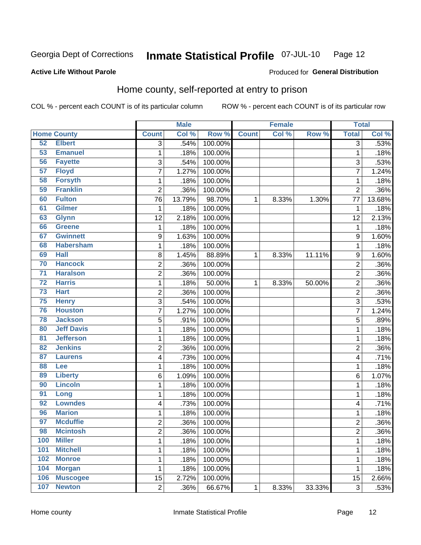#### **Inmate Statistical Profile 07-JUL-10** Page 12

#### **Active Life Without Parole**

#### Produced for General Distribution

## Home county, self-reported at entry to prison

COL % - percent each COUNT is of its particular column

|                 |                    |                  | <b>Male</b> |         |              | <b>Female</b> |        | <b>Total</b>   |         |
|-----------------|--------------------|------------------|-------------|---------|--------------|---------------|--------|----------------|---------|
|                 | <b>Home County</b> | <b>Count</b>     | Col %       | Row %   | <b>Count</b> | Col %         | Row %  | <b>Total</b>   | Col %   |
| 52              | <b>Elbert</b>      | $\overline{3}$   | .54%        | 100.00% |              |               |        | 3              | .53%    |
| 53              | <b>Emanuel</b>     | $\mathbf 1$      | .18%        | 100.00% |              |               |        | 1              | .18%    |
| 56              | <b>Fayette</b>     | 3                | .54%        | 100.00% |              |               |        | 3              | .53%    |
| 57              | <b>Floyd</b>       | 7                | 1.27%       | 100.00% |              |               |        | 7              | 1.24%   |
| 58              | <b>Forsyth</b>     | $\mathbf 1$      | .18%        | 100.00% |              |               |        | 1              | .18%    |
| 59              | <b>Franklin</b>    | $\overline{2}$   | .36%        | 100.00% |              |               |        | $\overline{2}$ | .36%    |
| 60              | <b>Fulton</b>      | 76               | 13.79%      | 98.70%  | 1            | 8.33%         | 1.30%  | 77             | 13.68%  |
| 61              | <b>Gilmer</b>      | 1                | .18%        | 100.00% |              |               |        | 1              | .18%    |
| 63              | <b>Glynn</b>       | 12               | 2.18%       | 100.00% |              |               |        | 12             | 2.13%   |
| 66              | <b>Greene</b>      | $\mathbf 1$      | .18%        | 100.00% |              |               |        | 1              | .18%    |
| 67              | <b>Gwinnett</b>    | $\boldsymbol{9}$ | 1.63%       | 100.00% |              |               |        | 9              | 1.60%   |
| 68              | <b>Habersham</b>   | $\mathbf 1$      | .18%        | 100.00% |              |               |        | 1              | .18%    |
| 69              | <b>Hall</b>        | 8                | 1.45%       | 88.89%  | 1            | 8.33%         | 11.11% | 9              | 1.60%   |
| 70              | <b>Hancock</b>     | $\overline{c}$   | .36%        | 100.00% |              |               |        | $\overline{c}$ | .36%    |
| $\overline{71}$ | <b>Haralson</b>    | $\overline{c}$   | .36%        | 100.00% |              |               |        | $\overline{2}$ | .36%    |
| $\overline{72}$ | <b>Harris</b>      | $\mathbf 1$      | .18%        | 50.00%  | 1            | 8.33%         | 50.00% | $\overline{2}$ | .36%    |
| $\overline{73}$ | <b>Hart</b>        | $\overline{2}$   | .36%        | 100.00% |              |               |        | $\overline{2}$ | .36%    |
| 75              | <b>Henry</b>       | 3                | .54%        | 100.00% |              |               |        | 3              | .53%    |
| 76              | <b>Houston</b>     | $\overline{7}$   | 1.27%       | 100.00% |              |               |        | 7              | 1.24%   |
| 78              | <b>Jackson</b>     | 5                | .91%        | 100.00% |              |               |        | 5              | .89%    |
| 80              | <b>Jeff Davis</b>  | $\mathbf 1$      | .18%        | 100.00% |              |               |        | 1              | .18%    |
| 81              | <b>Jefferson</b>   | $\mathbf 1$      | .18%        | 100.00% |              |               |        | 1              | .18%    |
| 82              | <b>Jenkins</b>     | $\overline{c}$   | .36%        | 100.00% |              |               |        | $\overline{c}$ | .36%    |
| 87              | <b>Laurens</b>     | 4                | .73%        | 100.00% |              |               |        | 4              | .71%    |
| 88              | Lee                | $\mathbf 1$      | .18%        | 100.00% |              |               |        | 1              | .18%    |
| 89              | <b>Liberty</b>     | 6                | 1.09%       | 100.00% |              |               |        | 6              | 1.07%   |
| 90              | <b>Lincoln</b>     | $\mathbf 1$      | .18%        | 100.00% |              |               |        | 1              | .18%    |
| 91              | Long               | $\mathbf{1}$     | .18%        | 100.00% |              |               |        | 1              | .18%    |
| 92              | <b>Lowndes</b>     | 4                | .73%        | 100.00% |              |               |        | 4              | .71%    |
| 96              | <b>Marion</b>      | $\mathbf 1$      | .18%        | 100.00% |              |               |        | 1              | .18%    |
| 97              | <b>Mcduffie</b>    | $\overline{2}$   | .36%        | 100.00% |              |               |        | $\overline{c}$ | $.36\%$ |
| 98              | <b>Mcintosh</b>    | 2                | .36%        | 100.00% |              |               |        | $\overline{c}$ | $.36\%$ |
| 100             | <b>Miller</b>      | $\mathbf{1}$     | .18%        | 100.00% |              |               |        | 1              | .18%    |
| 101             | <b>Mitchell</b>    | $\mathbf 1$      | .18%        | 100.00% |              |               |        | 1              | .18%    |
| 102             | <b>Monroe</b>      | $\mathbf 1$      | .18%        | 100.00% |              |               |        | 1              | .18%    |
| 104             | <b>Morgan</b>      | $\mathbf{1}$     | .18%        | 100.00% |              |               |        | 1              | .18%    |
| 106             | <b>Muscogee</b>    | 15               | 2.72%       | 100.00% |              |               |        | 15             | 2.66%   |
| 107             | <b>Newton</b>      | $\overline{2}$   | .36%        | 66.67%  | $\mathbf 1$  | 8.33%         | 33.33% | $\overline{3}$ | .53%    |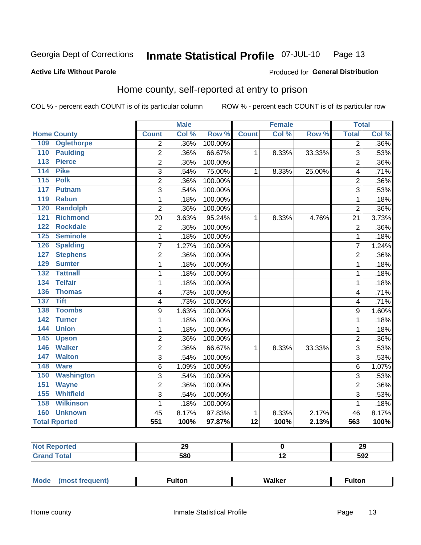#### **Inmate Statistical Profile 07-JUL-10** Page 13

#### **Active Life Without Parole**

## Produced for General Distribution

## Home county, self-reported at entry to prison

COL % - percent each COUNT is of its particular column

|                    |                      | <b>Male</b>    |       | <b>Female</b> |                 |       | <b>Total</b> |                |       |
|--------------------|----------------------|----------------|-------|---------------|-----------------|-------|--------------|----------------|-------|
| <b>Home County</b> |                      | <b>Count</b>   | Col % | Row %         | <b>Count</b>    | Col % | Row %        | <b>Total</b>   | Col % |
| 109                | <b>Oglethorpe</b>    | $\overline{2}$ | .36%  | 100.00%       |                 |       |              | $\overline{2}$ | .36%  |
| 110                | <b>Paulding</b>      | 2              | .36%  | 66.67%        | 1               | 8.33% | 33.33%       | 3              | .53%  |
| 113                | <b>Pierce</b>        | $\overline{2}$ | .36%  | 100.00%       |                 |       |              | $\overline{2}$ | .36%  |
| 114                | <b>Pike</b>          | 3              | .54%  | 75.00%        | 1               | 8.33% | 25.00%       | 4              | .71%  |
| 115                | <b>Polk</b>          | $\overline{c}$ | .36%  | 100.00%       |                 |       |              | $\overline{2}$ | .36%  |
| 117                | <b>Putnam</b>        | 3              | .54%  | 100.00%       |                 |       |              | 3              | .53%  |
| 119                | <b>Rabun</b>         | $\mathbf{1}$   | .18%  | 100.00%       |                 |       |              | 1              | .18%  |
| 120                | <b>Randolph</b>      | 2              | .36%  | 100.00%       |                 |       |              | $\overline{2}$ | .36%  |
| $\overline{121}$   | <b>Richmond</b>      | 20             | 3.63% | 95.24%        | 1               | 8.33% | 4.76%        | 21             | 3.73% |
| 122                | <b>Rockdale</b>      | $\overline{c}$ | .36%  | 100.00%       |                 |       |              | $\overline{2}$ | .36%  |
| 125                | <b>Seminole</b>      | 1              | .18%  | 100.00%       |                 |       |              | 1              | .18%  |
| 126                | <b>Spalding</b>      | 7              | 1.27% | 100.00%       |                 |       |              | 7              | 1.24% |
| 127                | <b>Stephens</b>      | $\overline{2}$ | .36%  | 100.00%       |                 |       |              | $\overline{2}$ | .36%  |
| 129                | <b>Sumter</b>        | 1              | .18%  | 100.00%       |                 |       |              | 1              | .18%  |
| 132                | <b>Tattnall</b>      | 1              | .18%  | 100.00%       |                 |       |              | 1              | .18%  |
| 134                | <b>Telfair</b>       | 1              | .18%  | 100.00%       |                 |       |              | 1              | .18%  |
| 136                | <b>Thomas</b>        | 4              | .73%  | 100.00%       |                 |       |              | 4              | .71%  |
| 137                | <b>Tift</b>          | 4              | .73%  | 100.00%       |                 |       |              | 4              | .71%  |
| 138                | <b>Toombs</b>        | 9              | 1.63% | 100.00%       |                 |       |              | 9              | 1.60% |
| 142                | <b>Turner</b>        | 1              | .18%  | 100.00%       |                 |       |              | 1              | .18%  |
| 144                | <b>Union</b>         | 1              | .18%  | 100.00%       |                 |       |              | 1              | .18%  |
| 145                | <b>Upson</b>         | 2              | .36%  | 100.00%       |                 |       |              | $\overline{2}$ | .36%  |
| 146                | <b>Walker</b>        | $\overline{c}$ | .36%  | 66.67%        | 1               | 8.33% | 33.33%       | 3              | .53%  |
| 147                | <b>Walton</b>        | 3              | .54%  | 100.00%       |                 |       |              | 3              | .53%  |
| 148                | <b>Ware</b>          | 6              | 1.09% | 100.00%       |                 |       |              | 6              | 1.07% |
| 150                | <b>Washington</b>    | 3              | .54%  | 100.00%       |                 |       |              | 3              | .53%  |
| 151                | <b>Wayne</b>         | $\overline{2}$ | .36%  | 100.00%       |                 |       |              | $\overline{2}$ | .36%  |
| 155                | <b>Whitfield</b>     | 3              | .54%  | 100.00%       |                 |       |              | 3              | .53%  |
| 158                | <b>Wilkinson</b>     | 1              | .18%  | 100.00%       |                 |       |              | 1              | .18%  |
| 160                | <b>Unknown</b>       | 45             | 8.17% | 97.83%        | 1               | 8.33% | 2.17%        | 46             | 8.17% |
|                    | <b>Total Rported</b> | 551            | 100%  | 97.87%        | $\overline{12}$ | 100%  | 2.13%        | 563            | 100%  |

| eported:                    | - -<br>-- |                          | າເ<br>∠ง |
|-----------------------------|-----------|--------------------------|----------|
| ota                         | con       | $\overline{\phantom{0}}$ | 502      |
| $\sim$ $\sim$ $\sim$ $\sim$ | JUV       |                          | ◡◡▵      |

| <b>Mode</b> | ∙ultor | <b>Walker</b> | ultor |  |
|-------------|--------|---------------|-------|--|
| $\cdots$    |        |               |       |  |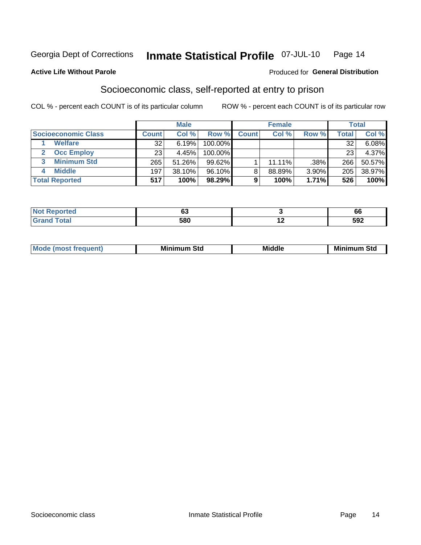#### Inmate Statistical Profile 07-JUL-10 Page 14

#### **Active Life Without Parole**

#### **Produced for General Distribution**

## Socioeconomic class, self-reported at entry to prison

COL % - percent each COUNT is of its particular column

|                       |              | <b>Male</b> |            |              | <b>Female</b> |       |       | <b>Total</b> |
|-----------------------|--------------|-------------|------------|--------------|---------------|-------|-------|--------------|
| Socioeconomic Class   | <b>Count</b> | Col %       | Row %      | <b>Count</b> | Col %         | Row % | Total | Col %        |
| <b>Welfare</b>        | 32           | 6.19%       | 100.00%    |              |               |       | 32    | 6.08%        |
| <b>Occ Employ</b>     | 23           | 4.45%       | $100.00\%$ |              |               |       | 23    | 4.37%        |
| <b>Minimum Std</b>    | 265          | 51.26%      | $99.62\%$  |              | $11.11\%$     | .38%  | 266   | 50.57%       |
| <b>Middle</b>         | 197          | 38.10%      | 96.10%     | 8            | 88.89%        | 3.90% | 205   | 38.97%       |
| <b>Total Reported</b> | 517          | 100%        | 98.29%     |              | 100%          | 1.71% | 526   | 100%         |

|       | r.<br>v | oc                |
|-------|---------|-------------------|
| _____ | 580     | <b>FAQ</b><br>JJL |

|  | Mo | Minin<br>Std<br>$- - - -$ | <b>Middle</b> | Min<br>Std<br>. |
|--|----|---------------------------|---------------|-----------------|
|--|----|---------------------------|---------------|-----------------|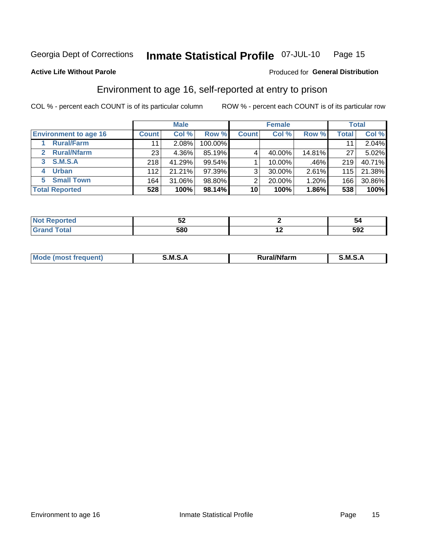#### Inmate Statistical Profile 07-JUL-10 Page 15

#### **Active Life Without Parole**

#### Produced for General Distribution

## Environment to age 16, self-reported at entry to prison

COL % - percent each COUNT is of its particular column

|                                    |              | <b>Male</b> |         |                | <b>Female</b> |        |       | <b>Total</b> |
|------------------------------------|--------------|-------------|---------|----------------|---------------|--------|-------|--------------|
| <b>Environment to age 16</b>       | <b>Count</b> | Col %       | Row %   | <b>Count</b>   | Col %         | Row %  | Total | Col %        |
| <b>Rural/Farm</b>                  | 11           | $2.08\%$    | 100.00% |                |               |        |       | 2.04%        |
| <b>Rural/Nfarm</b><br>$\mathbf{2}$ | 23           | 4.36%       | 85.19%  |                | 40.00%        | 14.81% | 27    | 5.02%        |
| 3 S.M.S.A                          | 218          | 41.29%      | 99.54%  |                | 10.00%        | .46%   | 219   | 40.71%       |
| <b>Urban</b><br>4                  | 112          | 21.21%      | 97.39%  | 3 <sub>1</sub> | 30.00%        | 2.61%  | 115   | 21.38%       |
| 5 Small Town                       | 164          | 31.06%      | 98.80%  | 2              | 20.00%        | 1.20%  | 166   | 30.86%       |
| <b>Total Reported</b>              | 528          | 100%        | 98.14%  | 10             | 100%          | 1.86%  | 538   | 100%         |

| Reported<br><b>NOT</b> | ◡▵  |     | n   |
|------------------------|-----|-----|-----|
| uar                    | 580 | . . | 592 |

| Mo | M<br>______ | <b>17516</b><br><b>Ifarm</b><br>. | -<br>M<br>_____ |
|----|-------------|-----------------------------------|-----------------|
|    |             |                                   |                 |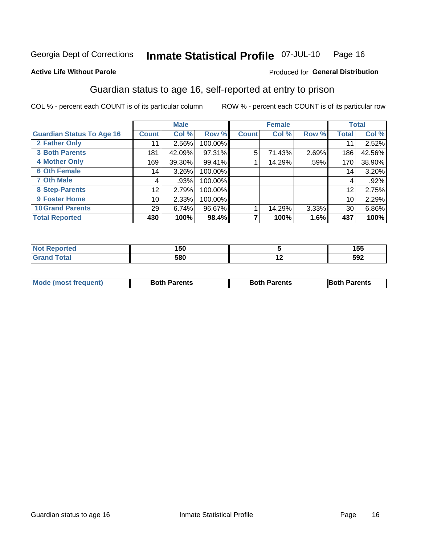#### Inmate Statistical Profile 07-JUL-10 Page 16

#### **Active Life Without Parole**

#### Produced for General Distribution

## Guardian status to age 16, self-reported at entry to prison

COL % - percent each COUNT is of its particular column

|                                  |                 | <b>Male</b> |         |              | <b>Female</b> |       |                 | <b>Total</b> |
|----------------------------------|-----------------|-------------|---------|--------------|---------------|-------|-----------------|--------------|
| <b>Guardian Status To Age 16</b> | <b>Count</b>    | Col %       | Row %   | <b>Count</b> | Col %         | Row % | <b>Total</b>    | Col %        |
| 2 Father Only                    | 11              | 2.56%       | 100.00% |              |               |       | 11              | 2.52%        |
| <b>3 Both Parents</b>            | 181             | 42.09%      | 97.31%  | 5            | 71.43%        | 2.69% | 186             | 42.56%       |
| <b>4 Mother Only</b>             | 169             | 39.30%      | 99.41%  |              | 14.29%        | .59%  | 170             | 38.90%       |
| <b>6 Oth Female</b>              | 14 <sub>1</sub> | 3.26%       | 100.00% |              |               |       | 14 <sub>1</sub> | 3.20%        |
| <b>7 Oth Male</b>                | 4               | .93%        | 100.00% |              |               |       | 4               | $.92\%$      |
| 8 Step-Parents                   | 12              | 2.79%       | 100.00% |              |               |       | 12              | 2.75%        |
| 9 Foster Home                    | 10              | 2.33%       | 100.00% |              |               |       | 10              | 2.29%        |
| <b>10 Grand Parents</b>          | 29              | 6.74%       | 96.67%  |              | 14.29%        | 3.33% | 30              | 6.86%        |
| <b>Total Reported</b>            | 430             | 100%        | 98.4%   |              | 100%          | 1.6%  | 437             | 100%         |

| ted   | 50  |     | - - -<br>טטו |
|-------|-----|-----|--------------|
| Total | 580 | . . | 592          |

| <b>Mode (most frequent)</b> | <b>Both Parents</b> | <b>Both Parents</b> | <b>Both Parents</b> |
|-----------------------------|---------------------|---------------------|---------------------|
|                             |                     |                     |                     |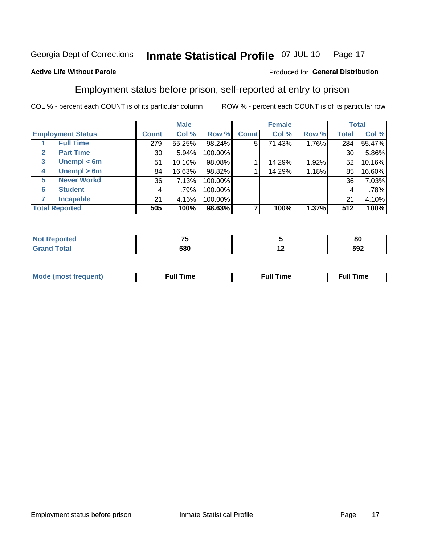#### Inmate Statistical Profile 07-JUL-10 Page 17

#### **Active Life Without Parole**

#### Produced for General Distribution

## Employment status before prison, self-reported at entry to prison

COL % - percent each COUNT is of its particular column

|                                  |                 | <b>Male</b> |         |              | <b>Female</b> |       |       | <b>Total</b> |
|----------------------------------|-----------------|-------------|---------|--------------|---------------|-------|-------|--------------|
| <b>Employment Status</b>         | <b>Count</b>    | Col %       | Row %   | <b>Count</b> | Col %         | Row % | Total | Col %        |
| <b>Full Time</b>                 | 279             | 55.25%      | 98.24%  | 5            | 71.43%        | 1.76% | 284   | 55.47%       |
| <b>Part Time</b><br>$\mathbf{2}$ | 30 <sup>1</sup> | 5.94%       | 100.00% |              |               |       | 30    | 5.86%        |
| Unempl $<$ 6m<br>3               | 51              | 10.10%      | 98.08%  |              | 14.29%        | 1.92% | 52    | 10.16%       |
| Unempl > 6m<br>4                 | 84              | 16.63%      | 98.82%  |              | 14.29%        | 1.18% | 85    | 16.60%       |
| <b>Never Workd</b><br>5          | 36              | 7.13%       | 100.00% |              |               |       | 36    | 7.03%        |
| <b>Student</b><br>6              | 4               | .79%        | 100.00% |              |               |       | 4     | .78%         |
| <b>Incapable</b>                 | 21              | 4.16%       | 100.00% |              |               |       | 21    | 4.10%        |
| <b>Total Reported</b>            | 505             | 100%        | 98.63%  |              | 100%          | 1.37% | 512   | 100%         |

| тес. | --<br>$\sim$ |     | 80  |
|------|--------------|-----|-----|
|      | 580          | . . | 592 |

| Mc | ∴ull | ----<br>ıme<br>w |
|----|------|------------------|
|    |      |                  |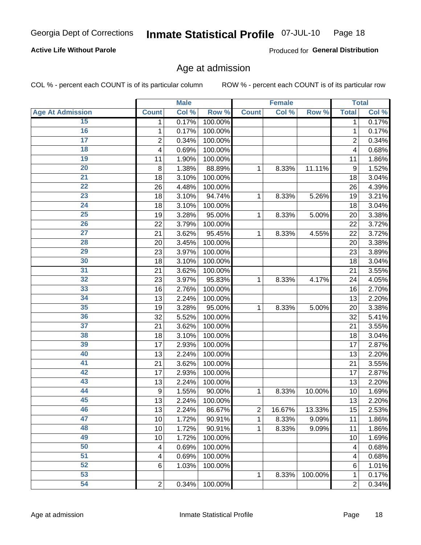#### Inmate Statistical Profile 07-JUL-10 Page 18

#### **Active Life Without Parole**

Produced for General Distribution

### Age at admission

COL % - percent each COUNT is of its particular column

|                         |                | <b>Male</b> |         |              | <b>Female</b> |         |                | <b>Total</b> |
|-------------------------|----------------|-------------|---------|--------------|---------------|---------|----------------|--------------|
| <b>Age At Admission</b> | <b>Count</b>   | Col %       | Row %   | <b>Count</b> | Col %         | Row %   | <b>Total</b>   | Col %        |
| 15                      | 1              | 0.17%       | 100.00% |              |               |         | 1              | 0.17%        |
| 16                      | 1              | 0.17%       | 100.00% |              |               |         | $\mathbf{1}$   | 0.17%        |
| $\overline{17}$         | 2              | 0.34%       | 100.00% |              |               |         | $\overline{2}$ | 0.34%        |
| 18                      | 4              | 0.69%       | 100.00% |              |               |         | 4              | 0.68%        |
| $\overline{19}$         | 11             | 1.90%       | 100.00% |              |               |         | 11             | 1.86%        |
| $\overline{20}$         | 8              | 1.38%       | 88.89%  | 1            | 8.33%         | 11.11%  | 9              | 1.52%        |
| $\overline{21}$         | 18             | 3.10%       | 100.00% |              |               |         | 18             | 3.04%        |
| $\overline{22}$         | 26             | 4.48%       | 100.00% |              |               |         | 26             | 4.39%        |
| $\overline{23}$         | 18             | 3.10%       | 94.74%  | 1            | 8.33%         | 5.26%   | 19             | 3.21%        |
| $\overline{24}$         | 18             | 3.10%       | 100.00% |              |               |         | 18             | 3.04%        |
| $\overline{25}$         | 19             | 3.28%       | 95.00%  | 1            | 8.33%         | 5.00%   | 20             | 3.38%        |
| 26                      | 22             | 3.79%       | 100.00% |              |               |         | 22             | 3.72%        |
| $\overline{27}$         | 21             | 3.62%       | 95.45%  | 1            | 8.33%         | 4.55%   | 22             | 3.72%        |
| 28                      | 20             | 3.45%       | 100.00% |              |               |         | 20             | 3.38%        |
| 29                      | 23             | 3.97%       | 100.00% |              |               |         | 23             | 3.89%        |
| 30                      | 18             | 3.10%       | 100.00% |              |               |         | 18             | 3.04%        |
| $\overline{31}$         | 21             | 3.62%       | 100.00% |              |               |         | 21             | 3.55%        |
| 32                      | 23             | 3.97%       | 95.83%  | 1            | 8.33%         | 4.17%   | 24             | 4.05%        |
| 33                      | 16             | 2.76%       | 100.00% |              |               |         | 16             | 2.70%        |
| 34                      | 13             | 2.24%       | 100.00% |              |               |         | 13             | 2.20%        |
| 35                      | 19             | 3.28%       | 95.00%  | 1            | 8.33%         | 5.00%   | 20             | 3.38%        |
| 36                      | 32             | 5.52%       | 100.00% |              |               |         | 32             | 5.41%        |
| $\overline{37}$         | 21             | 3.62%       | 100.00% |              |               |         | 21             | 3.55%        |
| 38                      | 18             | 3.10%       | 100.00% |              |               |         | 18             | 3.04%        |
| 39                      | 17             | 2.93%       | 100.00% |              |               |         | 17             | 2.87%        |
| 40                      | 13             | 2.24%       | 100.00% |              |               |         | 13             | 2.20%        |
| 41                      | 21             | 3.62%       | 100.00% |              |               |         | 21             | 3.55%        |
| 42                      | 17             | 2.93%       | 100.00% |              |               |         | 17             | 2.87%        |
| 43                      | 13             | 2.24%       | 100.00% |              |               |         | 13             | 2.20%        |
| 44                      | 9              | 1.55%       | 90.00%  | 1            | 8.33%         | 10.00%  | 10             | 1.69%        |
| 45                      | 13             | 2.24%       | 100.00% |              |               |         | 13             | 2.20%        |
| 46                      | 13             | 2.24%       | 86.67%  | 2            | 16.67%        | 13.33%  | 15             | 2.53%        |
| 47                      | 10             | 1.72%       | 90.91%  | 1            | 8.33%         | 9.09%   | 11             | 1.86%        |
| 48                      | 10             | 1.72%       | 90.91%  | 1            | 8.33%         | 9.09%   | 11             | 1.86%        |
| 49                      | 10             | 1.72%       | 100.00% |              |               |         | 10             | 1.69%        |
| 50                      | 4              | 0.69%       | 100.00% |              |               |         | 4              | 0.68%        |
| $\overline{51}$         | 4              | 0.69%       | 100.00% |              |               |         | 4              | 0.68%        |
| 52                      | 6              | 1.03%       | 100.00% |              |               |         | 6              | 1.01%        |
| 53                      |                |             |         | 1            | 8.33%         | 100.00% | 1              | 0.17%        |
| 54                      | $\overline{2}$ | 0.34%       | 100.00% |              |               |         | $\overline{2}$ | 0.34%        |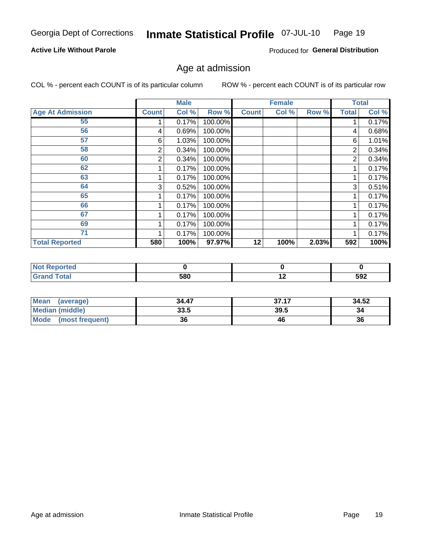#### Inmate Statistical Profile 07-JUL-10 Page 19

#### **Active Life Without Parole**

Produced for General Distribution

### Age at admission

COL % - percent each COUNT is of its particular column

|                         |              | <b>Male</b> |         |              | <b>Female</b> |       |              | <b>Total</b> |
|-------------------------|--------------|-------------|---------|--------------|---------------|-------|--------------|--------------|
| <b>Age At Admission</b> | <b>Count</b> | Col %       | Row %   | <b>Count</b> | Col %         | Row % | <b>Total</b> | Col %        |
| 55                      |              | 0.17%       | 100.00% |              |               |       |              | 0.17%        |
| 56                      | 4            | 0.69%       | 100.00% |              |               |       | 4            | 0.68%        |
| 57                      | 6            | 1.03%       | 100.00% |              |               |       | 6            | 1.01%        |
| 58                      | 2            | 0.34%       | 100.00% |              |               |       | 2            | 0.34%        |
| 60                      | 2            | 0.34%       | 100.00% |              |               |       | 2            | 0.34%        |
| 62                      |              | 0.17%       | 100.00% |              |               |       |              | 0.17%        |
| 63                      |              | 0.17%       | 100.00% |              |               |       |              | 0.17%        |
| 64                      | 3            | 0.52%       | 100.00% |              |               |       | 3            | 0.51%        |
| 65                      |              | 0.17%       | 100.00% |              |               |       |              | 0.17%        |
| 66                      |              | 0.17%       | 100.00% |              |               |       |              | 0.17%        |
| 67                      |              | 0.17%       | 100.00% |              |               |       |              | 0.17%        |
| 69                      |              | 0.17%       | 100.00% |              |               |       |              | 0.17%        |
| 71                      |              | 0.17%       | 100.00% |              |               |       |              | 0.17%        |
| <b>Total Reported</b>   | 580          | 100%        | 97.97%  | 12           | 100%          | 2.03% | 592          | 100%         |

| <b>Reported</b>        |     |     |     |
|------------------------|-----|-----|-----|
| <b>c</b> otal<br>Grand | 580 | . . | 592 |

| <b>Mean</b><br>(average) | 34.47 | 37.17 | 34.52 |
|--------------------------|-------|-------|-------|
| <b>Median (middle)</b>   | 33.5  | 39.5  | 34    |
| Mode<br>(most frequent)  | 36    | 46    | 36    |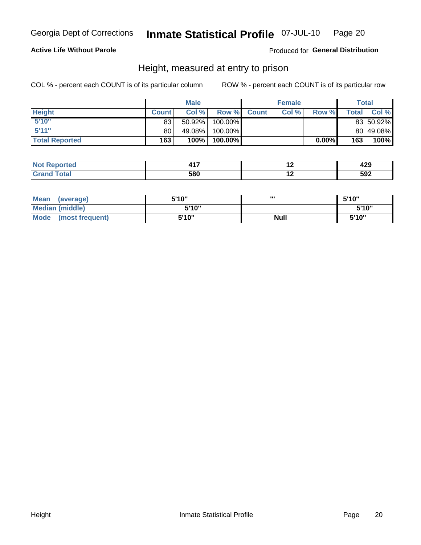#### Inmate Statistical Profile 07-JUL-10 Page 20

#### **Active Life Without Parole**

#### Produced for General Distribution

### Height, measured at entry to prison

COL % - percent each COUNT is of its particular column

|                       |              | <b>Male</b> |         |             | <b>Female</b> |          |         | Total     |
|-----------------------|--------------|-------------|---------|-------------|---------------|----------|---------|-----------|
| <b>Height</b>         | <b>Count</b> | Col %       |         | Row % Count | Col %         | Row %    | Total I | Col %     |
| 5'10''                | 83           | $50.92\%$   | 100.00% |             |               |          |         | 83 50.92% |
| 5'11''                | 80           | 49.08%      | 100.00% |             |               |          |         | 80 49.08% |
| <b>Total Reported</b> | 163          | 100%        | 100.00% |             |               | $0.00\%$ | 163     | $100\%$   |

| <b>No</b>                    |            | . .                      | .   |
|------------------------------|------------|--------------------------|-----|
| тео                          |            |                          | 443 |
| <b>Total</b><br>Gra<br>----- | con<br>וסי | $\overline{\phantom{a}}$ | 592 |

| <b>Mean</b><br>(average)       | 5'10" | ,,,         | 5'10"  |
|--------------------------------|-------|-------------|--------|
| Median (middle)                | 5'10" |             | 5'10'' |
| <b>Mode</b><br>(most frequent) | 5'10" | <b>Null</b> | 5'10"  |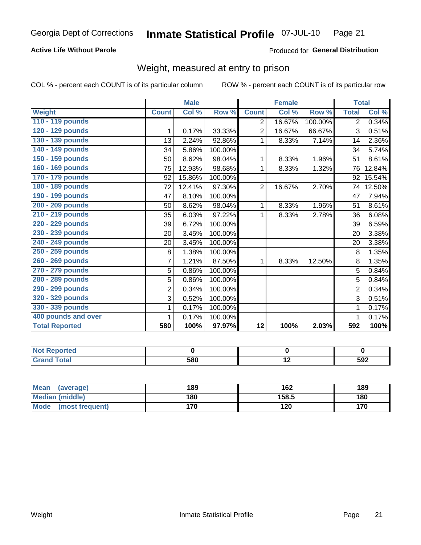#### Inmate Statistical Profile 07-JUL-10 Page 21

#### **Active Life Without Parole**

#### Produced for General Distribution

## Weight, measured at entry to prison

COL % - percent each COUNT is of its particular column

|                       |                | <b>Male</b> |         |                | <b>Female</b> |         | <b>Total</b>   |        |
|-----------------------|----------------|-------------|---------|----------------|---------------|---------|----------------|--------|
| <b>Weight</b>         | <b>Count</b>   | Col %       | Row %   | <b>Count</b>   | Col %         | Row %   | <b>Total</b>   | Col %  |
| 110 - 119 pounds      |                |             |         | $\overline{2}$ | 16.67%        | 100.00% | $\overline{2}$ | 0.34%  |
| 120 - 129 pounds      | 1              | 0.17%       | 33.33%  | $\overline{2}$ | 16.67%        | 66.67%  | 3              | 0.51%  |
| 130 - 139 pounds      | 13             | 2.24%       | 92.86%  | 1              | 8.33%         | 7.14%   | 14             | 2.36%  |
| 140 - 149 pounds      | 34             | 5.86%       | 100.00% |                |               |         | 34             | 5.74%  |
| 150 - 159 pounds      | 50             | 8.62%       | 98.04%  | 1              | 8.33%         | 1.96%   | 51             | 8.61%  |
| 160 - 169 pounds      | 75             | 12.93%      | 98.68%  | 1              | 8.33%         | 1.32%   | 76             | 12.84% |
| 170 - 179 pounds      | 92             | 15.86%      | 100.00% |                |               |         | 92             | 15.54% |
| 180 - 189 pounds      | 72             | 12.41%      | 97.30%  | $\overline{2}$ | 16.67%        | 2.70%   | 74             | 12.50% |
| 190 - 199 pounds      | 47             | 8.10%       | 100.00% |                |               |         | 47             | 7.94%  |
| 200 - 209 pounds      | 50             | 8.62%       | 98.04%  | 1              | 8.33%         | 1.96%   | 51             | 8.61%  |
| 210 - 219 pounds      | 35             | 6.03%       | 97.22%  | 1              | 8.33%         | 2.78%   | 36             | 6.08%  |
| 220 - 229 pounds      | 39             | 6.72%       | 100.00% |                |               |         | 39             | 6.59%  |
| 230 - 239 pounds      | 20             | 3.45%       | 100.00% |                |               |         | 20             | 3.38%  |
| 240 - 249 pounds      | 20             | 3.45%       | 100.00% |                |               |         | 20             | 3.38%  |
| 250 - 259 pounds      | 8              | 1.38%       | 100.00% |                |               |         | 8              | 1.35%  |
| 260 - 269 pounds      | $\overline{7}$ | 1.21%       | 87.50%  | 1              | 8.33%         | 12.50%  | 8              | 1.35%  |
| 270 - 279 pounds      | 5              | 0.86%       | 100.00% |                |               |         | 5              | 0.84%  |
| 280 - 289 pounds      | 5              | 0.86%       | 100.00% |                |               |         | 5              | 0.84%  |
| 290 - 299 pounds      | $\overline{2}$ | 0.34%       | 100.00% |                |               |         | $\overline{2}$ | 0.34%  |
| 320 - 329 pounds      | 3              | 0.52%       | 100.00% |                |               |         | 3              | 0.51%  |
| 330 - 339 pounds      | 1              | 0.17%       | 100.00% |                |               |         | 1              | 0.17%  |
| 400 pounds and over   | 1              | 0.17%       | 100.00% |                |               |         | 1              | 0.17%  |
| <b>Total Reported</b> | 580            | 100%        | 97.97%  | 12             | 100%          | 2.03%   | 592            | 100%   |

| ported<br>. |     |     |     |
|-------------|-----|-----|-----|
| <b>otal</b> | 580 | . . | 592 |

| <b>Mean</b><br>(average)       | 189 | 162   | 189 |
|--------------------------------|-----|-------|-----|
| <b>Median (middle)</b>         | 180 | 158.5 | 180 |
| <b>Mode</b><br>(most frequent) | 170 | 120   | 170 |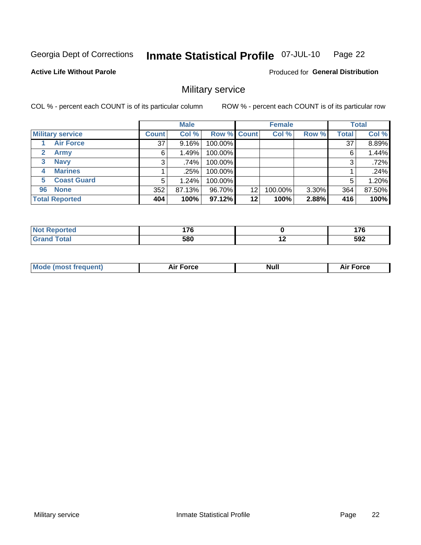#### Inmate Statistical Profile 07-JUL-10 Page 22

#### **Active Life Without Parole**

**Produced for General Distribution** 

## Military service

COL % - percent each COUNT is of its particular column

|                             |              | <b>Male</b> |             |    | <b>Female</b> |          |              | <b>Total</b> |
|-----------------------------|--------------|-------------|-------------|----|---------------|----------|--------------|--------------|
| <b>Military service</b>     | <b>Count</b> | Col %       | Row % Count |    | Col %         | Row %    | <b>Total</b> | Col %        |
| <b>Air Force</b>            | 37           | 9.16%       | 100.00%     |    |               |          | 37           | 8.89%        |
| $\mathbf{2}$<br><b>Army</b> | 6            | 1.49%       | 100.00%     |    |               |          | 6            | 1.44%        |
| <b>Navy</b><br>3            | 3            | .74%        | 100.00%     |    |               |          | 3            | .72%         |
| <b>Marines</b><br>4         |              | .25%        | 100.00%     |    |               |          |              | .24%         |
| <b>Coast Guard</b><br>5     | 5            | 1.24%       | 100.00%     |    |               |          | 5            | 1.20%        |
| <b>None</b><br>96           | 352          | 87.13%      | 96.70%      | 12 | 100.00%       | $3.30\%$ | 364          | 87.50%       |
| <b>Total Reported</b>       | 404          | 100%        | 97.12%      | 12 | 100%          | 2.88%    | 416          | 100%         |

| <b>orted</b>               | 17C |     | $\overline{\phantom{a}}$ |
|----------------------------|-----|-----|--------------------------|
| <b>Total</b><br><b>. .</b> | 580 | . . | 592                      |

|  | Mo<br>de (most frequent) | <b>Force</b><br>Aır | Null | <b>Force</b><br>-- |
|--|--------------------------|---------------------|------|--------------------|
|--|--------------------------|---------------------|------|--------------------|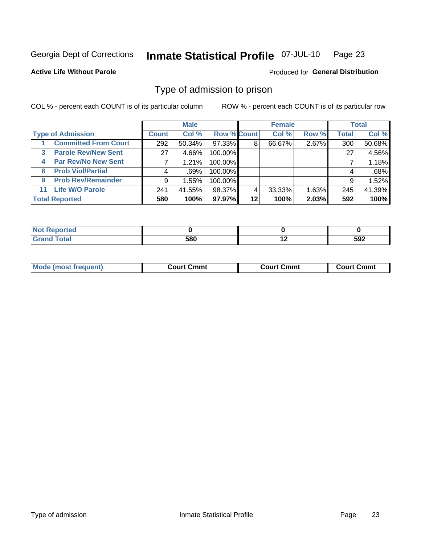#### Inmate Statistical Profile 07-JUL-10 Page 23

**Active Life Without Parole** 

**Produced for General Distribution** 

## Type of admission to prison

COL % - percent each COUNT is of its particular column

|    |                             |              | <b>Male</b> |                    |         | <b>Female</b> |       |              | <b>Total</b> |
|----|-----------------------------|--------------|-------------|--------------------|---------|---------------|-------|--------------|--------------|
|    | <b>Type of Admission</b>    | <b>Count</b> | Col %       | <b>Row % Count</b> |         | Col %         | Row % | <b>Total</b> | Col %        |
|    | <b>Committed From Court</b> | 292          | $50.34\%$   | 97.33%             | 8       | 66.67%        | 2.67% | 300          | 50.68%       |
| 3  | <b>Parole Rev/New Sent</b>  | 27           | 4.66%       | 100.00%            |         |               |       | 27           | 4.56%        |
| 4  | <b>Par Rev/No New Sent</b>  |              | $1.21\%$    | 100.00%            |         |               |       |              | 1.18%        |
| 6  | <b>Prob Viol/Partial</b>    |              | $.69\%$     | 100.00%            |         |               |       | 4            | .68%         |
| 9  | <b>Prob Rev/Remainder</b>   | 9            | 1.55%       | 100.00%            |         |               |       | 9            | 1.52%        |
| 11 | <b>Life W/O Parole</b>      | 241          | 41.55%      | 98.37%             | 4       | 33.33%        | 1.63% | 245          | 41.39%       |
|    | <b>Total Reported</b>       | 580          | 100%        | 97.97%             | $12 \,$ | 100%          | 2.03% | 592          | 100%         |

| orted<br>m.                     |                  |     |
|---------------------------------|------------------|-----|
| <b>otal</b><br>$\mathbf{v}$ and | $\tau$ on<br>υου | 592 |

|  | <b>Mode (most frequent</b> | Court Cmmt | Court Cmmt | Cmmt<br>∴ourt C |
|--|----------------------------|------------|------------|-----------------|
|--|----------------------------|------------|------------|-----------------|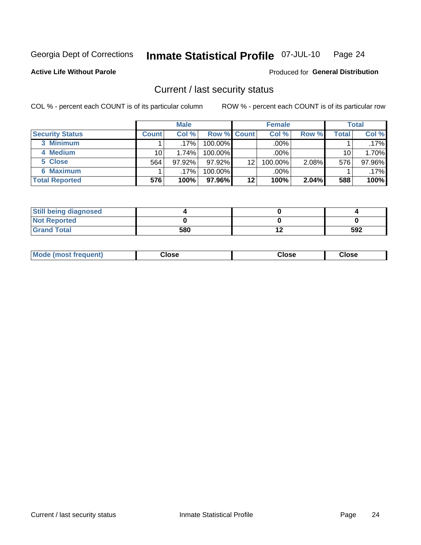#### Inmate Statistical Profile 07-JUL-10 Page 24

**Active Life Without Parole** 

**Produced for General Distribution** 

### Current / last security status

COL % - percent each COUNT is of its particular column

|                        |              | <b>Male</b> |                    |         | <b>Female</b> |       |       | <b>Total</b> |
|------------------------|--------------|-------------|--------------------|---------|---------------|-------|-------|--------------|
| <b>Security Status</b> | <b>Count</b> | Col%        | <b>Row % Count</b> |         | Col %         | Row % | Total | Col %        |
| 3 Minimum              |              | $.17\%$     | 100.00%            |         | .00%          |       |       | $.17\%$      |
| 4 Medium               | 10           | 1.74%       | 100.00%            |         | .00%          |       | 10    | 1.70%        |
| 5 Close                | 564          | 97.92%      | 97.92%             | 12      | 100.00%       | 2.08% | 576   | 97.96%       |
| 6 Maximum              |              | .17%        | 100.00%            |         | .00%          |       |       | $.17\%$      |
| <b>Total Reported</b>  | 576          | 100%        | 97.96%I            | $12 \,$ | 100%          | 2.04% | 588   | 100%         |

| <b>Still being diagnosed</b> |     |     |
|------------------------------|-----|-----|
| <b>Not Reported</b>          |     |     |
| <b>Grand Total</b>           | 580 | 592 |

| <b>Mode</b><br>'requent)<br>۔lose<br>Close<br>Close<br>n iması .<br>- - - -<br>- - - -<br>- - - - |  |
|---------------------------------------------------------------------------------------------------|--|
|---------------------------------------------------------------------------------------------------|--|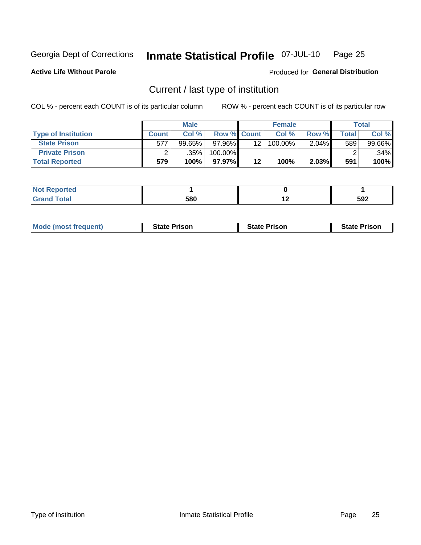#### Inmate Statistical Profile 07-JUL-10 Page 25

**Active Life Without Parole** 

Produced for General Distribution

## Current / last type of institution

COL % - percent each COUNT is of its particular column

|                            |              | <b>Male</b> |                    |         | <b>Female</b> |          |        | <b>Total</b> |
|----------------------------|--------------|-------------|--------------------|---------|---------------|----------|--------|--------------|
| <b>Type of Institution</b> | <b>Count</b> | Col%        | <b>Row % Count</b> |         | Col %         | Row %    | ⊤otal⊤ | Col %        |
| <b>State Prison</b>        | 577          | $99.65\%$   | $97.96\%$          | 12      | 100.00%       | $2.04\%$ | 589    | 99.66%       |
| <b>Private Prison</b>      |              | .35%        | 100.00%            |         |               |          |        | $.34\%$      |
| <b>Total Reported</b>      | 579          | 100%        | $97.97\%$          | $12 \,$ | 100%          | 2.03%    | 591    | 100%         |

| .<br>rtea |                   |            |     |
|-----------|-------------------|------------|-----|
|           | <b>EON</b><br>ว๐บ | . .<br>. . | 592 |

| <b>Mode (most frequent)</b> | <b>State Prison</b> | <b>State Prison</b> | <b>State Prison</b> |
|-----------------------------|---------------------|---------------------|---------------------|
|                             |                     |                     |                     |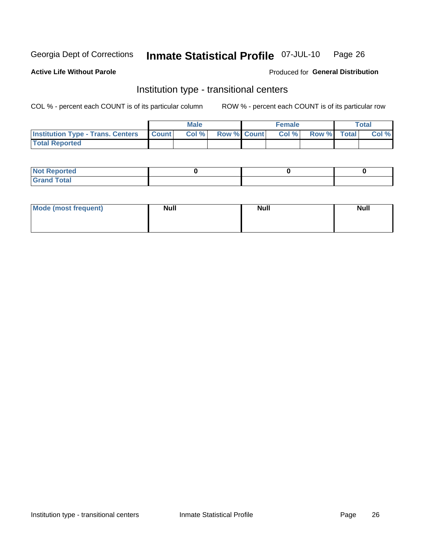#### Inmate Statistical Profile 07-JUL-10 Page 26

**Active Life Without Parole** 

#### Produced for General Distribution

## Institution type - transitional centers

COL % - percent each COUNT is of its particular column

|                                                | <b>Male</b> |                          | <b>Female</b> |             | Total |
|------------------------------------------------|-------------|--------------------------|---------------|-------------|-------|
| <b>Institution Type - Trans. Centers Count</b> |             | <b>Col %</b> Row % Count | Col%          | Row % Total | Col % |
| <b>Total Reported</b>                          |             |                          |               |             |       |

| ported<br><b>NOT</b> |  |  |
|----------------------|--|--|
| int<br>Crr<br>$-1$   |  |  |

| Mode (most frequent) | <b>Null</b> | <b>Null</b> | <b>Null</b> |
|----------------------|-------------|-------------|-------------|
|                      |             |             |             |
|                      |             |             |             |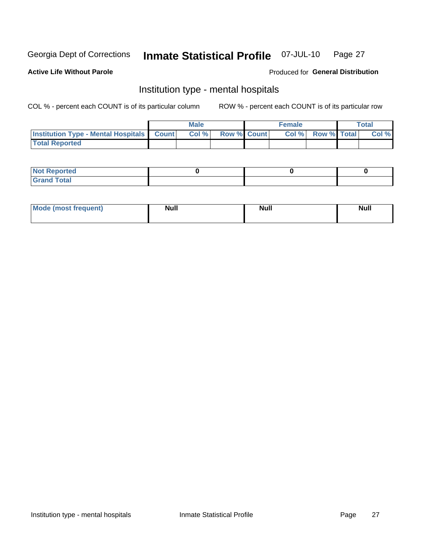#### Inmate Statistical Profile 07-JUL-10 Page 27

#### **Active Life Without Parole**

#### Produced for General Distribution

## Institution type - mental hospitals

COL % - percent each COUNT is of its particular column

|                                                  | Male  |                    | <b>Female</b> |                   | <b>Total</b> |
|--------------------------------------------------|-------|--------------------|---------------|-------------------|--------------|
| <b>Institution Type - Mental Hospitals Count</b> | Col % | <b>Row % Count</b> |               | Col % Row % Total | Col %        |
| <b>Total Reported</b>                            |       |                    |               |                   |              |

| <b>Not Reported</b>                     |  |  |
|-----------------------------------------|--|--|
| <b>otal</b><br>C <sub>r</sub><br>______ |  |  |

| Mode.<br>frequent) | <b>Nul</b><br>_____ | <b>Null</b> | <b>Null</b> |
|--------------------|---------------------|-------------|-------------|
|                    |                     |             |             |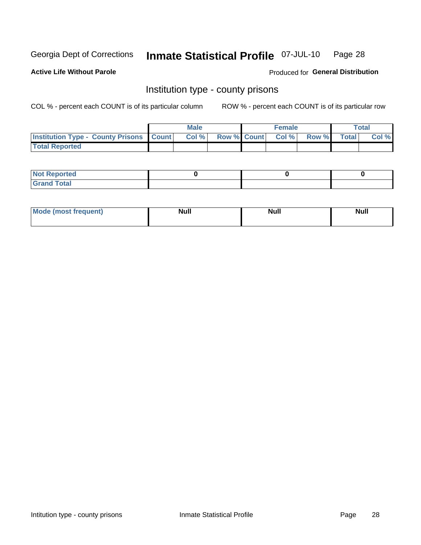#### Inmate Statistical Profile 07-JUL-10 Page 28

**Active Life Without Parole** 

Produced for General Distribution

### Institution type - county prisons

COL % - percent each COUNT is of its particular column

|                                                    | <b>Male</b> |  | <b>Female</b>            |             | <b>Total</b> |
|----------------------------------------------------|-------------|--|--------------------------|-------------|--------------|
| <b>Institution Type - County Prisons   Count  </b> | Col %       |  | <b>Row % Count Col %</b> | Row % Total | Col %        |
| <b>Total Reported</b>                              |             |  |                          |             |              |

| <b>Not Reported</b>   |  |  |
|-----------------------|--|--|
| <b>Total</b><br>Granc |  |  |

| Mode (most<br>frequent) | <b>Modl</b><br>1uı. | <b>Null</b> | <b>Null</b> |  |
|-------------------------|---------------------|-------------|-------------|--|
|                         |                     |             |             |  |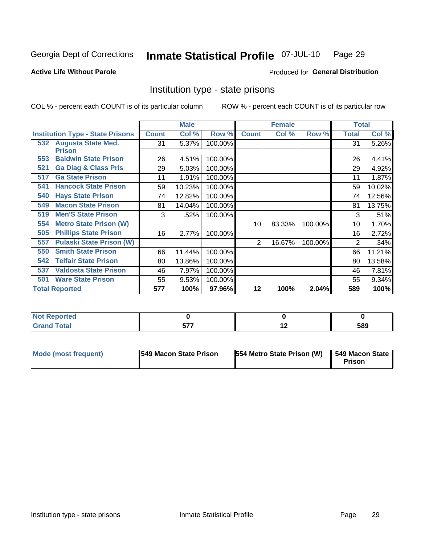#### Inmate Statistical Profile 07-JUL-10 Page 29

#### **Active Life Without Parole**

#### **Produced for General Distribution**

## Institution type - state prisons

COL % - percent each COUNT is of its particular column

|                                         |              | <b>Male</b> |         |              | <b>Female</b> |         | <b>Total</b> |        |
|-----------------------------------------|--------------|-------------|---------|--------------|---------------|---------|--------------|--------|
| <b>Institution Type - State Prisons</b> | <b>Count</b> | Col %       | Row %   | <b>Count</b> | Col %         | Row %   | Total        | Col %  |
| 532 Augusta State Med.<br><b>Prison</b> | 31           | 5.37%       | 100.00% |              |               |         | 31           | 5.26%  |
| <b>Baldwin State Prison</b><br>553      | 26           | 4.51%       | 100.00% |              |               |         | 26           | 4.41%  |
| <b>Ga Diag &amp; Class Pris</b><br>521  | 29           | 5.03%       | 100.00% |              |               |         | 29           | 4.92%  |
| <b>Ga State Prison</b><br>517           | 11           | 1.91%       | 100.00% |              |               |         | 11           | 1.87%  |
| <b>Hancock State Prison</b><br>541      | 59           | 10.23%      | 100.00% |              |               |         | 59           | 10.02% |
| <b>Hays State Prison</b><br>540         | 74           | 12.82%      | 100.00% |              |               |         | 74           | 12.56% |
| <b>Macon State Prison</b><br>549        | 81           | 14.04%      | 100.00% |              |               |         | 81           | 13.75% |
| <b>Men'S State Prison</b><br>519        | 3            | .52%        | 100.00% |              |               |         | 3            | .51%   |
| <b>Metro State Prison (W)</b><br>554    |              |             |         | 10           | 83.33%        | 100.00% | 10           | 1.70%  |
| <b>Phillips State Prison</b><br>505     | 16           | 2.77%       | 100.00% |              |               |         | 16           | 2.72%  |
| <b>Pulaski State Prison (W)</b><br>557  |              |             |         | 2            | 16.67%        | 100.00% | 2            | .34%   |
| <b>Smith State Prison</b><br>550        | 66           | 11.44%      | 100.00% |              |               |         | 66           | 11.21% |
| <b>Telfair State Prison</b><br>542      | 80           | 13.86%      | 100.00% |              |               |         | 80           | 13.58% |
| <b>Valdosta State Prison</b><br>537     | 46           | 7.97%       | 100.00% |              |               |         | 46           | 7.81%  |
| <b>Ware State Prison</b><br>501         | 55           | 9.53%       | 100.00% |              |               |         | 55           | 9.34%  |
| <b>Total Reported</b>                   | 577          | 100%        | 97.96%  | 12           | 100%          | 2.04%   | 589          | 100%   |

| Reported<br>.        |                   |     |     |
|----------------------|-------------------|-----|-----|
| <b>otal</b><br>_____ | ---<br>. .<br>--- | . . | 589 |

| Mode (most frequent) | <b>1549 Macon State Prison</b> | 554 Metro State Prison (W) | 549 Macon State<br>Prison |
|----------------------|--------------------------------|----------------------------|---------------------------|
|----------------------|--------------------------------|----------------------------|---------------------------|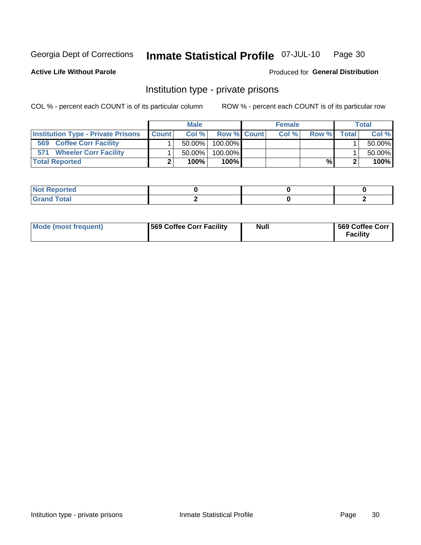#### Inmate Statistical Profile 07-JUL-10 Page 30

**Active Life Without Parole** 

Produced for General Distribution

## Institution type - private prisons

COL % - percent each COUNT is of its particular column

|                                           |              | <b>Male</b> |                    | <b>Female</b> |       |              | <b>Total</b> |
|-------------------------------------------|--------------|-------------|--------------------|---------------|-------|--------------|--------------|
| <b>Institution Type - Private Prisons</b> | <b>Count</b> | Col %       | <b>Row % Count</b> | Col%          | Row % | <b>Total</b> | Col %        |
| <b>Coffee Corr Facility</b><br>569        |              | $50.00\%$   | $100.00\%$         |               |       |              | 50.00%       |
| <b>Wheeler Corr Facility</b><br>571       |              | $50.00\%$   | 100.00%            |               |       |              | 50.00%       |
| <b>Total Reported</b>                     |              | 100%        | $100\%$            |               | %     |              | 100%         |

| Reported<br><b>NOT</b>                  |  |  |
|-----------------------------------------|--|--|
| $\Delta + \Delta$<br>na rotar<br>------ |  |  |

| Mode (most frequent) | <b>569 Coffee Corr Facility</b> | Null | 569 Coffee Corr<br><b>Facility</b> |
|----------------------|---------------------------------|------|------------------------------------|
|----------------------|---------------------------------|------|------------------------------------|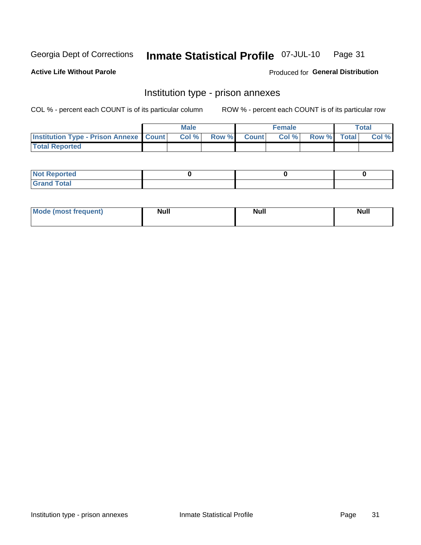#### Inmate Statistical Profile 07-JUL-10 Page 31

**Active Life Without Parole** 

Produced for General Distribution

## Institution type - prison annexes

COL % - percent each COUNT is of its particular column

|                                                   | <b>Male</b> |              |       | <b>Female</b> |                    | <b>Total</b> |
|---------------------------------------------------|-------------|--------------|-------|---------------|--------------------|--------------|
| <b>Institution Type - Prison Annexe   Count  </b> | Col %       | <b>Row %</b> | Count | Col %         | <b>Row %</b> Total | Col %        |
| <b>Total Reported</b>                             |             |              |       |               |                    |              |

| <b>Reported</b><br>I NOT |  |  |
|--------------------------|--|--|
| <b>Total</b><br>$C$ ren  |  |  |

| Mor<br><b>ruent</b> )<br>rea<br>nos | <b>Null</b> | <b>Moll</b><br>_____ | . .<br><b>Null</b> |
|-------------------------------------|-------------|----------------------|--------------------|
|                                     |             |                      |                    |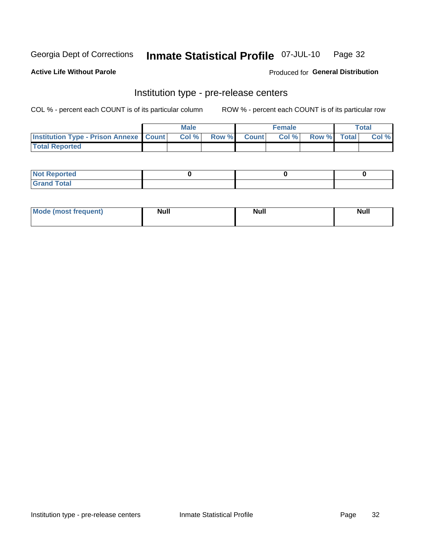#### Inmate Statistical Profile 07-JUL-10 Page 32

**Active Life Without Parole** 

Produced for General Distribution

## Institution type - pre-release centers

COL % - percent each COUNT is of its particular column

|                                                   | <b>Male</b> |              |              | Female |             | <b>Total</b> |
|---------------------------------------------------|-------------|--------------|--------------|--------|-------------|--------------|
| <b>Institution Type - Prison Annexe   Count  </b> | Col %       | <b>Row %</b> | <b>Count</b> | Col %  | Row % Total | Col %        |
| <b>Total Reported</b>                             |             |              |              |        |             |              |

| <b>Reported</b><br>I NOT |  |  |
|--------------------------|--|--|
| <b>Total</b><br>$C$ ren  |  |  |

| <b>Mo</b><br>frequent)<br>(most | <b>Null</b> | <b>Null</b> | <b>Null</b> |
|---------------------------------|-------------|-------------|-------------|
|                                 |             |             |             |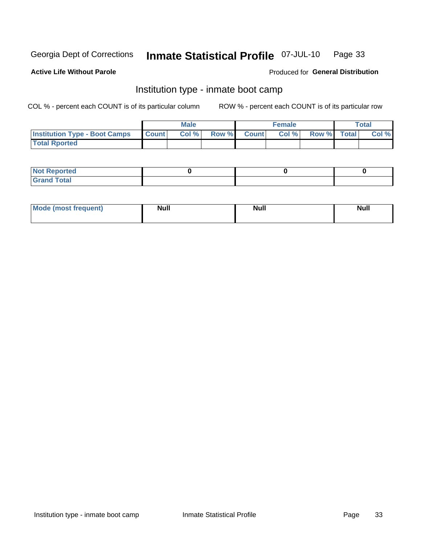#### Inmate Statistical Profile 07-JUL-10 Page 33

#### **Active Life Without Parole**

#### Produced for General Distribution

## Institution type - inmate boot camp

COL % - percent each COUNT is of its particular column

|                                      |              | <b>Male</b> |               |              | <b>Female</b> |             | <b>Total</b> |
|--------------------------------------|--------------|-------------|---------------|--------------|---------------|-------------|--------------|
| <b>Institution Type - Boot Camps</b> | <b>Count</b> | Col %       | <b>Row %I</b> | <b>Count</b> | Col %         | Row % Total | Col %        |
| <b>Total Rported</b>                 |              |             |               |              |               |             |              |

| <b>Not Reported</b>            |  |  |
|--------------------------------|--|--|
| <b>Total</b><br>C <sub>r</sub> |  |  |

| <b>I Mode (most frequent)</b> | <b>Null</b> | <b>Null</b> | <b>Null</b> |
|-------------------------------|-------------|-------------|-------------|
|                               |             |             |             |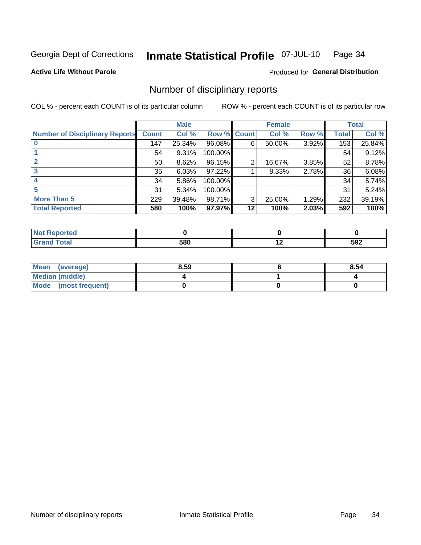#### Inmate Statistical Profile 07-JUL-10 Page 34

**Active Life Without Parole** 

Produced for General Distribution

## Number of disciplinary reports

COL % - percent each COUNT is of its particular column

|                                       |                 | <b>Male</b> |                    |    | <b>Female</b> |          |       | <b>Total</b> |
|---------------------------------------|-----------------|-------------|--------------------|----|---------------|----------|-------|--------------|
| <b>Number of Disciplinary Reports</b> | <b>Count</b>    | Col %       | <b>Row % Count</b> |    | Col %         | Row %    | Total | Col %        |
|                                       | 147             | 25.34%      | 96.08%             | 6  | 50.00%        | $3.92\%$ | 153   | 25.84%       |
|                                       | 54              | 9.31%       | 100.00%            |    |               |          | 54    | 9.12%        |
| 2                                     | 50 <sub>1</sub> | 8.62%       | 96.15%             | 2  | 16.67%        | 3.85%    | 52    | 8.78%        |
| 3                                     | 35              | 6.03%       | 97.22%             |    | 8.33%         | 2.78%    | 36    | 6.08%        |
|                                       | 34              | 5.86%       | 100.00%            |    |               |          | 34    | 5.74%        |
|                                       | 31              | 5.34%       | 100.00%            |    |               |          | 31    | 5.24%        |
| <b>More Than 5</b>                    | 229             | 39.48%      | 98.71%             | 3  | 25.00%        | 1.29%    | 232   | 39.19%       |
| <b>Total Reported</b>                 | 580             | 100%        | 97.97%             | 12 | 100%          | 2.03%    | 592   | 100%         |

| prted<br>NOT      |     |     |
|-------------------|-----|-----|
| <sup>-</sup> otal | 580 | 592 |

| Mean (average)       | 8.59 | 8.54 |
|----------------------|------|------|
| Median (middle)      |      |      |
| Mode (most frequent) |      |      |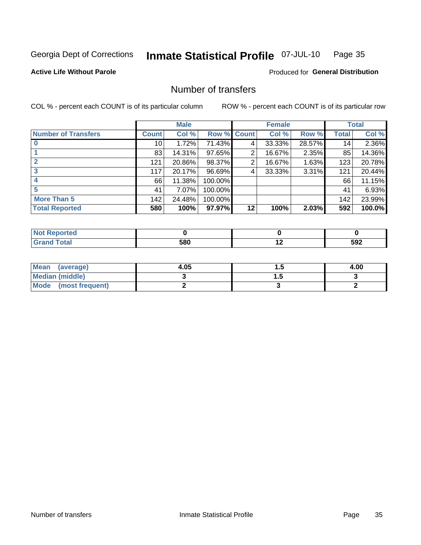#### Inmate Statistical Profile 07-JUL-10 Page 35

#### **Active Life Without Parole**

#### **Produced for General Distribution**

## Number of transfers

COL % - percent each COUNT is of its particular column

|                            |                 | <b>Male</b> |         |              | <b>Female</b> |        |              | <b>Total</b> |
|----------------------------|-----------------|-------------|---------|--------------|---------------|--------|--------------|--------------|
| <b>Number of Transfers</b> | Count l         | Col %       | Row %   | <b>Count</b> | Col %         | Row %  | <b>Total</b> | Col %        |
|                            | 10 <sup>1</sup> | 1.72%       | 71.43%  | 4            | 33.33%        | 28.57% | 14           | 2.36%        |
|                            | 83              | 14.31%      | 97.65%  | 2            | 16.67%        | 2.35%  | 85           | 14.36%       |
|                            | 121             | 20.86%      | 98.37%  | 2            | 16.67%        | 1.63%  | 123          | 20.78%       |
| 3                          | 117             | 20.17%      | 96.69%  | 4            | 33.33%        | 3.31%  | 121          | 20.44%       |
|                            | 66              | 11.38%      | 100.00% |              |               |        | 66           | 11.15%       |
| 5                          | 41              | 7.07%       | 100.00% |              |               |        | 41           | 6.93%        |
| <b>More Than 5</b>         | 142             | 24.48%      | 100.00% |              |               |        | 142          | 23.99%       |
| <b>Total Reported</b>      | 580             | 100%        | 97.97%  | 12           | 100%          | 2.03%  | 592          | 100.0%       |

| N<br>τeι |     |                          |     |
|----------|-----|--------------------------|-----|
|          | 580 | $\overline{\phantom{a}}$ | 592 |

| Mean (average)       | 4.05 | .   | 4.00 |
|----------------------|------|-----|------|
| Median (middle)      |      | . . |      |
| Mode (most frequent) |      |     |      |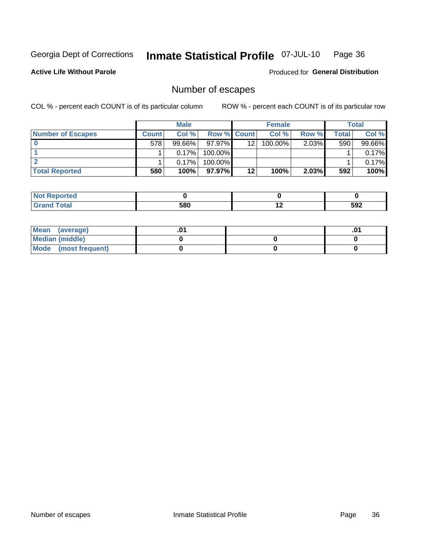#### Inmate Statistical Profile 07-JUL-10 Page 36

**Active Life Without Parole** 

**Produced for General Distribution** 

## Number of escapes

COL % - percent each COUNT is of its particular column

|                          |         | <b>Male</b> |                    |         | <b>Female</b> |       |       | <b>Total</b> |
|--------------------------|---------|-------------|--------------------|---------|---------------|-------|-------|--------------|
| <b>Number of Escapes</b> | Count l | Col %       | <b>Row % Count</b> |         | Col %         | Row % | Total | Col %        |
|                          | 578     | $99.66\%$   | $97.97\%$          | 12      | $100.00\%$    | 2.03% | 590   | 99.66%       |
|                          |         | 0.17%       | $100.00\%$         |         |               |       |       | 0.17%        |
|                          |         | 0.17%       | 100.00%            |         |               |       |       | 0.17%        |
| <b>Total Reported</b>    | 580     | 100%        | $97.97\%$          | $12 \,$ | 100%          | 2.03% | 592   | 100%         |

| prted<br><b>NOt Repo</b>      |     |     |     |
|-------------------------------|-----|-----|-----|
| <b>f</b> otal<br><b>Grand</b> | 580 | . . | 592 |

| Mean (average)       |  | .01 |
|----------------------|--|-----|
| Median (middle)      |  |     |
| Mode (most frequent) |  |     |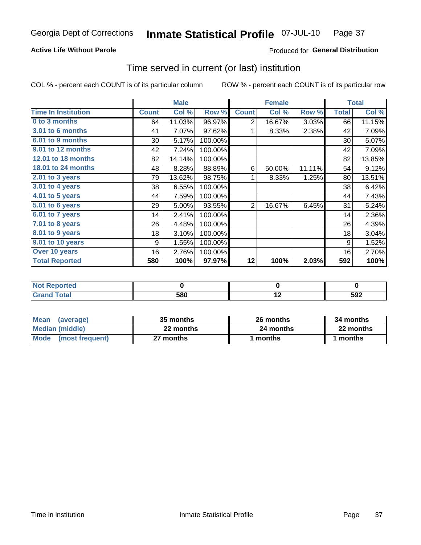### **Active Life Without Parole**

### Produced for General Distribution

## Time served in current (or last) institution

COL % - percent each COUNT is of its particular column

|                            |              | <b>Male</b> |         |              | <b>Female</b> |        |              | <b>Total</b> |
|----------------------------|--------------|-------------|---------|--------------|---------------|--------|--------------|--------------|
| <b>Time In Institution</b> | <b>Count</b> | Col %       | Row %   | <b>Count</b> | Col %         | Row %  | <b>Total</b> | Col %        |
| 0 to 3 months              | 64           | 11.03%      | 96.97%  | 2            | 16.67%        | 3.03%  | 66           | 11.15%       |
| <b>3.01 to 6 months</b>    | 41           | 7.07%       | 97.62%  |              | 8.33%         | 2.38%  | 42           | 7.09%        |
| 6.01 to 9 months           | 30           | 5.17%       | 100.00% |              |               |        | 30           | 5.07%        |
| 9.01 to 12 months          | 42           | 7.24%       | 100.00% |              |               |        | 42           | 7.09%        |
| 12.01 to 18 months         | 82           | 14.14%      | 100.00% |              |               |        | 82           | 13.85%       |
| 18.01 to 24 months         | 48           | 8.28%       | 88.89%  | 6            | 50.00%        | 11.11% | 54           | 9.12%        |
| $2.01$ to 3 years          | 79           | 13.62%      | 98.75%  |              | 8.33%         | 1.25%  | 80           | 13.51%       |
| 3.01 to 4 years            | 38           | 6.55%       | 100.00% |              |               |        | 38           | 6.42%        |
| 4.01 to 5 years            | 44           | 7.59%       | 100.00% |              |               |        | 44           | 7.43%        |
| 5.01 to 6 years            | 29           | 5.00%       | 93.55%  | 2            | 16.67%        | 6.45%  | 31           | 5.24%        |
| 6.01 to 7 years            | 14           | 2.41%       | 100.00% |              |               |        | 14           | 2.36%        |
| 7.01 to 8 years            | 26           | 4.48%       | 100.00% |              |               |        | 26           | 4.39%        |
| 8.01 to 9 years            | 18           | 3.10%       | 100.00% |              |               |        | 18           | 3.04%        |
| 9.01 to 10 years           | 9            | 1.55%       | 100.00% |              |               |        | 9            | 1.52%        |
| Over 10 years              | 16           | 2.76%       | 100.00% |              |               |        | 16           | 2.70%        |
| <b>Total Reported</b>      | 580          | 100%        | 97.97%  | 12           | 100%          | 2.03%  | 592          | 100%         |

| <b>Not Reported</b> |     |                          |     |
|---------------------|-----|--------------------------|-----|
| <b>Total</b>        | 580 | $\overline{\phantom{0}}$ | 592 |

| <b>Mean</b><br>(average) | 35 months | 26 months | 34 months |
|--------------------------|-----------|-----------|-----------|
| Median (middle)          | 22 months | 24 months | 22 months |
| Mode (most frequent)     | 27 months | 1 months  | l months  |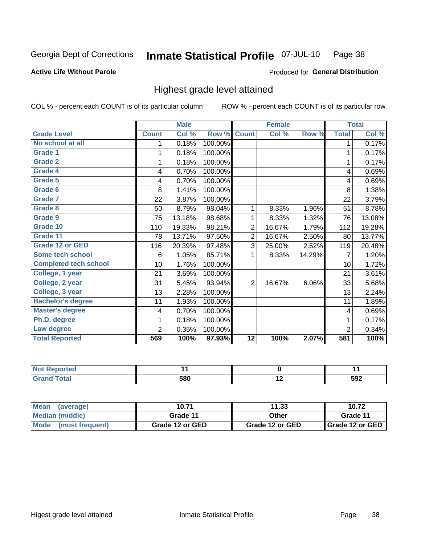#### Inmate Statistical Profile 07-JUL-10 Page 38

#### **Active Life Without Parole**

#### Produced for General Distribution

## Highest grade level attained

COL % - percent each COUNT is of its particular column

|                              |                 | <b>Male</b> |         |                 | <b>Female</b> |        |                | <b>Total</b> |
|------------------------------|-----------------|-------------|---------|-----------------|---------------|--------|----------------|--------------|
| <b>Grade Level</b>           | <b>Count</b>    | Col %       | Row %   | <b>Count</b>    | Col %         | Row %  | <b>Total</b>   | Col %        |
| No school at all             | 1               | 0.18%       | 100.00% |                 |               |        | 1              | 0.17%        |
| <b>Grade 1</b>               | 1               | 0.18%       | 100.00% |                 |               |        | 1              | 0.17%        |
| <b>Grade 2</b>               | 1               | 0.18%       | 100.00% |                 |               |        | 1              | 0.17%        |
| Grade 4                      | 4               | 0.70%       | 100.00% |                 |               |        | 4              | 0.69%        |
| Grade 5                      | 4               | 0.70%       | 100.00% |                 |               |        | 4              | 0.69%        |
| Grade 6                      | 8               | 1.41%       | 100.00% |                 |               |        | 8              | 1.38%        |
| <b>Grade 7</b>               | 22              | 3.87%       | 100.00% |                 |               |        | 22             | 3.79%        |
| <b>Grade 8</b>               | 50              | 8.79%       | 98.04%  | 1               | 8.33%         | 1.96%  | 51             | 8.78%        |
| <b>Grade 9</b>               | 75              | 13.18%      | 98.68%  | 1               | 8.33%         | 1.32%  | 76             | 13.08%       |
| Grade 10                     | 110             | 19.33%      | 98.21%  | $\overline{2}$  | 16.67%        | 1.79%  | 112            | 19.28%       |
| Grade 11                     | 78              | 13.71%      | 97.50%  | $\overline{2}$  | 16.67%        | 2.50%  | 80             | 13.77%       |
| <b>Grade 12 or GED</b>       | 116             | 20.39%      | 97.48%  | 3               | 25.00%        | 2.52%  | 119            | 20.48%       |
| <b>Some tech school</b>      | 6               | 1.05%       | 85.71%  | 1               | 8.33%         | 14.29% | 7              | 1.20%        |
| <b>Completed tech school</b> | 10 <sup>1</sup> | 1.76%       | 100.00% |                 |               |        | 10             | 1.72%        |
| College, 1 year              | 21              | 3.69%       | 100.00% |                 |               |        | 21             | 3.61%        |
| College, 2 year              | 31              | 5.45%       | 93.94%  | 2               | 16.67%        | 6.06%  | 33             | 5.68%        |
| College, 3 year              | 13              | 2.28%       | 100.00% |                 |               |        | 13             | 2.24%        |
| <b>Bachelor's degree</b>     | 11              | 1.93%       | 100.00% |                 |               |        | 11             | 1.89%        |
| <b>Master's degree</b>       | 4               | 0.70%       | 100.00% |                 |               |        | 4              | 0.69%        |
| Ph.D. degree                 | 1               | 0.18%       | 100.00% |                 |               |        | 1              | 0.17%        |
| Law degree                   | $\overline{2}$  | 0.35%       | 100.00% |                 |               |        | $\overline{2}$ | 0.34%        |
| <b>Total Reported</b>        | 569             | 100%        | 97.93%  | $\overline{12}$ | 100%          | 2.07%  | 581            | 100%         |

| <b>REDIORES</b> |     |            |
|-----------------|-----|------------|
| <b>ota</b>      | 580 | 5Q2<br>◡◡▵ |

| Mean (average)       | 10.71           | 11.33           | 10.72             |
|----------------------|-----------------|-----------------|-------------------|
| Median (middle)      | Grade 11        | Other           | Grade 11          |
| Mode (most frequent) | Grade 12 or GED | Grade 12 or GED | I Grade 12 or GED |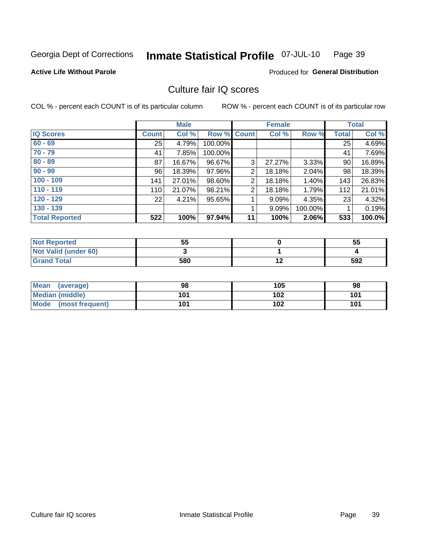#### Inmate Statistical Profile 07-JUL-10 Page 39

### **Active Life Without Parole**

**Produced for General Distribution** 

## Culture fair IQ scores

COL % - percent each COUNT is of its particular column

|                       |              | <b>Male</b> |             |                | <b>Female</b> |         |              | <b>Total</b> |
|-----------------------|--------------|-------------|-------------|----------------|---------------|---------|--------------|--------------|
| <b>IQ Scores</b>      | <b>Count</b> | Col %       | Row % Count |                | Col %         | Row %   | <b>Total</b> | Col %        |
| $60 - 69$             | 25           | 4.79%       | 100.00%     |                |               |         | 25           | 4.69%        |
| $70 - 79$             | 41           | 7.85%       | 100.00%     |                |               |         | 41           | 7.69%        |
| $80 - 89$             | 87           | 16.67%      | 96.67%      | 3              | 27.27%        | 3.33%   | 90           | 16.89%       |
| $90 - 99$             | 96           | 18.39%      | 97.96%      | $\overline{2}$ | 18.18%        | 2.04%   | 98           | 18.39%       |
| $100 - 109$           | 141          | 27.01%      | 98.60%      | 2              | 18.18%        | 1.40%   | 143          | 26.83%       |
| $110 - 119$           | 110          | 21.07%      | 98.21%      | $\overline{2}$ | 18.18%        | 1.79%   | 112          | 21.01%       |
| $120 - 129$           | 22           | 4.21%       | 95.65%      | 4              | 9.09%         | 4.35%   | 23           | 4.32%        |
| $130 - 139$           |              |             |             | 4              | 9.09%         | 100.00% |              | 0.19%        |
| <b>Total Reported</b> | 522          | 100%        | 97.94%      | 11             | 100%          | 2.06%   | 533          | 100.0%       |

| <b>Not Reported</b>  | 55  | 55  |
|----------------------|-----|-----|
| Not Valid (under 60) |     |     |
| <b>Grand Total</b>   | 580 | 592 |

| <b>Mean</b><br>(average) | 98  | 105 | 98  |
|--------------------------|-----|-----|-----|
| <b>Median (middle)</b>   | 101 | 102 | 101 |
| Mode<br>(most frequent)  | 101 | 102 | 101 |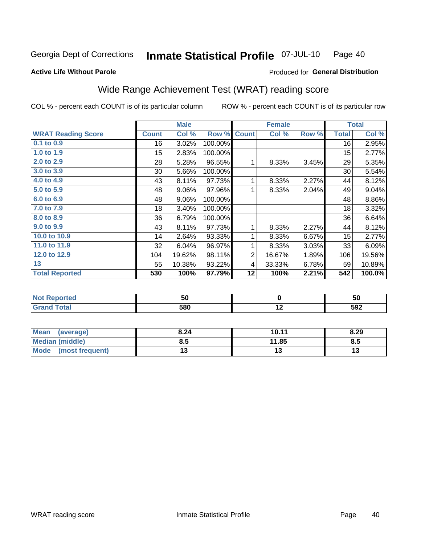#### **Inmate Statistical Profile 07-JUL-10** Page 40

#### **Active Life Without Parole**

## Produced for General Distribution

## Wide Range Achievement Test (WRAT) reading score

COL % - percent each COUNT is of its particular column

|                           |              | <b>Male</b> |         |                | <b>Female</b> |       |              | <b>Total</b> |
|---------------------------|--------------|-------------|---------|----------------|---------------|-------|--------------|--------------|
| <b>WRAT Reading Score</b> | <b>Count</b> | Col %       | Row %   | <b>Count</b>   | Col %         | Row % | <b>Total</b> | Col %        |
| 0.1 to 0.9                | 16           | 3.02%       | 100.00% |                |               |       | 16           | 2.95%        |
| 1.0 to 1.9                | 15           | 2.83%       | 100.00% |                |               |       | 15           | 2.77%        |
| 2.0 to 2.9                | 28           | 5.28%       | 96.55%  | 1              | 8.33%         | 3.45% | 29           | 5.35%        |
| 3.0 to 3.9                | 30           | 5.66%       | 100.00% |                |               |       | 30           | 5.54%        |
| 4.0 to 4.9                | 43           | 8.11%       | 97.73%  | 1              | 8.33%         | 2.27% | 44           | 8.12%        |
| 5.0 to 5.9                | 48           | 9.06%       | 97.96%  | 1              | 8.33%         | 2.04% | 49           | 9.04%        |
| 6.0 to 6.9                | 48           | 9.06%       | 100.00% |                |               |       | 48           | 8.86%        |
| 7.0 to 7.9                | 18           | 3.40%       | 100.00% |                |               |       | 18           | 3.32%        |
| 8.0 to 8.9                | 36           | 6.79%       | 100.00% |                |               |       | 36           | 6.64%        |
| 9.0 to 9.9                | 43           | 8.11%       | 97.73%  | 1              | 8.33%         | 2.27% | 44           | 8.12%        |
| 10.0 to 10.9              | 14           | 2.64%       | 93.33%  | 1              | 8.33%         | 6.67% | 15           | 2.77%        |
| 11.0 to 11.9              | 32           | 6.04%       | 96.97%  | 1              | 8.33%         | 3.03% | 33           | 6.09%        |
| 12.0 to 12.9              | 104          | 19.62%      | 98.11%  | $\overline{2}$ | 16.67%        | 1.89% | 106          | 19.56%       |
| 13                        | 55           | 10.38%      | 93.22%  | 4              | 33.33%        | 6.78% | 59           | 10.89%       |
| <b>Total Reported</b>     | 530          | 100%        | 97.79%  | 12             | 100%          | 2.21% | 542          | 100.0%       |
|                           |              |             |         |                |               |       |              |              |
| <b>Not Reported</b>       |              | 50          |         |                | $\mathbf 0$   |       |              | 50           |
| <b>Grand Total</b>        |              | 580         |         |                | 12            |       |              | 592          |

| <b>Mean</b><br>(average) | 8.24 | 10.11 | 8.29 |
|--------------------------|------|-------|------|
| Median (middle)          | 8.5  | 11.85 | Ծ.J  |
| Mode<br>(most frequent)  |      | . J   | יי   |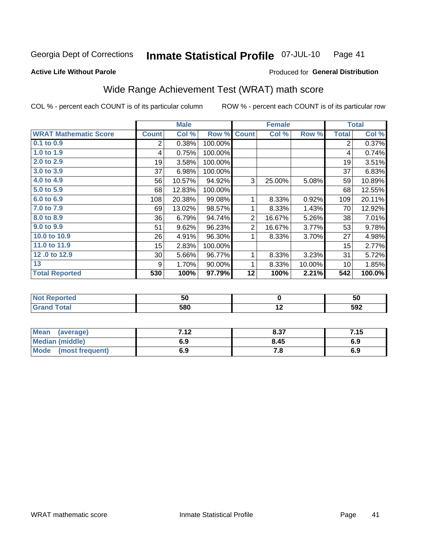#### Inmate Statistical Profile 07-JUL-10 Page 41

### **Active Life Without Parole**

## Produced for General Distribution

## Wide Range Achievement Test (WRAT) math score

COL % - percent each COUNT is of its particular column

ROW % - percent each COUNT is of its particular row

|                              |                | <b>Male</b> |         |                | <b>Female</b> |        |                | <b>Total</b> |
|------------------------------|----------------|-------------|---------|----------------|---------------|--------|----------------|--------------|
| <b>WRAT Mathematic Score</b> | <b>Count</b>   | Col %       | Row %   | <b>Count</b>   | Col %         | Row %  | <b>Total</b>   | Col %        |
| 0.1 to 0.9                   | $\overline{2}$ | 0.38%       | 100.00% |                |               |        | $\overline{2}$ | 0.37%        |
| 1.0 to 1.9                   | 4              | 0.75%       | 100.00% |                |               |        | 4              | 0.74%        |
| 2.0 to 2.9                   | 19             | 3.58%       | 100.00% |                |               |        | 19             | 3.51%        |
| 3.0 to 3.9                   | 37             | 6.98%       | 100.00% |                |               |        | 37             | 6.83%        |
| 4.0 to 4.9                   | 56             | 10.57%      | 94.92%  | 3              | 25.00%        | 5.08%  | 59             | 10.89%       |
| 5.0 to 5.9                   | 68             | 12.83%      | 100.00% |                |               |        | 68             | 12.55%       |
| 6.0 to 6.9                   | 108            | 20.38%      | 99.08%  | 1              | 8.33%         | 0.92%  | 109            | 20.11%       |
| 7.0 to 7.9                   | 69             | 13.02%      | 98.57%  | 1              | 8.33%         | 1.43%  | 70             | 12.92%       |
| 8.0 to 8.9                   | 36             | 6.79%       | 94.74%  | $\overline{2}$ | 16.67%        | 5.26%  | 38             | 7.01%        |
| 9.0 to 9.9                   | 51             | 9.62%       | 96.23%  | $\overline{2}$ | 16.67%        | 3.77%  | 53             | 9.78%        |
| 10.0 to 10.9                 | 26             | 4.91%       | 96.30%  | 1              | 8.33%         | 3.70%  | 27             | 4.98%        |
| 11.0 to 11.9                 | 15             | 2.83%       | 100.00% |                |               |        | 15             | 2.77%        |
| 12.0 to 12.9                 | 30             | 5.66%       | 96.77%  | 1              | 8.33%         | 3.23%  | 31             | 5.72%        |
| 13                           | 9              | 1.70%       | 90.00%  | 1              | 8.33%         | 10.00% | 10             | 1.85%        |
| <b>Total Reported</b>        | 530            | 100%        | 97.79%  | 12             | 100%          | 2.21%  | 542            | 100.0%       |
|                              |                |             |         |                |               |        |                |              |
| <b>Not Reported</b>          |                | 50          |         |                | $\mathbf 0$   |        |                | 50           |
| <b>Grand Total</b>           |                | 580         |         |                | 12            |        |                | 592          |

| <b>Mean</b><br>(average) | 710 | 8.37 | 7.15 |
|--------------------------|-----|------|------|
| Median (middle)          | 6.9 | 8.45 | 6.9  |
| Mode<br>(most frequent)  | 6.9 | 7. a | 6.9  |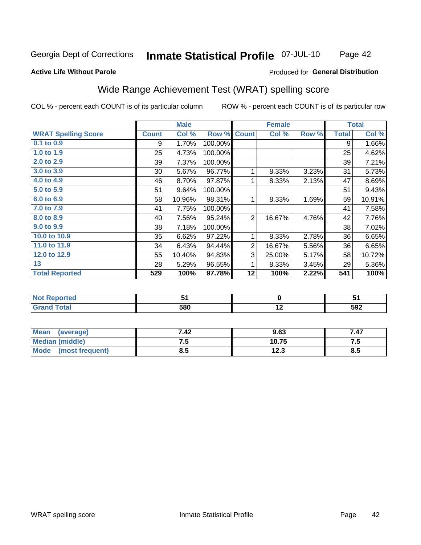#### Inmate Statistical Profile 07-JUL-10 Page 42

#### **Active Life Without Parole**

### Produced for General Distribution

## Wide Range Achievement Test (WRAT) spelling score

COL % - percent each COUNT is of its particular column

|                            |              | <b>Male</b> |         |                | <b>Female</b>    |       |              | <b>Total</b> |
|----------------------------|--------------|-------------|---------|----------------|------------------|-------|--------------|--------------|
| <b>WRAT Spelling Score</b> | <b>Count</b> | Col %       | Row %   | <b>Count</b>   | Col %            | Row % | <b>Total</b> | Col %        |
| $0.1$ to $0.9$             | 9            | 1.70%       | 100.00% |                |                  |       | 9            | 1.66%        |
| 1.0 to 1.9                 | 25           | 4.73%       | 100.00% |                |                  |       | 25           | 4.62%        |
| 2.0 to 2.9                 | 39           | 7.37%       | 100.00% |                |                  |       | 39           | 7.21%        |
| 3.0 to 3.9                 | 30           | 5.67%       | 96.77%  | 1              | 8.33%            | 3.23% | 31           | 5.73%        |
| 4.0 to 4.9                 | 46           | 8.70%       | 97.87%  | 1              | 8.33%            | 2.13% | 47           | 8.69%        |
| 5.0 to 5.9                 | 51           | 9.64%       | 100.00% |                |                  |       | 51           | 9.43%        |
| 6.0 to 6.9                 | 58           | 10.96%      | 98.31%  | 1              | 8.33%            | 1.69% | 59           | 10.91%       |
| 7.0 to 7.9                 | 41           | 7.75%       | 100.00% |                |                  |       | 41           | 7.58%        |
| 8.0 to 8.9                 | 40           | 7.56%       | 95.24%  | $\overline{2}$ | 16.67%           | 4.76% | 42           | 7.76%        |
| 9.0 to 9.9                 | 38           | 7.18%       | 100.00% |                |                  |       | 38           | 7.02%        |
| 10.0 to 10.9               | 35           | 6.62%       | 97.22%  | 1              | 8.33%            | 2.78% | 36           | 6.65%        |
| 11.0 to 11.9               | 34           | 6.43%       | 94.44%  | $\overline{2}$ | 16.67%           | 5.56% | 36           | 6.65%        |
| 12.0 to 12.9               | 55           | 10.40%      | 94.83%  | 3              | 25.00%           | 5.17% | 58           | 10.72%       |
| 13                         | 28           | 5.29%       | 96.55%  | 1              | 8.33%            | 3.45% | 29           | 5.36%        |
| <b>Total Reported</b>      | 529          | 100%        | 97.78%  | 12             | 100%             | 2.22% | 541          | 100%         |
|                            |              |             |         |                |                  |       |              |              |
| <b>Not Reported</b>        |              | 51          |         |                | $\mathbf 0$      |       |              | 51           |
| <b>Grand Total</b>         |              | 580         |         |                | $\overline{12}$  |       |              | 592          |
|                            |              |             |         |                |                  |       |              |              |
| Moon (gyorogia)            |              | <b>742</b>  |         |                | 0.C <sub>2</sub> |       |              | 747          |

| <b>Mean</b><br>(average)       | 7.42 | 9.63  | 7.47 |
|--------------------------------|------|-------|------|
| <b>Median (middle)</b>         | ں. ، | 10.75 | .    |
| <b>Mode</b><br>(most frequent) | ช.ว  | 12.3  | ช.ว  |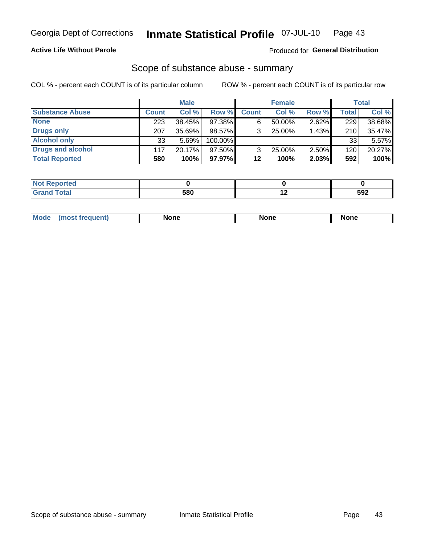### **Active Life Without Parole**

### Produced for General Distribution

### Scope of substance abuse - summary

COL % - percent each COUNT is of its particular column

|                        |              | <b>Male</b> |         |              | <b>Female</b> |          |              | Total  |
|------------------------|--------------|-------------|---------|--------------|---------------|----------|--------------|--------|
| <b>Substance Abuse</b> | <b>Count</b> | Col %       | Row %   | <b>Count</b> | Col %         | Row %    | <b>Total</b> | Col %  |
| <b>None</b>            | 223          | 38.45%      | 97.38%  | 6            | $50.00\%$     | $2.62\%$ | 229          | 38.68% |
| <b>Drugs only</b>      | 207          | 35.69%      | 98.57%  |              | 25.00%        | 1.43%    | 210          | 35.47% |
| <b>Alcohol only</b>    | 33           | 5.69%       | 100.00% |              |               |          | 33           | 5.57%  |
| Drugs and alcohol      | 117          | 20.17%      | 97.50%  |              | 25.00%        | 2.50%    | 120          | 20.27% |
| <b>Total Reported</b>  | 580          | 100%        | 97.97%  | 12           | 100%          | 2.03%    | 592          | 100%   |

| <b>Reported</b><br>∗NO). |     |     |     |
|--------------------------|-----|-----|-----|
| Total                    | 580 | . . | 592 |

| Mode<br>None<br>None<br>None<br>quenu |
|---------------------------------------|
|---------------------------------------|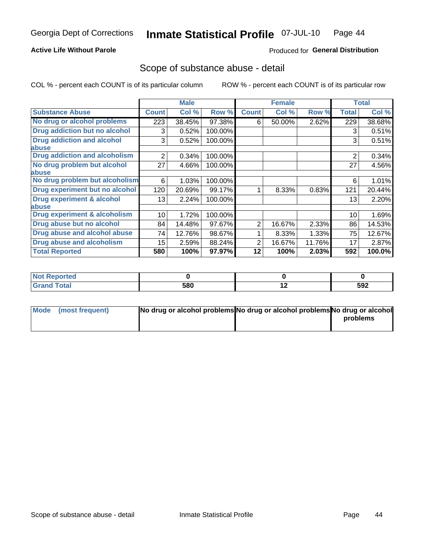### **Active Life Without Parole**

### Produced for General Distribution

## Scope of substance abuse - detail

COL % - percent each COUNT is of its particular column

|                                         |                | <b>Male</b> |         |              | <b>Female</b> |        |                | <b>Total</b> |
|-----------------------------------------|----------------|-------------|---------|--------------|---------------|--------|----------------|--------------|
| <b>Substance Abuse</b>                  | <b>Count</b>   | Col %       | Row %   | <b>Count</b> | Col %         | Row %  | <b>Total</b>   | Col %        |
| No drug or alcohol problems             | 223            | 38.45%      | 97.38%  | 6            | 50.00%        | 2.62%  | 229            | 38.68%       |
| Drug addiction but no alcohol           | 3              | 0.52%       | 100.00% |              |               |        | 3              | 0.51%        |
| <b>Drug addiction and alcohol</b>       | 3              | 0.52%       | 100.00% |              |               |        | 3              | 0.51%        |
| abuse                                   |                |             |         |              |               |        |                |              |
| <b>Drug addiction and alcoholism</b>    | $\overline{2}$ | 0.34%       | 100.00% |              |               |        | $\overline{2}$ | 0.34%        |
| No drug problem but alcohol             | 27             | 4.66%       | 100.00% |              |               |        | 27             | 4.56%        |
| abuse                                   |                |             |         |              |               |        |                |              |
| No drug problem but alcoholism          | 6              | 1.03%       | 100.00% |              |               |        | 6              | 1.01%        |
| Drug experiment but no alcohol          | 120            | 20.69%      | 99.17%  |              | 8.33%         | 0.83%  | 121            | 20.44%       |
| <b>Drug experiment &amp; alcohol</b>    | 13             | 2.24%       | 100.00% |              |               |        | 13             | 2.20%        |
| abuse                                   |                |             |         |              |               |        |                |              |
| <b>Drug experiment &amp; alcoholism</b> | 10             | 1.72%       | 100.00% |              |               |        | 10             | 1.69%        |
| Drug abuse but no alcohol               | 84             | 14.48%      | 97.67%  | 2            | 16.67%        | 2.33%  | 86             | 14.53%       |
| Drug abuse and alcohol abuse            | 74             | 12.76%      | 98.67%  |              | 8.33%         | 1.33%  | 75             | 12.67%       |
| <b>Drug abuse and alcoholism</b>        | 15             | 2.59%       | 88.24%  | 2            | 16.67%        | 11.76% | 17             | 2.87%        |
| <b>Total Reported</b>                   | 580            | 100%        | 97.97%  | 12           | 100%          | 2.03%  | 592            | 100.0%       |

| NOT<br>portea |     |                          |     |
|---------------|-----|--------------------------|-----|
|               | 580 | $\overline{\phantom{a}}$ | 592 |

| Mode (most frequent) | No drug or alcohol problems No drug or alcohol problems No drug or alcohol |          |
|----------------------|----------------------------------------------------------------------------|----------|
|                      |                                                                            | problems |
|                      |                                                                            |          |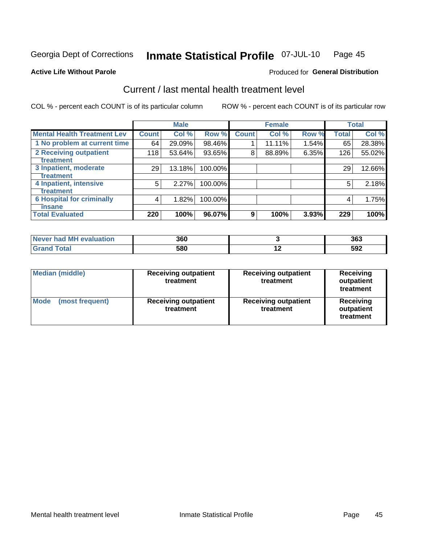#### Inmate Statistical Profile 07-JUL-10 Page 45

#### **Active Life Without Parole**

### **Produced for General Distribution**

## Current / last mental health treatment level

COL % - percent each COUNT is of its particular column

|                                    |              | <b>Male</b> |         |              | <b>Female</b> |       |              | <b>Total</b> |
|------------------------------------|--------------|-------------|---------|--------------|---------------|-------|--------------|--------------|
| <b>Mental Health Treatment Lev</b> | <b>Count</b> | Col %       | Row %   | <b>Count</b> | Col %         | Row % | <b>Total</b> | Col %        |
| 1 No problem at current time       | 64           | 29.09%      | 98.46%  |              | 11.11%        | 1.54% | 65           | 28.38%       |
| 2 Receiving outpatient             | 118          | 53.64%      | 93.65%  | 8            | 88.89%        | 6.35% | 126          | 55.02%       |
| <b>Treatment</b>                   |              |             |         |              |               |       |              |              |
| 3 Inpatient, moderate              | 29           | 13.18%      | 100.00% |              |               |       | 29           | 12.66%       |
| Treatment                          |              |             |         |              |               |       |              |              |
| 4 Inpatient, intensive             | 5            | 2.27%       | 100.00% |              |               |       | 5            | 2.18%        |
| Treatment                          |              |             |         |              |               |       |              |              |
| <b>6 Hospital for criminally</b>   | 4            | 1.82%       | 100.00% |              |               |       | 4            | 1.75%        |
| Tinsane                            |              |             |         |              |               |       |              |              |
| <b>Total Evaluated</b>             | 220          | 100%        | 96.07%  | 9            | 100%          | 3.93% | 229          | 100%         |

| evaluation<br>Never had MI | 360 |             | 363         |
|----------------------------|-----|-------------|-------------|
|                            | 580 | <u>. . </u> | 592<br>$ -$ |

| <b>Median (middle)</b>  | <b>Receiving outpatient</b><br>treatment | <b>Receiving outpatient</b><br>treatment | <b>Receiving</b><br>outpatient<br>treatment |  |  |
|-------------------------|------------------------------------------|------------------------------------------|---------------------------------------------|--|--|
| Mode<br>(most frequent) | <b>Receiving outpatient</b><br>treatment | <b>Receiving outpatient</b><br>treatment | Receiving<br>outpatient<br>treatment        |  |  |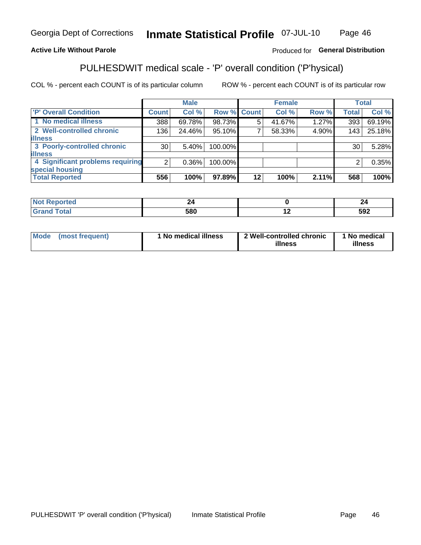#### Inmate Statistical Profile 07-JUL-10 Page 46

### **Active Life Without Parole**

### Produced for General Distribution

## PULHESDWIT medical scale - 'P' overall condition ('P'hysical)

COL % - percent each COUNT is of its particular column

|                                  |                 | <b>Male</b> |             |         | <b>Female</b> |       |              | <b>Total</b> |
|----------------------------------|-----------------|-------------|-------------|---------|---------------|-------|--------------|--------------|
| 'P' Overall Condition            | Count l         | Col %       | Row % Count |         | Col %         | Row % | <b>Total</b> | Col %        |
| 1 No medical illness             | 388             | 69.78%      | 98.73%      | 5       | 41.67%        | 1.27% | 393          | 69.19%       |
| 2 Well-controlled chronic        | 136             | 24.46%      | 95.10%      |         | 58.33%        | 4.90% | 143          | 25.18%       |
| <b>illness</b>                   |                 |             |             |         |               |       |              |              |
| 3 Poorly-controlled chronic      | 30 <sub>1</sub> | 5.40%       | 100.00%     |         |               |       | 30           | 5.28%        |
| <b>illness</b>                   |                 |             |             |         |               |       |              |              |
| 4 Significant problems requiring | 2               | $0.36\%$    | 100.00%     |         |               |       | 2            | 0.35%        |
| special housing                  |                 |             |             |         |               |       |              |              |
| <b>Total Reported</b>            | 556             | 100%        | 97.89%      | $12 \,$ | 100%          | 2.11% | 568          | 100%         |

| _____ | 580 | $\overline{\phantom{0}}$ | にへつ<br>งฮ∠ |
|-------|-----|--------------------------|------------|

| Mode | (most frequent) | <sup>1</sup> No medical illness | 2 Well-controlled chronic<br>illness | 1 No medical<br>illness |
|------|-----------------|---------------------------------|--------------------------------------|-------------------------|
|------|-----------------|---------------------------------|--------------------------------------|-------------------------|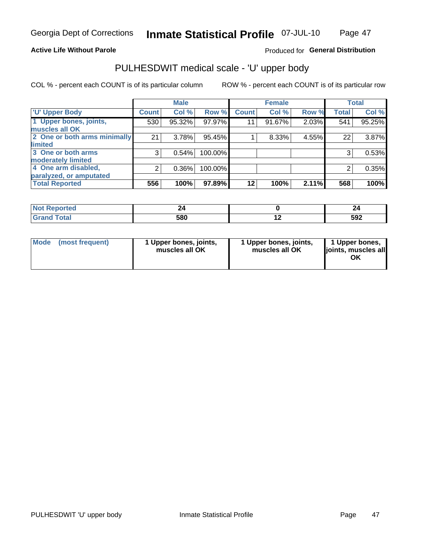#### **Active Life Without Parole**

### Produced for General Distribution

# PULHESDWIT medical scale - 'U' upper body

COL % - percent each COUNT is of its particular column

|                              |                    | <b>Male</b> |         |              | <b>Female</b> |       |              | <b>Total</b> |
|------------------------------|--------------------|-------------|---------|--------------|---------------|-------|--------------|--------------|
| <b>'U' Upper Body</b>        | Count <sup>!</sup> | Col %       | Row %   | <b>Count</b> | Col %         | Row % | <b>Total</b> | Col %        |
| 1 Upper bones, joints,       | 530                | 95.32%      | 97.97%  | 11           | 91.67%        | 2.03% | 541          | 95.25%       |
| muscles all OK               |                    |             |         |              |               |       |              |              |
| 2 One or both arms minimally | 21                 | 3.78%       | 95.45%  |              | 8.33%         | 4.55% | 22           | 3.87%        |
| limited                      |                    |             |         |              |               |       |              |              |
| 3 One or both arms           | 3                  | 0.54%       | 100.00% |              |               |       | 3            | 0.53%        |
| moderately limited           |                    |             |         |              |               |       |              |              |
| 4 One arm disabled,          | 2                  | 0.36%       | 100.00% |              |               |       | 2            | 0.35%        |
| paralyzed, or amputated      |                    |             |         |              |               |       |              |              |
| <b>Total Reported</b>        | 556                | 100%        | 97.89%  | $12 \,$      | 100%          | 2.11% | 568          | 100%         |

| <b>Not Reported</b>      |     |     | --  |
|--------------------------|-----|-----|-----|
| <b>Total</b><br>ا الله ا | 580 | . . | 592 |

|  | Mode (most frequent) | 1 Upper bones, joints,<br>muscles all OK | 1 Upper bones, joints,<br>muscles all OK | 1 Upper bones,<br>ljoints, muscles all<br>ΟK |
|--|----------------------|------------------------------------------|------------------------------------------|----------------------------------------------|
|--|----------------------|------------------------------------------|------------------------------------------|----------------------------------------------|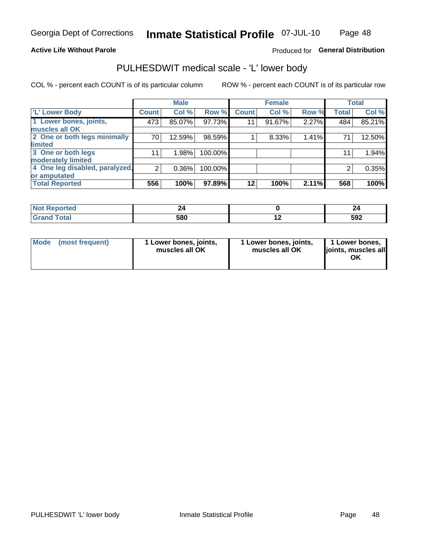#### **Active Life Without Parole**

### Produced for General Distribution

## PULHESDWIT medical scale - 'L' lower body

COL % - percent each COUNT is of its particular column

|                                |                | <b>Male</b> |         |              | <b>Female</b> |       |              | <b>Total</b> |
|--------------------------------|----------------|-------------|---------|--------------|---------------|-------|--------------|--------------|
| 'L' Lower Body                 | <b>Count</b>   | Col %       | Row %   | <b>Count</b> | Col %         | Row % | <b>Total</b> | Col %        |
| 1 Lower bones, joints,         | 473            | 85.07%      | 97.73%  | 11           | 91.67%        | 2.27% | 484          | 85.21%       |
| muscles all OK                 |                |             |         |              |               |       |              |              |
| 2 One or both legs minimally   | 70             | 12.59%      | 98.59%  |              | 8.33%         | 1.41% | 71           | 12.50%       |
| limited                        |                |             |         |              |               |       |              |              |
| 3 One or both legs             | 11             | 1.98%       | 100.00% |              |               |       | 11           | 1.94%        |
| moderately limited             |                |             |         |              |               |       |              |              |
| 4 One leg disabled, paralyzed, | $\overline{2}$ | 0.36%       | 100.00% |              |               |       | 2            | 0.35%        |
| or amputated                   |                |             |         |              |               |       |              |              |
| <b>Total Reported</b>          | 556            | 100%        | 97.89%  | $12 \,$      | 100%          | 2.11% | 568          | 100%         |

| <b>Not Reported</b>      |     | --  |
|--------------------------|-----|-----|
| <b>Total</b><br>ا الله ا | 580 | 592 |

| Mode | (most frequent) | 1 Lower bones, joints,<br>muscles all OK | 1 Lower bones, joints,<br>muscles all OK | 1 Lower bones,<br>ljoints, muscles all<br>ΟK |
|------|-----------------|------------------------------------------|------------------------------------------|----------------------------------------------|
|------|-----------------|------------------------------------------|------------------------------------------|----------------------------------------------|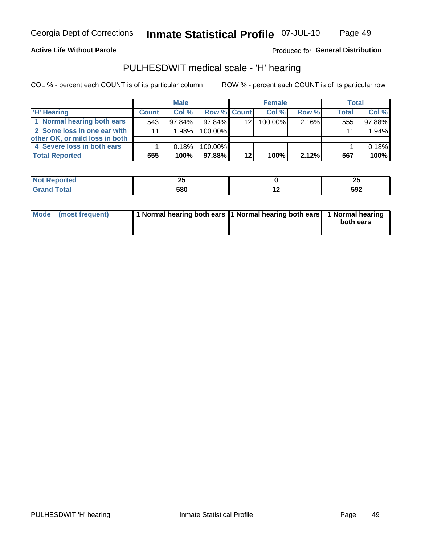#### **Active Life Without Parole**

### Produced for General Distribution

## PULHESDWIT medical scale - 'H' hearing

COL % - percent each COUNT is of its particular column

|                                |              | <b>Male</b> |                    |         | <b>Female</b> |       | Total        |        |
|--------------------------------|--------------|-------------|--------------------|---------|---------------|-------|--------------|--------|
| <b>H' Hearing</b>              | <b>Count</b> | Col %       | <b>Row % Count</b> |         | Col %         | Row % | <b>Total</b> | Col %  |
| 1 Normal hearing both ears     | 543          | $97.84\%$   | 97.84%             | 12      | 100.00%       | 2.16% | 555          | 97.88% |
| 2 Some loss in one ear with    | 11           | 1.98%       | 100.00%            |         |               |       | 11           | 1.94%  |
| other OK, or mild loss in both |              |             |                    |         |               |       |              |        |
| 4 Severe loss in both ears     |              | 0.18%       | 100.00%            |         |               |       |              | 0.18%  |
| <b>Total Reported</b>          | 555          | 100%        | 97.88%             | $12 \,$ | 100%          | 2.12% | 567          | 100%   |

| ™teu   | --<br>Δv | --<br>w |
|--------|----------|---------|
| $\sim$ | 580      | 592     |

| Mode (most frequent) | 1 Normal hearing both ears 1 Normal hearing both ears 1 Normal hearing |           |
|----------------------|------------------------------------------------------------------------|-----------|
|                      |                                                                        | both ears |
|                      |                                                                        |           |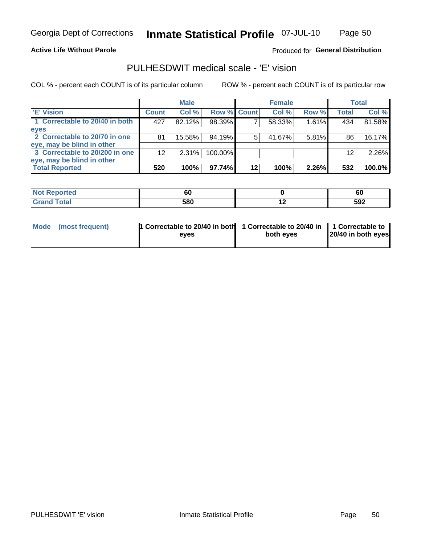Page 50

#### **Active Life Without Parole**

### Produced for General Distribution

## PULHESDWIT medical scale - 'E' vision

COL % - percent each COUNT is of its particular column

|                                |              | <b>Male</b> |                    |    | <b>Female</b> |       |              | Total  |
|--------------------------------|--------------|-------------|--------------------|----|---------------|-------|--------------|--------|
| 'E' Vision                     | <b>Count</b> | Col %       | <b>Row % Count</b> |    | Col %         | Row % | <b>Total</b> | Col %  |
| 1 Correctable to 20/40 in both | 427          | 82.12%      | 98.39%             |    | 58.33%        | 1.61% | 434          | 81.58% |
| eyes                           |              |             |                    |    |               |       |              |        |
| 2 Correctable to 20/70 in one  | 81           | 15.58%      | 94.19%             | 5  | 41.67%        | 5.81% | 86           | 16.17% |
| eye, may be blind in other     |              |             |                    |    |               |       |              |        |
| 3 Correctable to 20/200 in one | 12           | $2.31\%$    | 100.00%            |    |               |       | 12           | 2.26%  |
| eye, may be blind in other     |              |             |                    |    |               |       |              |        |
| <b>Total Reported</b>          | 520          | 100%        | 97.74%             | 12 | 100%          | 2.26% | 532          | 100.0% |

| <b>rted</b><br>NO<br>REFE | - -<br>σC |     | cı<br>σu |
|---------------------------|-----------|-----|----------|
| <b>Total</b>              | 580       | . . | 592      |

| <b>Mode</b> | (most frequent) | 1 Correctable to 20/40 in both | 1 Correctable to 20/40 in   1 Correctable to |                    |
|-------------|-----------------|--------------------------------|----------------------------------------------|--------------------|
|             |                 | eves                           | both eves                                    | 20/40 in both eyes |
|             |                 |                                |                                              |                    |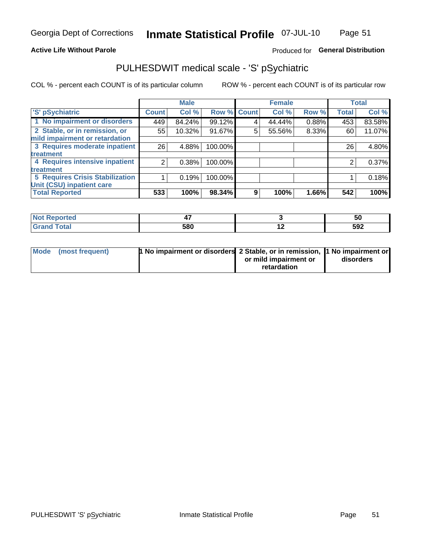### **Active Life Without Parole**

### Produced for General Distribution

## PULHESDWIT medical scale - 'S' pSychiatric

COL % - percent each COUNT is of its particular column

|                                        |              | <b>Male</b> |             |   | <b>Female</b> |       |              | <b>Total</b> |
|----------------------------------------|--------------|-------------|-------------|---|---------------|-------|--------------|--------------|
| 'S' pSychiatric                        | <b>Count</b> | Col %       | Row % Count |   | Col %         | Row % | <b>Total</b> | Col %        |
| 1 No impairment or disorders           | 449          | 84.24%      | 99.12%      |   | 44.44%        | 0.88% | 453          | 83.58%       |
| 2 Stable, or in remission, or          | 55           | 10.32%      | 91.67%      | 5 | 55.56%        | 8.33% | 60           | 11.07%       |
| mild impairment or retardation         |              |             |             |   |               |       |              |              |
| 3 Requires moderate inpatient          | 26           | 4.88%       | 100.00%     |   |               |       | 26           | 4.80%        |
| <b>treatment</b>                       |              |             |             |   |               |       |              |              |
| 4 Requires intensive inpatient         |              | 0.38%       | 100.00%     |   |               |       | 2            | 0.37%        |
| <b>treatment</b>                       |              |             |             |   |               |       |              |              |
| <b>5 Requires Crisis Stabilization</b> |              | 0.19%       | 100.00%     |   |               |       |              | 0.18%        |
| Unit (CSU) inpatient care              |              |             |             |   |               |       |              |              |
| <b>Total Reported</b>                  | 533          | 100%        | 98.34%      | 9 | 100%          | 1.66% | 542          | 100%         |

| <b>Not Reported</b> |     |     | ას  |
|---------------------|-----|-----|-----|
| <b>Total</b>        | 580 | . . | 592 |

| Mode (most frequent) | <b>1 No impairment or disorders 2 Stable, or in remission, 1 No impairment or</b> |                       |           |
|----------------------|-----------------------------------------------------------------------------------|-----------------------|-----------|
|                      |                                                                                   | or mild impairment or | disorders |
|                      |                                                                                   | retardation           |           |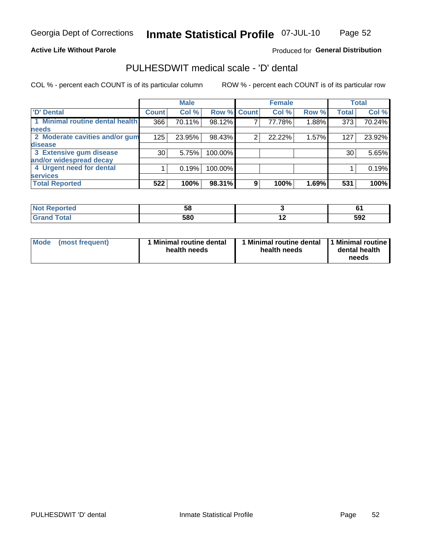#### **Active Life Without Parole**

## Produced for General Distribution

## PULHESDWIT medical scale - 'D' dental

COL % - percent each COUNT is of its particular column

|                                 |              | <b>Male</b> |         |             | <b>Female</b> |       |              | <b>Total</b> |
|---------------------------------|--------------|-------------|---------|-------------|---------------|-------|--------------|--------------|
| 'D' Dental                      | <b>Count</b> | Col %       |         | Row % Count | Col %         | Row % | <b>Total</b> | Col %        |
| 1 Minimal routine dental health | 366          | 70.11%      | 98.12%  |             | 77.78%        | 1.88% | 373          | 70.24%       |
| <b>needs</b>                    |              |             |         |             |               |       |              |              |
| 2 Moderate cavities and/or gum  | 125          | 23.95%      | 98.43%  | 2           | 22.22%        | 1.57% | 127          | 23.92%       |
| disease                         |              |             |         |             |               |       |              |              |
| 3 Extensive gum disease         | 30           | 5.75%       | 100.00% |             |               |       | 30           | 5.65%        |
| and/or widespread decay         |              |             |         |             |               |       |              |              |
| 4 Urgent need for dental        |              | 0.19%       | 100.00% |             |               |       |              | 0.19%        |
| <b>services</b>                 |              |             |         |             |               |       |              |              |
| <b>Total Reported</b>           | 522          | 100%        | 98.31%  | 9           | 100%          | 1.69% | 531          | 100%         |

| المناسب المتعاد<br>rtea     | JL.       |                          |     |
|-----------------------------|-----------|--------------------------|-----|
| $f \sim f \sim f$<br>$\sim$ | 580<br>uu | $\overline{\phantom{0}}$ | 592 |

| <b>Mode</b> | (most frequent) | <b>Minimal routine dental</b><br>health needs | 1 Minimal routine dental<br>health needs | <b>11 Minimal routine I</b><br>dental health<br>needs |
|-------------|-----------------|-----------------------------------------------|------------------------------------------|-------------------------------------------------------|
|-------------|-----------------|-----------------------------------------------|------------------------------------------|-------------------------------------------------------|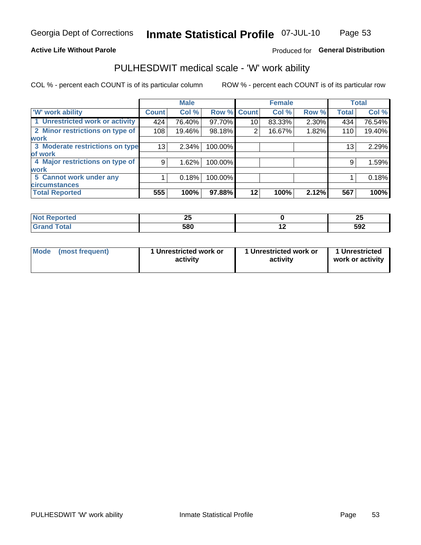### **Active Life Without Parole**

### Produced for General Distribution

## PULHESDWIT medical scale - 'W' work ability

COL % - percent each COUNT is of its particular column

|                                 |                 | <b>Male</b> |         |             | <b>Female</b> |       |              | <b>Total</b> |
|---------------------------------|-----------------|-------------|---------|-------------|---------------|-------|--------------|--------------|
| <b>W' work ability</b>          | <b>Count</b>    | Col %       |         | Row % Count | Col %         | Row % | <b>Total</b> | Col %        |
| 1 Unrestricted work or activity | 424             | 76.40%      | 97.70%  | 10          | 83.33%        | 2.30% | 434          | 76.54%       |
| 2 Minor restrictions on type of | 108             | 19.46%      | 98.18%  | 2           | 16.67%        | 1.82% | 110          | 19.40%       |
| <b>work</b>                     |                 |             |         |             |               |       |              |              |
| 3 Moderate restrictions on type | 13 <sub>1</sub> | 2.34%       | 100.00% |             |               |       | 13           | 2.29%        |
| lof work                        |                 |             |         |             |               |       |              |              |
| 4 Major restrictions on type of | 9               | 1.62%       | 100.00% |             |               |       | 9            | 1.59%        |
| <b>work</b>                     |                 |             |         |             |               |       |              |              |
| 5 Cannot work under any         |                 | 0.18%       | 100.00% |             |               |       |              | 0.18%        |
| <b>circumstances</b>            |                 |             |         |             |               |       |              |              |
| <b>Total Reported</b>           | 555             | 100%        | 97.88%  | 12          | 100%          | 2.12% | 567          | 100%         |

| <b>Not Reported</b> | --<br>-- |     | ΩL<br>-- |
|---------------------|----------|-----|----------|
| <b>Grand Total</b>  | 580      | . . | 592      |

| <b>Mode</b> | (most frequent) | 1 Unrestricted work or<br>activity | 1 Unrestricted work or<br>activity | 1 Unrestricted<br>work or activity |
|-------------|-----------------|------------------------------------|------------------------------------|------------------------------------|
|-------------|-----------------|------------------------------------|------------------------------------|------------------------------------|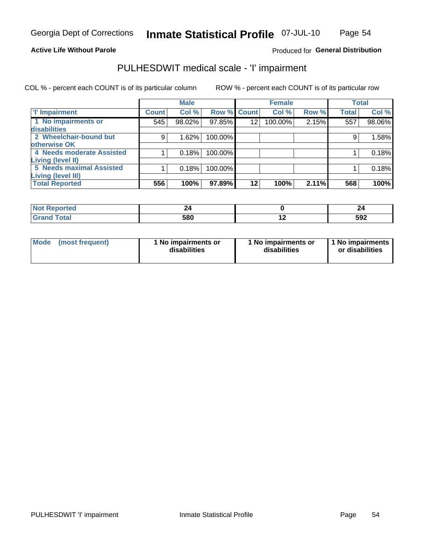#### **Active Life Without Parole**

### Produced for General Distribution

## PULHESDWIT medical scale - 'I' impairment

COL % - percent each COUNT is of its particular column ROW % - percent each COUNT is of its particular row

|                           |                    | <b>Male</b> |             |         | <b>Female</b> |       |              | <b>Total</b> |
|---------------------------|--------------------|-------------|-------------|---------|---------------|-------|--------------|--------------|
| <b>T' Impairment</b>      | Count <sup>1</sup> | Col %       | Row % Count |         | Col %         | Row % | <b>Total</b> | Col %        |
| 1 No impairments or       | 545                | 98.02%      | 97.85%      | 12      | 100.00%       | 2.15% | 557          | 98.06%       |
| <b>disabilities</b>       |                    |             |             |         |               |       |              |              |
| 2 Wheelchair-bound but    | 9                  | 1.62%       | 100.00%     |         |               |       | 9            | 1.58%        |
| otherwise OK              |                    |             |             |         |               |       |              |              |
| 4 Needs moderate Assisted |                    | 0.18%       | 100.00%     |         |               |       |              | 0.18%        |
| Living (level II)         |                    |             |             |         |               |       |              |              |
| 5 Needs maximal Assisted  |                    | 0.18%       | 100.00%     |         |               |       |              | 0.18%        |
| <b>Living (level III)</b> |                    |             |             |         |               |       |              |              |
| <b>Total Reported</b>     | 556                | 100%        | 97.89%      | $12 \,$ | 100%          | 2.11% | 568          | 100%         |

| eported } |     |     |     |
|-----------|-----|-----|-----|
| Total     | 580 | . . | 592 |

| Mode | (most frequent) | 1 No impairments or<br>disabilities | 1 No impairments or<br>disabilities | 1 No impairments  <br>or disabilities |
|------|-----------------|-------------------------------------|-------------------------------------|---------------------------------------|
|------|-----------------|-------------------------------------|-------------------------------------|---------------------------------------|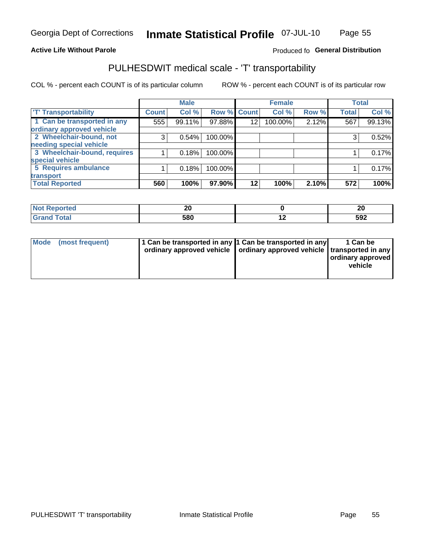### **Active Life Without Parole**

### Produced fo General Distribution

## PULHESDWIT medical scale - 'T' transportability

COL % - percent each COUNT is of its particular column

|                              |              | <b>Male</b> |             |                 | <b>Female</b> |       |              | <b>Total</b> |
|------------------------------|--------------|-------------|-------------|-----------------|---------------|-------|--------------|--------------|
| <b>T' Transportability</b>   | <b>Count</b> | Col %       | Row % Count |                 | Col %         | Row % | <b>Total</b> | Col %        |
| 1 Can be transported in any  | 555          | 99.11%      | 97.88%      | 12              | 100.00%       | 2.12% | 567          | 99.13%       |
| ordinary approved vehicle    |              |             |             |                 |               |       |              |              |
| 2 Wheelchair-bound, not      | 3            | 0.54%       | 100.00%     |                 |               |       | 3            | 0.52%        |
| needing special vehicle      |              |             |             |                 |               |       |              |              |
| 3 Wheelchair-bound, requires |              | 0.18%       | 100.00%     |                 |               |       |              | 0.17%        |
| special vehicle              |              |             |             |                 |               |       |              |              |
| 5 Requires ambulance         |              | 0.18%       | 100.00%     |                 |               |       |              | 0.17%        |
| transport                    |              |             |             |                 |               |       |              |              |
| <b>Total Reported</b>        | 560          | 100%        | 97.90%      | 12 <sub>1</sub> | 100%          | 2.10% | 572          | 100%         |

| onteo | ^^<br>Δu |     | ה ה<br>ZV |
|-------|----------|-----|-----------|
|       | 580      | . . | 592       |

| <b>Mode</b> | (most frequent) | 1 Can be transported in any 1 Can be transported in any | ordinary approved vehicle   ordinary approved vehicle   transported in any | 1 Can be<br>  ordinary approved  <br>vehicle |
|-------------|-----------------|---------------------------------------------------------|----------------------------------------------------------------------------|----------------------------------------------|
|-------------|-----------------|---------------------------------------------------------|----------------------------------------------------------------------------|----------------------------------------------|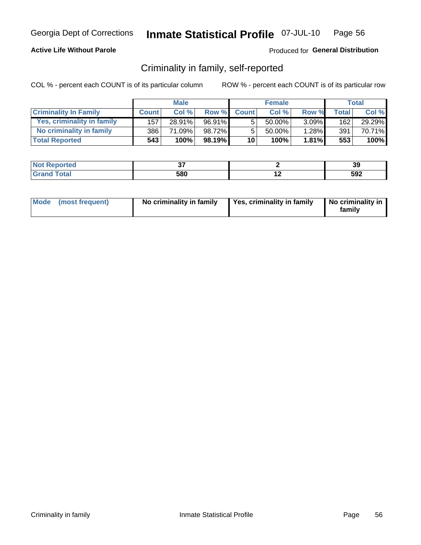### **Active Life Without Parole**

### Produced for General Distribution

## Criminality in family, self-reported

COL % - percent each COUNT is of its particular column

|                              |              | <b>Male</b> |           |                 | <b>Female</b> |          |              | Total  |
|------------------------------|--------------|-------------|-----------|-----------------|---------------|----------|--------------|--------|
| <b>Criminality In Family</b> | <b>Count</b> | Col%        | Row %     | <b>Count</b>    | Col%          | Row %    | <b>Total</b> | Col %  |
| Yes, criminality in family   | 157          | 28.91%      | 96.91%    | 5               | 50.00%        | $3.09\%$ | 162          | 29.29% |
| No criminality in family     | 386          | 71.09%      | 98.72%    | 5               | $50.00\%$     | 1.28%    | 391          | 70.71% |
| <b>Total Reported</b>        | 543          | 100%        | $98.19\%$ | 10 <sup>1</sup> | 100%          | 1.81%    | 553          | 100%   |

| المستخدم<br>Reported                 | $\sim$ | ર<br>və |
|--------------------------------------|--------|---------|
| `ofai<br>$\sim$ $\sim$ $\sim$ $\sim$ | 580    | 592     |

|  | Mode (most frequent) | No criminality in family | Yes, criminality in family | No criminality in<br>family |
|--|----------------------|--------------------------|----------------------------|-----------------------------|
|--|----------------------|--------------------------|----------------------------|-----------------------------|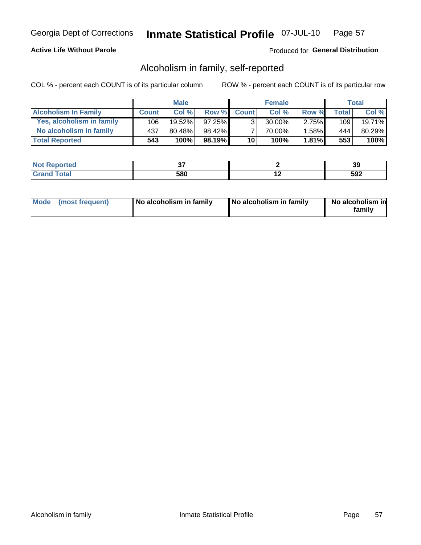### **Active Life Without Parole**

### Produced for General Distribution

## Alcoholism in family, self-reported

COL % - percent each COUNT is of its particular column

|                             |              | <b>Male</b> |           |              | <b>Female</b> |          |       | Total  |
|-----------------------------|--------------|-------------|-----------|--------------|---------------|----------|-------|--------|
| <b>Alcoholism In Family</b> | <b>Count</b> | Col%        | Row %     | <b>Count</b> | Col %         | Row %    | Total | Col %  |
| Yes, alcoholism in family   | 106          | $19.52\%$   | $97.25\%$ | $\mathbf{r}$ | 30.00%        | $2.75\%$ | 109   | 19.71% |
| No alcoholism in family     | 437          | 80.48%      | 98.42%    |              | 70.00%        | $1.58\%$ | 444   | 80.29% |
| <b>Total Reported</b>       | 543          | 100%        | 98.19%    | 10           | 100%          | 1.81%    | 553   | 100%   |

| <b>rted</b><br><b>NOT</b> | $-$ | . .<br>vũ   |
|---------------------------|-----|-------------|
| $\sim$                    | 580 | - 20<br>◡◡▴ |

|  | Mode (most frequent) | No alcoholism in family | No alcoholism in family | No alcoholism in<br>family |
|--|----------------------|-------------------------|-------------------------|----------------------------|
|--|----------------------|-------------------------|-------------------------|----------------------------|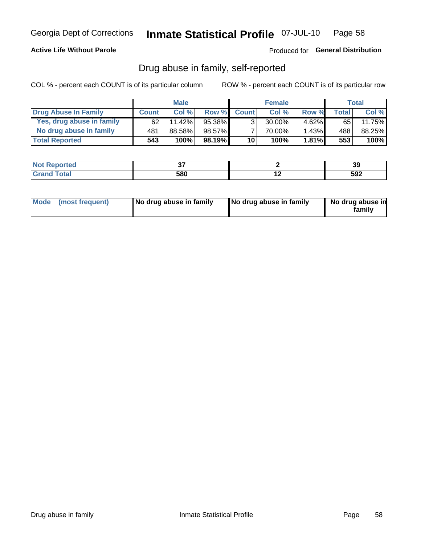### **Active Life Without Parole**

### Produced for General Distribution

## Drug abuse in family, self-reported

COL % - percent each COUNT is of its particular column

|                           |              | <b>Male</b> |           |                 | <b>Female</b> |          |       | Total  |
|---------------------------|--------------|-------------|-----------|-----------------|---------------|----------|-------|--------|
| Drug Abuse In Family      | <b>Count</b> | Col %       | Row %     | <b>Count</b>    | Col %         | Row %    | Total | Col %  |
| Yes, drug abuse in family | 62           | 11.42%      | 95.38%    | 3 <sub>1</sub>  | $30.00\%$     | $4.62\%$ | 65    | 11.75% |
| No drug abuse in family   | 481          | 88.58%      | 98.57%    | $\overline{ }$  | 70.00%        | $1.43\%$ | 488   | 88.25% |
| <b>Total Reported</b>     | 543          | 100%        | $98.19\%$ | 10 <sub>1</sub> | 100%          | 1.81%    | 553   | 100%   |

| ola (etol  | $\sim$ |                          | 20<br>va |
|------------|--------|--------------------------|----------|
| <b>hat</b> | 580    | $\overline{\phantom{0}}$ | 592      |

|  | Mode (most frequent) | No drug abuse in family | No drug abuse in family | No drug abuse in<br>family |
|--|----------------------|-------------------------|-------------------------|----------------------------|
|--|----------------------|-------------------------|-------------------------|----------------------------|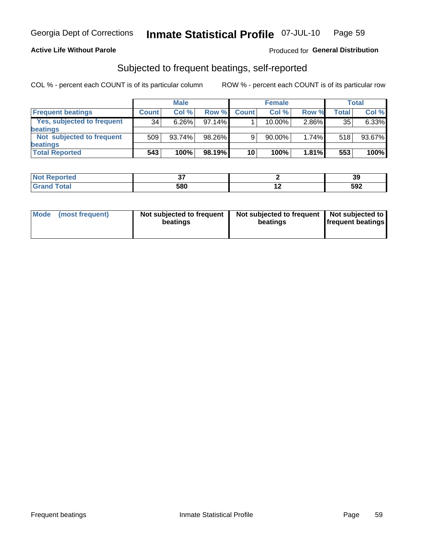### **Active Life Without Parole**

### Produced for General Distribution

## Subjected to frequent beatings, self-reported

COL % - percent each COUNT is of its particular column

|                                   |              | <b>Male</b> |        |              | <b>Female</b> |       |       | Total  |
|-----------------------------------|--------------|-------------|--------|--------------|---------------|-------|-------|--------|
| <b>Frequent beatings</b>          | <b>Count</b> | Col%        | Row %  | <b>Count</b> | Col %         | Row % | Total | Col %  |
| <b>Yes, subjected to frequent</b> | 34           | $6.26\%$    | 97.14% |              | 10.00%        | 2.86% | 35    | 6.33%  |
| <b>beatings</b>                   |              |             |        |              |               |       |       |        |
| Not subjected to frequent         | 509          | 93.74%      | 98.26% | 9            | 90.00%        | 1.74% | 518   | 93.67% |
| <b>beatings</b>                   |              |             |        |              |               |       |       |        |
| <b>Total Reported</b>             | 543          | 100%        | 98.19% | 10           | 100%          | 1.81% | 553   | 100%   |

| <b>Not Reported</b> | $\sim$ |     | 39  |
|---------------------|--------|-----|-----|
| <b>Grand Total</b>  | 580    | . . | 592 |

| Mode (most frequent) | Not subjected to frequent<br>beatings | Not subjected to frequent<br>beatings | Not subjected to<br><b>frequent beatings</b> |
|----------------------|---------------------------------------|---------------------------------------|----------------------------------------------|
|                      |                                       |                                       |                                              |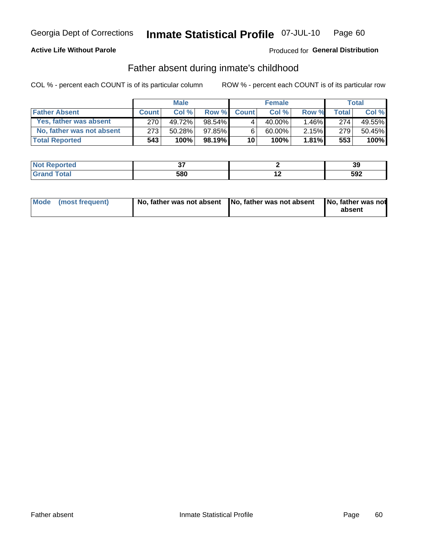### **Active Life Without Parole**

### Produced for General Distribution

## Father absent during inmate's childhood

COL % - percent each COUNT is of its particular column

|                           |              | <b>Male</b> |           |                 | <b>Female</b> |          |       | Total   |
|---------------------------|--------------|-------------|-----------|-----------------|---------------|----------|-------|---------|
| <b>Father Absent</b>      | <b>Count</b> | Col%        | Row %     | <b>Count</b>    | Col %         | Row %    | Total | Col %   |
| Yes, father was absent    | 270          | 49.72%      | 98.54%    | 4               | 40.00%        | $1.46\%$ | 2741  | 49.55%  |
| No, father was not absent | 273          | 50.28%      | 97.85%    | 6               | 60.00%        | $2.15\%$ | 279   | 50.45%  |
| <b>Total Reported</b>     | 543          | 100%        | $98.19\%$ | 10 <sup>1</sup> | 100%          | $1.81\%$ | 553   | $100\%$ |

| <b>Not Reported</b>     | $\sim$ |     | יפ<br>JJ. |
|-------------------------|--------|-----|-----------|
| <b>c</b> otal<br>l Gran | 580    | . . | 592       |

| Mode (most frequent) |  | No, father was not absent No, father was not absent No, father was not | absent |
|----------------------|--|------------------------------------------------------------------------|--------|
|----------------------|--|------------------------------------------------------------------------|--------|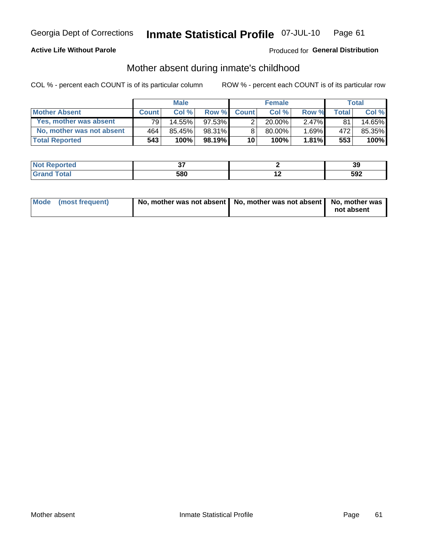### **Active Life Without Parole**

### Produced for General Distribution

## Mother absent during inmate's childhood

COL % - percent each COUNT is of its particular column

|                           |              | <b>Male</b> |           |                 | <b>Female</b> |          |              | Total  |
|---------------------------|--------------|-------------|-----------|-----------------|---------------|----------|--------------|--------|
| <b>Mother Absent</b>      | <b>Count</b> | Col%        | Row %     | <b>Count</b>    | Col%          | Row %    | <b>Total</b> | Col %  |
| Yes, mother was absent    | 791          | 14.55%      | $97.53\%$ | 2 <sub>1</sub>  | $20.00\%$ ,   | $2.47\%$ | 81           | 14.65% |
| No, mother was not absent | 464          | 85.45%      | 98.31%    | 8               | 80.00%        | 1.69%    | 472          | 85.35% |
| <b>Total Reported</b>     | 543          | 100%        | $98.19\%$ | 10 <sup>1</sup> | 100%          | 1.81%    | 553          | 100%   |

| <b>Reported</b><br><b>NO</b> t<br>$\sim$ | $\sim$ |     | 20<br>აა |
|------------------------------------------|--------|-----|----------|
| <b>otal</b>                              | 580    | . . | 592      |

| Mode (most frequent) | No, mother was not absent   No, mother was not absent   No, mother was | not absent |
|----------------------|------------------------------------------------------------------------|------------|
|                      |                                                                        |            |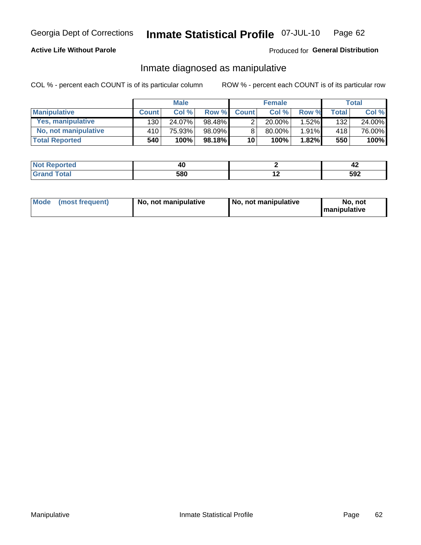### **Active Life Without Parole**

### Produced for General Distribution

## Inmate diagnosed as manipulative

COL % - percent each COUNT is of its particular column

|                       |              | <b>Male</b> |        |              | <b>Female</b> |          |                    | Total  |
|-----------------------|--------------|-------------|--------|--------------|---------------|----------|--------------------|--------|
| <b>Manipulative</b>   | <b>Count</b> | Col %       | Row %  | <b>Count</b> | $Col \%$      | Row %    | Total <sub>1</sub> | Col %  |
| Yes, manipulative     | 130          | 24.07%      | 98.48% |              | 20.00%        | $1.52\%$ | 132                | 24.00% |
| No, not manipulative  | 410          | 75.93%      | 98.09% | 8            | $80.00\%$     | $1.91\%$ | 418                | 76.00% |
| <b>Total Reported</b> | 540          | 100%        | 98.18% | 10           | 100%          | 1.82%    | 550                | 100%   |

| <b>Not Reported</b>  | $\mathbf{u}$<br>70 L | - 74 |
|----------------------|----------------------|------|
| <b>Total</b><br>Gran | 580                  | 592  |

|  | Mode (most frequent) | No, not manipulative | No, not manipulative | No. not<br><b>I</b> manipulative |
|--|----------------------|----------------------|----------------------|----------------------------------|
|--|----------------------|----------------------|----------------------|----------------------------------|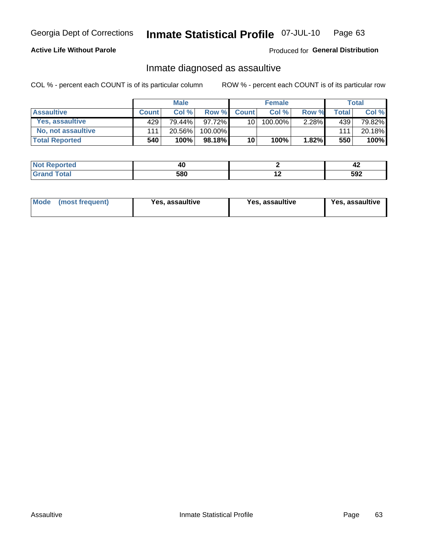#### Inmate Statistical Profile 07-JUL-10 Page 63

### **Active Life Without Parole**

Produced for General Distribution

## Inmate diagnosed as assaultive

COL % - percent each COUNT is of its particular column

|                       |              | <b>Male</b> |           |              | <b>Female</b> |          |       | Total  |
|-----------------------|--------------|-------------|-----------|--------------|---------------|----------|-------|--------|
| <b>Assaultive</b>     | <b>Count</b> | Col%        | Row %     | <b>Count</b> | Col %         | Row %    | Total | Col %  |
| Yes, assaultive       | 429          | 79.44%      | $97.72\%$ | 10 l         | 100.00%       | $2.28\%$ | 439   | 79.82% |
| No, not assaultive    | 111          | 20.56%      | 100.00%   |              |               |          | 111   | 20.18% |
| <b>Total Reported</b> | 540          | 100%        | 98.18%    | 10           | 100%          | $1.82\%$ | 550   | 100%   |

| المتألف المتعادية والمتناوب<br>Reported |     | 44  |
|-----------------------------------------|-----|-----|
| `ofai<br>$\sim$ $\sim$ $\sim$ $\sim$    | 580 | 592 |

| <b>Mode</b><br>(most frequent) | <b>Yes, assaultive</b> | Yes, assaultive | <b>Yes, assaultive</b> |
|--------------------------------|------------------------|-----------------|------------------------|
|--------------------------------|------------------------|-----------------|------------------------|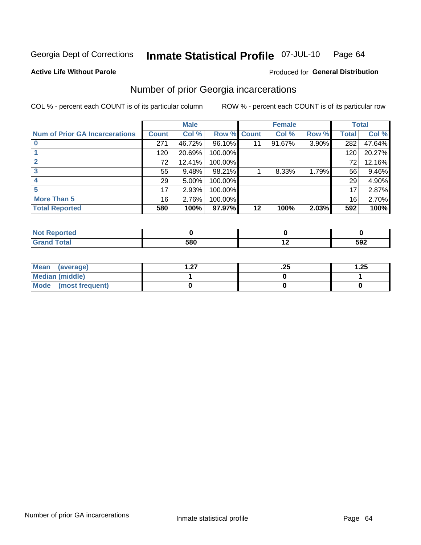#### Inmate Statistical Profile 07-JUL-10 Page 64

#### **Active Life Without Parole**

## Produced for General Distribution

## Number of prior Georgia incarcerations

COL % - percent each COUNT is of its particular column

|                                       |              | <b>Male</b> |                    |    | <b>Female</b> |          |       | <b>Total</b> |
|---------------------------------------|--------------|-------------|--------------------|----|---------------|----------|-------|--------------|
| <b>Num of Prior GA Incarcerations</b> | <b>Count</b> | Col %       | <b>Row % Count</b> |    | Col %         | Row %    | Total | Col %        |
|                                       | 271          | 46.72%      | 96.10%             |    | 91.67%        | $3.90\%$ | 282   | 47.64%       |
|                                       | 120          | 20.69%      | 100.00%            |    |               |          | 120   | 20.27%       |
|                                       | 72           | 12.41%      | 100.00%            |    |               |          | 72    | 12.16%       |
| 3                                     | 55           | 9.48%       | 98.21%             |    | 8.33%         | 1.79%    | 56    | 9.46%        |
|                                       | 29           | 5.00%       | 100.00%            |    |               |          | 29    | 4.90%        |
| 5                                     | 17           | 2.93%       | 100.00%            |    |               |          | 17    | 2.87%        |
| <b>More Than 5</b>                    | 16           | 2.76%       | 100.00%            |    |               |          | 16    | 2.70%        |
| <b>Total Reported</b>                 | 580          | 100%        | 97.97%             | 12 | 100%          | 2.03%    | 592   | 100%         |

| тео |     |     |
|-----|-----|-----|
|     | coo | 592 |

| Mean (average)         | - 27 | ن ے. | 1.25 |
|------------------------|------|------|------|
| <b>Median (middle)</b> |      |      |      |
| Mode (most frequent)   |      |      |      |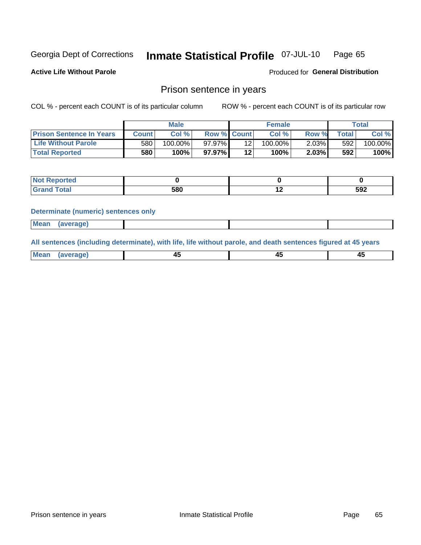#### Inmate Statistical Profile 07-JUL-10 Page 65

**Active Life Without Parole** 

Produced for General Distribution

### Prison sentence in years

COL % - percent each COUNT is of its particular column

ROW % - percent each COUNT is of its particular row

|                                 |       | <b>Male</b> |                    |    | <b>Female</b> |       |       | $\tau$ otal |
|---------------------------------|-------|-------------|--------------------|----|---------------|-------|-------|-------------|
| <b>Prison Sentence In Years</b> | Count | Col %       | <b>Row % Count</b> |    | Col%          | Row % | Total | Col %       |
| <b>Life Without Parole</b>      | 580   | $100.00\%$  | $97.97\%$          |    | $100.00\%$    | 2.03% | 592   | 100.00%     |
| <b>Total Reported</b>           | 580   | 100%        | $97.97\%$          | 12 | 100%          | 2.03% | 592   | 100%        |

| Reported<br> |     |     |
|--------------|-----|-----|
| <b>Total</b> | 580 | 592 |

#### **Determinate (numeric) sentences only**

| <b>Mean</b><br><i>(average)</i> |  |
|---------------------------------|--|
|---------------------------------|--|

All sentences (including determinate), with life, life without parole, and death sentences figured at 45 years

| l Mea<br>апе<br>. | -⊷ |  |
|-------------------|----|--|
|                   |    |  |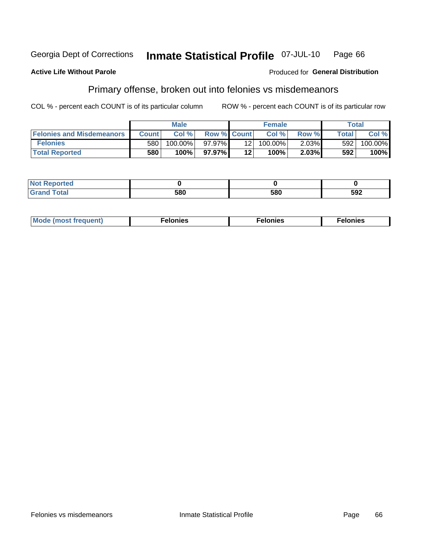#### **Inmate Statistical Profile 07-JUL-10** Georgia Dept of Corrections Page 66

#### **Active Life Without Parole**

#### Produced for General Distribution

## Primary offense, broken out into felonies vs misdemeanors

COL % - percent each COUNT is of its particular column

|                                  | <b>Male</b>  |         |                    |                 | <b>Female</b> | Total    |              |         |
|----------------------------------|--------------|---------|--------------------|-----------------|---------------|----------|--------------|---------|
| <b>Felonies and Misdemeanors</b> | <b>Count</b> | Col%    | <b>Row % Count</b> |                 | Col%          | Row %    | <b>Total</b> | Col %   |
| <b>Felonies</b>                  | 580          | 100.00% | 97.97% I           | 12 I            | 100.00%       | $2.03\%$ | 592          | 100.00% |
| <b>Total Reported</b>            | 580          | $100\%$ | 97.97%             | 12 <sub>1</sub> | 100%          | $2.03\%$ | 592          | 100%    |

| <b>Not Reported</b>         |     |     |     |
|-----------------------------|-----|-----|-----|
| <b>Total</b><br>Gran<br>uuu | 580 | 580 | 592 |

| $Mc$<br>equent)<br>нез<br>$\sim$<br>. | onies<br>. | <b>onies</b><br>. |
|---------------------------------------|------------|-------------------|
|---------------------------------------|------------|-------------------|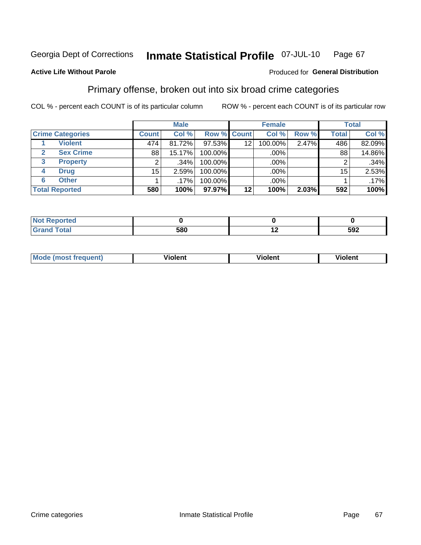#### Inmate Statistical Profile 07-JUL-10 Page 67

### **Active Life Without Parole**

#### Produced for General Distribution

## Primary offense, broken out into six broad crime categories

COL % - percent each COUNT is of its particular column

|                         | <b>Male</b>  |         |         |                    | <b>Female</b> | <b>Total</b> |                 |         |
|-------------------------|--------------|---------|---------|--------------------|---------------|--------------|-----------------|---------|
| <b>Crime Categories</b> | <b>Count</b> | Col %   |         | <b>Row % Count</b> | Col %         | Row %        | <b>Total</b>    | Col %   |
| <b>Violent</b>          | 474'         | 81.72%  | 97.53%  | 12                 | 100.00%       | 2.47%        | 486             | 82.09%  |
| <b>Sex Crime</b>        | 88           | 15.17%  | 100.00% |                    | .00%          |              | 88              | 14.86%  |
| <b>Property</b><br>3    | 2            | .34%    | 100.00% |                    | .00%          |              |                 | .34%    |
| <b>Drug</b><br>4        | 15           | 2.59%   | 100.00% |                    | .00%          |              | 15 <sub>1</sub> | 2.53%   |
| <b>Other</b><br>6       |              | $.17\%$ | 100.00% |                    | .00%          |              |                 | $.17\%$ |
| <b>Total Reported</b>   | 580          | 100%    | 97.97%  | 12                 | 100%          | 2.03%        | 592             | 100%    |

| <b>Not Reported</b> |     |     |     |
|---------------------|-----|-----|-----|
| Total               | 580 | . . | 592 |

| М | ,,, | - -- -<br>וחו | m |
|---|-----|---------------|---|
|   |     |               |   |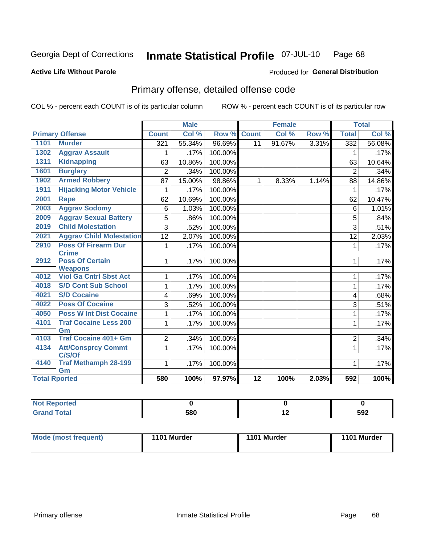#### **Inmate Statistical Profile 07-JUL-10** Page 68

#### **Active Life Without Parole**

#### **Produced for General Distribution**

## Primary offense, detailed offense code

COL % - percent each COUNT is of its particular column

|                      |                                                 |                | <b>Male</b> |         |                 | <b>Female</b> |       |                | <b>Total</b> |
|----------------------|-------------------------------------------------|----------------|-------------|---------|-----------------|---------------|-------|----------------|--------------|
|                      | <b>Primary Offense</b>                          | <b>Count</b>   | Col %       | Row %   | <b>Count</b>    | Col %         | Row % | <b>Total</b>   | Col %        |
| 1101                 | <b>Murder</b>                                   | 321            | 55.34%      | 96.69%  | 11              | 91.67%        | 3.31% | 332            | 56.08%       |
| 1302                 | <b>Aggrav Assault</b>                           |                | .17%        | 100.00% |                 |               |       | 1              | .17%         |
| 1311                 | <b>Kidnapping</b>                               | 63             | 10.86%      | 100.00% |                 |               |       | 63             | 10.64%       |
| 1601                 | <b>Burglary</b>                                 | $\overline{2}$ | .34%        | 100.00% |                 |               |       | $\overline{2}$ | .34%         |
| 1902                 | <b>Armed Robbery</b>                            | 87             | 15.00%      | 98.86%  | $\mathbf 1$     | 8.33%         | 1.14% | 88             | 14.86%       |
| 1911                 | <b>Hijacking Motor Vehicle</b>                  | 1              | .17%        | 100.00% |                 |               |       | $\mathbf{1}$   | .17%         |
| 2001                 | <b>Rape</b>                                     | 62             | 10.69%      | 100.00% |                 |               |       | 62             | 10.47%       |
| 2003                 | <b>Aggrav Sodomy</b>                            | 6              | 1.03%       | 100.00% |                 |               |       | 6              | 1.01%        |
| 2009                 | <b>Aggrav Sexual Battery</b>                    | 5              | .86%        | 100.00% |                 |               |       | 5              | .84%         |
| 2019                 | <b>Child Molestation</b>                        | 3              | .52%        | 100.00% |                 |               |       | 3              | .51%         |
| 2021                 | <b>Aggrav Child Molestation</b>                 | 12             | 2.07%       | 100.00% |                 |               |       | 12             | 2.03%        |
| 2910                 | <b>Poss Of Firearm Dur</b>                      | 1              | .17%        | 100.00% |                 |               |       | 1              | .17%         |
|                      | <b>Crime</b>                                    |                |             |         |                 |               |       |                |              |
| 2912                 | <b>Poss Of Certain</b>                          | 1              | .17%        | 100.00% |                 |               |       | 1              | .17%         |
| 4012                 | <b>Weapons</b><br><b>Viol Ga Cntrl Sbst Act</b> | 1              | .17%        | 100.00% |                 |               |       | 1              | .17%         |
| 4018                 | <b>S/D Cont Sub School</b>                      | 1              | .17%        | 100.00% |                 |               |       | 1              | .17%         |
| 4021                 | <b>S/D Cocaine</b>                              | 4              | .69%        | 100.00% |                 |               |       | 4              | .68%         |
| 4022                 | <b>Poss Of Cocaine</b>                          | 3              | .52%        | 100.00% |                 |               |       | 3              | .51%         |
| 4050                 | <b>Poss W Int Dist Cocaine</b>                  | 1              | .17%        | 100.00% |                 |               |       | 1              | .17%         |
| 4101                 | <b>Traf Cocaine Less 200</b>                    | 1              | .17%        | 100.00% |                 |               |       | 1              | .17%         |
|                      | Gm                                              |                |             |         |                 |               |       |                |              |
| 4103                 | <b>Traf Cocaine 401+ Gm</b>                     | $\overline{2}$ | .34%        | 100.00% |                 |               |       | $\overline{2}$ | .34%         |
| 4134                 | <b>Att/Consprcy Commt</b>                       | 1              | .17%        | 100.00% |                 |               |       | $\mathbf{1}$   | .17%         |
|                      | C/S/Of                                          |                |             |         |                 |               |       |                |              |
| 4140                 | <b>Traf Methamph 28-199</b><br>Gm               | 1              | .17%        | 100.00% |                 |               |       | 1              | .17%         |
| <b>Total Rported</b> |                                                 | 580            | 100%        | 97.97%  | $\overline{12}$ | 100%          | 2.03% | 592            | 100%         |
|                      |                                                 |                |             |         |                 |               |       |                |              |

| oorted<br>N |     |     |     |
|-------------|-----|-----|-----|
| <b>otal</b> | 580 | . . | 592 |

| Mode (most frequent) | 1101 Murder | 1101 Murder | 1101 Murder |
|----------------------|-------------|-------------|-------------|
|                      |             |             |             |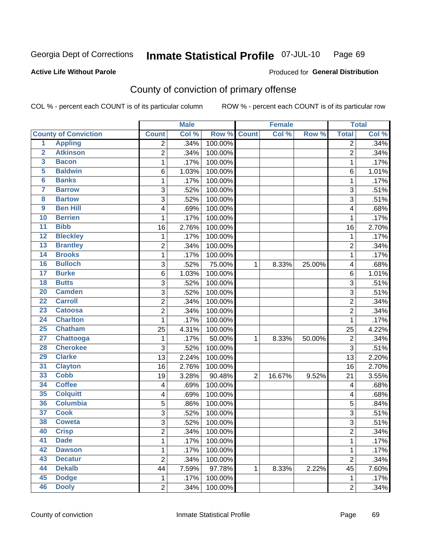#### Inmate Statistical Profile 07-JUL-10 Page 69

### **Active Life Without Parole**

### **Produced for General Distribution**

## County of conviction of primary offense

COL % - percent each COUNT is of its particular column

|                         |                             |                         | <b>Male</b> |             |                | <b>Female</b> |        |                         | <b>Total</b> |
|-------------------------|-----------------------------|-------------------------|-------------|-------------|----------------|---------------|--------|-------------------------|--------------|
|                         | <b>County of Conviction</b> | <b>Count</b>            | Col %       | Row % Count |                | Col %         | Row %  | <b>Total</b>            | Col %        |
| $\overline{1}$          | <b>Appling</b>              | $\overline{2}$          | .34%        | 100.00%     |                |               |        | 2                       | .34%         |
| $\overline{2}$          | <b>Atkinson</b>             | $\overline{2}$          | .34%        | 100.00%     |                |               |        | $\overline{2}$          | .34%         |
| 3                       | <b>Bacon</b>                | 1                       | .17%        | 100.00%     |                |               |        | $\mathbf{1}$            | .17%         |
| 5                       | <b>Baldwin</b>              | 6                       | 1.03%       | 100.00%     |                |               |        | 6                       | 1.01%        |
| 6                       | <b>Banks</b>                | 1                       | .17%        | 100.00%     |                |               |        | 1                       | .17%         |
| $\overline{\mathbf{7}}$ | <b>Barrow</b>               | 3                       | .52%        | 100.00%     |                |               |        | 3                       | .51%         |
| $\overline{\mathbf{8}}$ | <b>Bartow</b>               | 3                       | .52%        | 100.00%     |                |               |        | $\overline{3}$          | .51%         |
| 9                       | <b>Ben Hill</b>             | 4                       | .69%        | 100.00%     |                |               |        | 4                       | .68%         |
| 10                      | <b>Berrien</b>              | 1                       | .17%        | 100.00%     |                |               |        | 1                       | .17%         |
| $\overline{11}$         | <b>Bibb</b>                 | 16                      | 2.76%       | 100.00%     |                |               |        | 16                      | 2.70%        |
| $\overline{12}$         | <b>Bleckley</b>             | 1                       | .17%        | 100.00%     |                |               |        | 1                       | .17%         |
| 13                      | <b>Brantley</b>             | $\overline{c}$          | .34%        | 100.00%     |                |               |        | $\overline{c}$          | .34%         |
| 14                      | <b>Brooks</b>               | 1                       | .17%        | 100.00%     |                |               |        | 1                       | .17%         |
| 16                      | <b>Bulloch</b>              | 3                       | .52%        | 75.00%      | $\mathbf 1$    | 8.33%         | 25.00% | 4                       | .68%         |
| $\overline{17}$         | <b>Burke</b>                | $\,6$                   | 1.03%       | 100.00%     |                |               |        | 6                       | 1.01%        |
| 18                      | <b>Butts</b>                | 3                       | .52%        | 100.00%     |                |               |        | 3                       | .51%         |
| $\overline{20}$         | <b>Camden</b>               | 3                       | .52%        | 100.00%     |                |               |        | 3                       | .51%         |
| $\overline{22}$         | <b>Carroll</b>              | $\overline{c}$          | .34%        | 100.00%     |                |               |        | $\overline{c}$          | .34%         |
| 23                      | <b>Catoosa</b>              | $\overline{2}$          | .34%        | 100.00%     |                |               |        | $\overline{2}$          | .34%         |
| $\overline{24}$         | <b>Charlton</b>             | 1                       | .17%        | 100.00%     |                |               |        | 1                       | .17%         |
| $\overline{25}$         | <b>Chatham</b>              | 25                      | 4.31%       | 100.00%     |                |               |        | 25                      | 4.22%        |
| $\overline{27}$         | <b>Chattooga</b>            | 1                       | .17%        | 50.00%      | 1              | 8.33%         | 50.00% | $\overline{c}$          | .34%         |
| 28                      | <b>Cherokee</b>             | 3                       | .52%        | 100.00%     |                |               |        | $\overline{3}$          | .51%         |
| 29                      | <b>Clarke</b>               | 13                      | 2.24%       | 100.00%     |                |               |        | 13                      | 2.20%        |
| 31                      | <b>Clayton</b>              | 16                      | 2.76%       | 100.00%     |                |               |        | 16                      | 2.70%        |
| 33                      | <b>Cobb</b>                 | 19                      | 3.28%       | 90.48%      | $\overline{2}$ | 16.67%        | 9.52%  | 21                      | 3.55%        |
| 34                      | <b>Coffee</b>               | $\overline{\mathbf{4}}$ | .69%        | 100.00%     |                |               |        | 4                       | .68%         |
| 35                      | <b>Colquitt</b>             | 4                       | .69%        | 100.00%     |                |               |        | 4                       | .68%         |
| 36                      | <b>Columbia</b>             | 5                       | .86%        | 100.00%     |                |               |        | 5                       | .84%         |
| $\overline{37}$         | <b>Cook</b>                 | 3                       | .52%        | 100.00%     |                |               |        | 3                       | .51%         |
| 38                      | <b>Coweta</b>               | 3                       | .52%        | 100.00%     |                |               |        | $\overline{3}$          | .51%         |
| 40                      | <b>Crisp</b>                | $\overline{\mathbf{c}}$ | .34%        | 100.00%     |                |               |        | $\overline{\mathbf{c}}$ | .34%         |
| 41                      | <b>Dade</b>                 | 1                       | .17%        | 100.00%     |                |               |        | $\mathbf{1}$            | .17%         |
| 42                      | <b>Dawson</b>               | 1                       | .17%        | 100.00%     |                |               |        | 1                       | .17%         |
| 43                      | <b>Decatur</b>              | $\overline{2}$          | .34%        | 100.00%     |                |               |        | $\overline{c}$          | .34%         |
| 44                      | <b>Dekalb</b>               | 44                      | 7.59%       | 97.78%      | 1              | 8.33%         | 2.22%  | 45                      | 7.60%        |
| 45                      | <b>Dodge</b>                | $\mathbf{1}$            | .17%        | 100.00%     |                |               |        | 1                       | .17%         |
| 46                      | <b>Dooly</b>                | $\overline{2}$          | .34%        | 100.00%     |                |               |        | $\overline{2}$          | .34%         |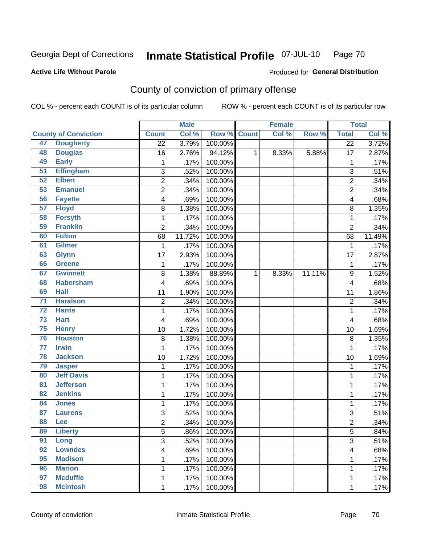#### Inmate Statistical Profile 07-JUL-10 Page 70

### **Active Life Without Parole**

### **Produced for General Distribution**

## County of conviction of primary offense

COL % - percent each COUNT is of its particular column

|                 |                             |                         | <b>Male</b> |         |              | <b>Female</b> |        |                         | <b>Total</b> |
|-----------------|-----------------------------|-------------------------|-------------|---------|--------------|---------------|--------|-------------------------|--------------|
|                 | <b>County of Conviction</b> | <b>Count</b>            | Col %       | Row %   | <b>Count</b> | Col %         | Row %  | <b>Total</b>            | Col %        |
| 47              | <b>Dougherty</b>            | $\overline{22}$         | 3.79%       | 100.00% |              |               |        | $\overline{22}$         | 3.72%        |
| 48              | <b>Douglas</b>              | 16                      | 2.76%       | 94.12%  | 1            | 8.33%         | 5.88%  | 17                      | 2.87%        |
| 49              | <b>Early</b>                | $\mathbf 1$             | .17%        | 100.00% |              |               |        | $\mathbf 1$             | .17%         |
| $\overline{51}$ | <b>Effingham</b>            | 3                       | .52%        | 100.00% |              |               |        | 3                       | .51%         |
| 52              | <b>Elbert</b>               | 2                       | .34%        | 100.00% |              |               |        | $\overline{c}$          | .34%         |
| 53              | <b>Emanuel</b>              | $\overline{2}$          | .34%        | 100.00% |              |               |        | $\overline{2}$          | .34%         |
| 56              | <b>Fayette</b>              | $\overline{\mathbf{4}}$ | .69%        | 100.00% |              |               |        | 4                       | .68%         |
| 57              | <b>Floyd</b>                | 8                       | 1.38%       | 100.00% |              |               |        | 8                       | 1.35%        |
| 58              | <b>Forsyth</b>              | 1                       | .17%        | 100.00% |              |               |        | $\mathbf 1$             | .17%         |
| 59              | <b>Franklin</b>             | $\overline{2}$          | .34%        | 100.00% |              |               |        | $\overline{2}$          | .34%         |
| 60              | <b>Fulton</b>               | 68                      | 11.72%      | 100.00% |              |               |        | 68                      | 11.49%       |
| 61              | <b>Gilmer</b>               | 1                       | .17%        | 100.00% |              |               |        | 1                       | .17%         |
| 63              | <b>Glynn</b>                | 17                      | 2.93%       | 100.00% |              |               |        | 17                      | 2.87%        |
| 66              | Greene                      | 1                       | .17%        | 100.00% |              |               |        | $\mathbf{1}$            | .17%         |
| 67              | <b>Gwinnett</b>             | 8                       | 1.38%       | 88.89%  | $\mathbf{1}$ | 8.33%         | 11.11% | $\boldsymbol{9}$        | 1.52%        |
| 68              | <b>Habersham</b>            | 4                       | .69%        | 100.00% |              |               |        | 4                       | .68%         |
| 69              | <b>Hall</b>                 | 11                      | 1.90%       | 100.00% |              |               |        | 11                      | 1.86%        |
| $\overline{71}$ | <b>Haralson</b>             | $\overline{2}$          | .34%        | 100.00% |              |               |        | $\overline{c}$          | .34%         |
| $\overline{72}$ | <b>Harris</b>               | 1                       | .17%        | 100.00% |              |               |        | $\mathbf{1}$            | .17%         |
| 73              | <b>Hart</b>                 | 4                       | .69%        | 100.00% |              |               |        | 4                       | .68%         |
| 75              | <b>Henry</b>                | 10                      | 1.72%       | 100.00% |              |               |        | 10                      | 1.69%        |
| 76              | <b>Houston</b>              | 8                       | 1.38%       | 100.00% |              |               |        | 8                       | 1.35%        |
| $\overline{77}$ | <b>Irwin</b>                | 1                       | .17%        | 100.00% |              |               |        | $\mathbf 1$             | .17%         |
| 78              | <b>Jackson</b>              | 10                      | 1.72%       | 100.00% |              |               |        | 10                      | 1.69%        |
| 79              | <b>Jasper</b>               | $\mathbf{1}$            | .17%        | 100.00% |              |               |        | $\mathbf 1$             | .17%         |
| 80              | <b>Jeff Davis</b>           | 1                       | .17%        | 100.00% |              |               |        | $\mathbf 1$             | .17%         |
| 81              | <b>Jefferson</b>            | 1                       | .17%        | 100.00% |              |               |        | $\mathbf 1$             | .17%         |
| 82              | <b>Jenkins</b>              | 1                       | .17%        | 100.00% |              |               |        | $\mathbf 1$             | .17%         |
| 84              | <b>Jones</b>                | 1                       | .17%        | 100.00% |              |               |        | $\mathbf{1}$            | .17%         |
| 87              | <b>Laurens</b>              | 3                       | .52%        | 100.00% |              |               |        | 3                       | .51%         |
| 88              | Lee                         | $\overline{2}$          | .34%        | 100.00% |              |               |        | $\overline{c}$          | .34%         |
| 89              | <b>Liberty</b>              | 5                       | .86%        | 100.00% |              |               |        | 5                       | .84%         |
| 91              | Long                        | 3                       | .52%        | 100.00% |              |               |        | $\overline{3}$          | .51%         |
| 92              | <b>Lowndes</b>              | $\overline{\mathbf{4}}$ | .69%        | 100.00% |              |               |        | $\overline{\mathbf{4}}$ | .68%         |
| 95              | <b>Madison</b>              | 1                       | .17%        | 100.00% |              |               |        | $\mathbf{1}$            | .17%         |
| 96              | <b>Marion</b>               | 1                       | .17%        | 100.00% |              |               |        | 1                       | .17%         |
| 97              | <b>Mcduffie</b>             | 1                       | .17%        | 100.00% |              |               |        | $\mathbf{1}$            | .17%         |
| 98              | <b>Mcintosh</b>             | $\mathbf 1$             | .17%        | 100.00% |              |               |        | $\mathbf{1}$            | .17%         |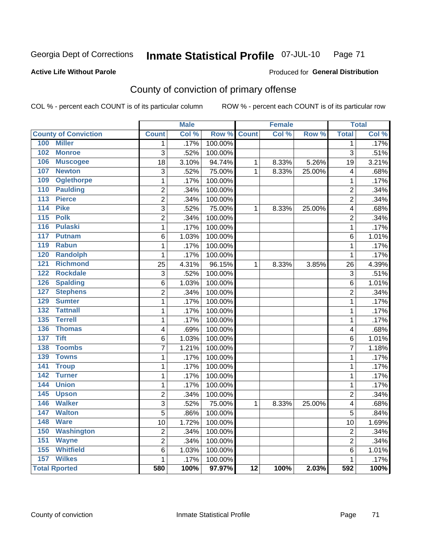#### Inmate Statistical Profile 07-JUL-10 Page 71

**Active Life Without Parole** 

Produced for General Distribution

## County of conviction of primary offense

COL % - percent each COUNT is of its particular column

|                                    |                 | <b>Male</b> |         |                 | <b>Female</b> |        |                | <b>Total</b> |
|------------------------------------|-----------------|-------------|---------|-----------------|---------------|--------|----------------|--------------|
| <b>County of Conviction</b>        | <b>Count</b>    | Col%        | Row %   | <b>Count</b>    | Col %         | Row %  | <b>Total</b>   | Col %        |
| 100<br><b>Miller</b>               | 1               | .17%        | 100.00% |                 |               |        | $\mathbf{1}$   | .17%         |
| 102<br><b>Monroe</b>               | $\overline{3}$  | .52%        | 100.00% |                 |               |        | $\overline{3}$ | .51%         |
| 106<br><b>Muscogee</b>             | 18              | 3.10%       | 94.74%  | $\mathbf{1}$    | 8.33%         | 5.26%  | 19             | 3.21%        |
| 107<br><b>Newton</b>               | 3               | .52%        | 75.00%  | 1               | 8.33%         | 25.00% | 4              | .68%         |
| 109<br><b>Oglethorpe</b>           | 1               | .17%        | 100.00% |                 |               |        | $\mathbf{1}$   | .17%         |
| <b>Paulding</b><br>110             | $\overline{2}$  | .34%        | 100.00% |                 |               |        | $\overline{2}$ | .34%         |
| <b>Pierce</b><br>113               | $\overline{2}$  | .34%        | 100.00% |                 |               |        | $\overline{2}$ | .34%         |
| 114<br><b>Pike</b>                 | 3               | .52%        | 75.00%  | 1               | 8.33%         | 25.00% | 4              | .68%         |
| 115<br><b>Polk</b>                 | $\overline{2}$  | .34%        | 100.00% |                 |               |        | $\overline{2}$ | .34%         |
| <b>Pulaski</b><br>116              | $\mathbf{1}$    | .17%        | 100.00% |                 |               |        | $\mathbf{1}$   | .17%         |
| 117<br><b>Putnam</b>               | $6\phantom{1}6$ | 1.03%       | 100.00% |                 |               |        | 6              | 1.01%        |
| <b>Rabun</b><br>119                | $\mathbf{1}$    | .17%        | 100.00% |                 |               |        | $\mathbf{1}$   | .17%         |
| 120<br><b>Randolph</b>             | $\mathbf{1}$    | .17%        | 100.00% |                 |               |        | $\mathbf{1}$   | .17%         |
| 121<br><b>Richmond</b>             | 25              | 4.31%       | 96.15%  | $\mathbf{1}$    | 8.33%         | 3.85%  | 26             | 4.39%        |
| <b>Rockdale</b><br>122             | $\overline{3}$  | .52%        | 100.00% |                 |               |        | $\overline{3}$ | .51%         |
| 126<br><b>Spalding</b>             | 6               | 1.03%       | 100.00% |                 |               |        | 6              | 1.01%        |
| <b>Stephens</b><br>127             | $\overline{2}$  | .34%        | 100.00% |                 |               |        | $\overline{2}$ | .34%         |
| <b>Sumter</b><br>129               | 1               | .17%        | 100.00% |                 |               |        | $\mathbf{1}$   | .17%         |
| 132<br><b>Tattnall</b>             | 1               | .17%        | 100.00% |                 |               |        | $\mathbf 1$    | .17%         |
| <b>Terrell</b><br>$\overline{135}$ | 1               | .17%        | 100.00% |                 |               |        | 1              | .17%         |
| 136<br><b>Thomas</b>               | 4               | .69%        | 100.00% |                 |               |        | 4              | .68%         |
| <b>Tift</b><br>137                 | 6               | 1.03%       | 100.00% |                 |               |        | 6              | 1.01%        |
| 138<br><b>Toombs</b>               | $\overline{7}$  | 1.21%       | 100.00% |                 |               |        | $\overline{7}$ | 1.18%        |
| <b>Towns</b><br>139                | $\mathbf{1}$    | .17%        | 100.00% |                 |               |        | $\mathbf 1$    | .17%         |
| 141<br><b>Troup</b>                | 1               | .17%        | 100.00% |                 |               |        | $\mathbf{1}$   | .17%         |
| 142<br><b>Turner</b>               | $\mathbf 1$     | .17%        | 100.00% |                 |               |        | $\mathbf 1$    | .17%         |
| 144<br><b>Union</b>                | $\mathbf{1}$    | .17%        | 100.00% |                 |               |        | $\mathbf 1$    | .17%         |
| 145<br><b>Upson</b>                | $\overline{2}$  | .34%        | 100.00% |                 |               |        | $\overline{2}$ | .34%         |
| <b>Walker</b><br>146               | $\overline{3}$  | .52%        | 75.00%  | 1               | 8.33%         | 25.00% | 4              | .68%         |
| 147<br><b>Walton</b>               | $\overline{5}$  | .86%        | 100.00% |                 |               |        | 5              | .84%         |
| 148<br><b>Ware</b>                 | 10              | 1.72%       | 100.00% |                 |               |        | 10             | 1.69%        |
| 150<br><b>Washington</b>           | $\overline{2}$  | .34%        | 100.00% |                 |               |        | $\overline{2}$ | .34%         |
| 151<br><b>Wayne</b>                | 2               | .34%        | 100.00% |                 |               |        | $\overline{2}$ | .34%         |
| <b>Whitfield</b><br>155            | 6               | 1.03%       | 100.00% |                 |               |        | 6              | 1.01%        |
| <b>Wilkes</b><br>157               | $\mathbf{1}$    | .17%        | 100.00% |                 |               |        | $\mathbf{1}$   | .17%         |
| <b>Total Rported</b>               | 580             | 100%        | 97.97%  | $\overline{12}$ | 100%          | 2.03%  | 592            | 100%         |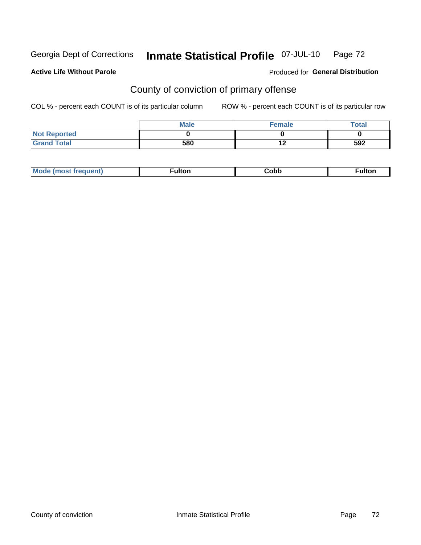#### Inmate Statistical Profile 07-JUL-10 Page 72

#### **Active Life Without Parole**

### Produced for General Distribution

## County of conviction of primary offense

COL % - percent each COUNT is of its particular column

|                     | <b>Male</b> | <b>Female</b>    | <b>Total</b> |
|---------------------|-------------|------------------|--------------|
| <b>Not Reported</b> |             |                  |              |
| <b>Grand Total</b>  | 580         | $\bullet$<br>1 Z | 592          |

| - - - - | Mc | ---- | ∶obb | تمعان |
|---------|----|------|------|-------|
|---------|----|------|------|-------|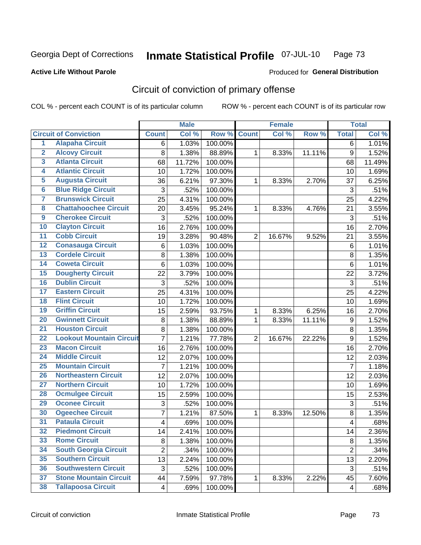Georgia Dept of Corrections

#### Inmate Statistical Profile 07-JUL-10 Page 73

#### **Active Life Without Parole**

# **Produced for General Distribution**

# Circuit of conviction of primary offense

COL % - percent each COUNT is of its particular column

|                         |                                 |                | <b>Male</b> |         |                | <b>Female</b> |        |                  | <b>Total</b> |
|-------------------------|---------------------------------|----------------|-------------|---------|----------------|---------------|--------|------------------|--------------|
|                         | <b>Circuit of Conviction</b>    | <b>Count</b>   | Col %       | Row %   | <b>Count</b>   | Col%          | Row %  | <b>Total</b>     | Col %        |
| 1                       | <b>Alapaha Circuit</b>          | 6              | 1.03%       | 100.00% |                |               |        | 6                | 1.01%        |
| $\overline{2}$          | <b>Alcovy Circuit</b>           | 8              | 1.38%       | 88.89%  | 1              | 8.33%         | 11.11% | $\boldsymbol{9}$ | 1.52%        |
| $\overline{\mathbf{3}}$ | <b>Atlanta Circuit</b>          | 68             | 11.72%      | 100.00% |                |               |        | 68               | 11.49%       |
| 4                       | <b>Atlantic Circuit</b>         | 10             | 1.72%       | 100.00% |                |               |        | 10               | 1.69%        |
| 5                       | <b>Augusta Circuit</b>          | 36             | 6.21%       | 97.30%  | $\mathbf 1$    | 8.33%         | 2.70%  | 37               | 6.25%        |
| $\overline{\mathbf{6}}$ | <b>Blue Ridge Circuit</b>       | 3              | .52%        | 100.00% |                |               |        | 3                | .51%         |
| $\overline{\mathbf{7}}$ | <b>Brunswick Circuit</b>        | 25             | 4.31%       | 100.00% |                |               |        | 25               | 4.22%        |
| $\overline{\mathbf{8}}$ | <b>Chattahoochee Circuit</b>    | 20             | 3.45%       | 95.24%  | $\mathbf 1$    | 8.33%         | 4.76%  | 21               | 3.55%        |
| $\overline{9}$          | <b>Cherokee Circuit</b>         | 3              | .52%        | 100.00% |                |               |        | 3                | .51%         |
| 10                      | <b>Clayton Circuit</b>          | 16             | 2.76%       | 100.00% |                |               |        | 16               | 2.70%        |
| $\overline{11}$         | <b>Cobb Circuit</b>             | 19             | 3.28%       | 90.48%  | $\overline{2}$ | 16.67%        | 9.52%  | 21               | 3.55%        |
| $\overline{12}$         | <b>Conasauga Circuit</b>        | 6              | 1.03%       | 100.00% |                |               |        | $\,6$            | 1.01%        |
| 13                      | <b>Cordele Circuit</b>          | 8              | 1.38%       | 100.00% |                |               |        | 8                | 1.35%        |
| 14                      | <b>Coweta Circuit</b>           | 6              | 1.03%       | 100.00% |                |               |        | 6                | 1.01%        |
| 15                      | <b>Dougherty Circuit</b>        | 22             | 3.79%       | 100.00% |                |               |        | 22               | 3.72%        |
| 16                      | <b>Dublin Circuit</b>           | 3              | .52%        | 100.00% |                |               |        | 3                | .51%         |
| 17                      | <b>Eastern Circuit</b>          | 25             | 4.31%       | 100.00% |                |               |        | 25               | 4.22%        |
| 18                      | <b>Flint Circuit</b>            | 10             | 1.72%       | 100.00% |                |               |        | 10               | 1.69%        |
| 19                      | <b>Griffin Circuit</b>          | 15             | 2.59%       | 93.75%  | 1              | 8.33%         | 6.25%  | 16               | 2.70%        |
| 20                      | <b>Gwinnett Circuit</b>         | 8              | 1.38%       | 88.89%  | 1              | 8.33%         | 11.11% | 9                | 1.52%        |
| $\overline{21}$         | <b>Houston Circuit</b>          | 8              | 1.38%       | 100.00% |                |               |        | 8                | 1.35%        |
| $\overline{22}$         | <b>Lookout Mountain Circuit</b> | $\overline{7}$ | 1.21%       | 77.78%  | $\overline{2}$ | 16.67%        | 22.22% | 9                | 1.52%        |
| 23                      | <b>Macon Circuit</b>            | 16             | 2.76%       | 100.00% |                |               |        | 16               | 2.70%        |
| $\overline{24}$         | <b>Middle Circuit</b>           | 12             | 2.07%       | 100.00% |                |               |        | 12               | 2.03%        |
| $\overline{25}$         | <b>Mountain Circuit</b>         | $\overline{7}$ | 1.21%       | 100.00% |                |               |        | $\overline{7}$   | 1.18%        |
| 26                      | <b>Northeastern Circuit</b>     | 12             | 2.07%       | 100.00% |                |               |        | 12               | 2.03%        |
| $\overline{27}$         | <b>Northern Circuit</b>         | 10             | 1.72%       | 100.00% |                |               |        | 10               | 1.69%        |
| 28                      | <b>Ocmulgee Circuit</b>         | 15             | 2.59%       | 100.00% |                |               |        | 15               | 2.53%        |
| 29                      | <b>Oconee Circuit</b>           | 3              | .52%        | 100.00% |                |               |        | 3                | .51%         |
| 30                      | <b>Ogeechee Circuit</b>         | 7              | 1.21%       | 87.50%  | 1              | 8.33%         | 12.50% | 8                | 1.35%        |
| $\overline{31}$         | <b>Pataula Circuit</b>          | 4              | .69%        | 100.00% |                |               |        | 4                | .68%         |
| 32                      | <b>Piedmont Circuit</b>         | 14             | 2.41%       | 100.00% |                |               |        | 14               | 2.36%        |
| 33                      | <b>Rome Circuit</b>             | 8              | 1.38%       | 100.00% |                |               |        | 8                | 1.35%        |
| 34                      | <b>South Georgia Circuit</b>    | $\overline{2}$ | .34%        | 100.00% |                |               |        | $\overline{2}$   | .34%         |
| 35                      | <b>Southern Circuit</b>         | 13             | 2.24%       | 100.00% |                |               |        | 13               | 2.20%        |
| 36                      | <b>Southwestern Circuit</b>     | 3              | .52%        | 100.00% |                |               |        | 3                | .51%         |
| 37                      | <b>Stone Mountain Circuit</b>   | 44             | 7.59%       | 97.78%  | 1              | 8.33%         | 2.22%  | 45               | 7.60%        |
| 38                      | <b>Tallapoosa Circuit</b>       | $\overline{4}$ | .69%        | 100.00% |                |               |        | 4                | .68%         |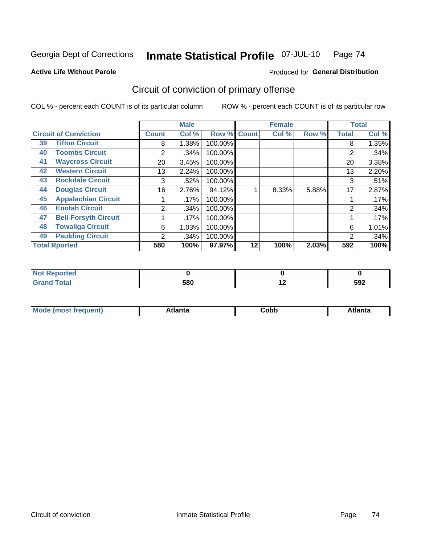Georgia Dept of Corrections

#### Inmate Statistical Profile 07-JUL-10 Page 74

#### **Active Life Without Parole**

### Produced for General Distribution

# Circuit of conviction of primary offense

COL % - percent each COUNT is of its particular column

|                              |                             |              | <b>Male</b> |         |              | <b>Female</b> |       |              | <b>Total</b> |
|------------------------------|-----------------------------|--------------|-------------|---------|--------------|---------------|-------|--------------|--------------|
| <b>Circuit of Conviction</b> |                             | <b>Count</b> | Col %       | Row %   | <b>Count</b> | Col %         | Row % | <b>Total</b> | Col %        |
| 39                           | <b>Tifton Circuit</b>       | 8            | 1.38%       | 100.00% |              |               |       | 8            | 1.35%        |
| 40                           | <b>Toombs Circuit</b>       | 2            | .34%        | 100.00% |              |               |       | 2            | .34%         |
| 41                           | <b>Waycross Circuit</b>     | 20           | 3.45%       | 100.00% |              |               |       | 20           | 3.38%        |
| 42                           | <b>Western Circuit</b>      | 13           | 2.24%       | 100.00% |              |               |       | 13           | 2.20%        |
| 43                           | <b>Rockdale Circuit</b>     | 3            | .52%        | 100.00% |              |               |       | 3            | .51%         |
| 44                           | <b>Douglas Circuit</b>      | 16           | 2.76%       | 94.12%  |              | 8.33%         | 5.88% | 17           | 2.87%        |
| 45                           | <b>Appalachian Circuit</b>  |              | .17%        | 100.00% |              |               |       |              | .17%         |
| 46                           | <b>Enotah Circuit</b>       | 2            | .34%        | 100.00% |              |               |       | 2            | .34%         |
| 47                           | <b>Bell-Forsyth Circuit</b> |              | .17%        | 100.00% |              |               |       |              | .17%         |
| 48                           | <b>Towaliga Circuit</b>     | 6            | 1.03%       | 100.00% |              |               |       | 6            | 1.01%        |
| 49                           | <b>Paulding Circuit</b>     | 2            | .34%        | 100.00% |              |               |       | 2            | .34%         |
|                              | <b>Total Rported</b>        | 580          | 100%        | 97.97%  | 12           | 100%          | 2.03% | 592          | 100%         |

| <b>eported</b><br>N |     |     |     |
|---------------------|-----|-----|-----|
| <b>Total</b>        | 580 | . . | 592 |

| M | . | -----<br>oг | ----<br>пLс |
|---|---|-------------|-------------|
|   |   | <b>OUNN</b> |             |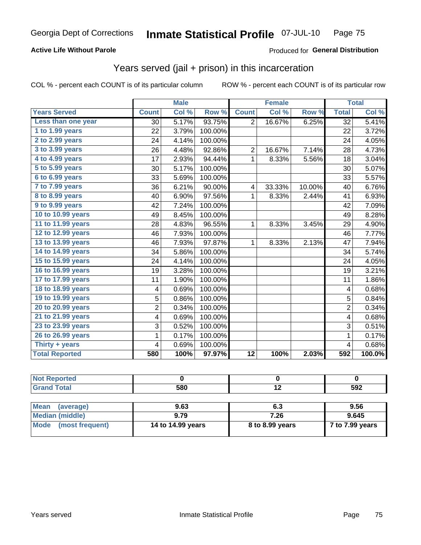### **Active Life Without Parole**

#### **Produced for General Distribution**

# Years served (jail + prison) in this incarceration

COL % - percent each COUNT is of its particular column

|                       |                | <b>Male</b> |         |                 | <b>Female</b> |                  |                 | <b>Total</b> |
|-----------------------|----------------|-------------|---------|-----------------|---------------|------------------|-----------------|--------------|
| <b>Years Served</b>   | <b>Count</b>   | Col %       | Row %   | <b>Count</b>    | Col %         | Row <sub>%</sub> | <b>Total</b>    | Col %        |
| Less than one year    | 30             | 5.17%       | 93.75%  | $\overline{2}$  | 16.67%        | 6.25%            | $\overline{32}$ | 5.41%        |
| 1 to 1.99 years       | 22             | 3.79%       | 100.00% |                 |               |                  | 22              | 3.72%        |
| 2 to 2.99 years       | 24             | 4.14%       | 100.00% |                 |               |                  | 24              | 4.05%        |
| 3 to 3.99 years       | 26             | 4.48%       | 92.86%  | $\overline{2}$  | 16.67%        | 7.14%            | 28              | 4.73%        |
| 4 to 4.99 years       | 17             | 2.93%       | 94.44%  | 1               | 8.33%         | 5.56%            | 18              | 3.04%        |
| $5$ to $5.99$ years   | 30             | 5.17%       | 100.00% |                 |               |                  | 30              | 5.07%        |
| 6 to 6.99 years       | 33             | 5.69%       | 100.00% |                 |               |                  | 33              | 5.57%        |
| 7 to 7.99 years       | 36             | 6.21%       | 90.00%  | 4               | 33.33%        | 10.00%           | 40              | 6.76%        |
| 8 to 8.99 years       | 40             | 6.90%       | 97.56%  | 1               | 8.33%         | 2.44%            | 41              | 6.93%        |
| 9 to 9.99 years       | 42             | 7.24%       | 100.00% |                 |               |                  | 42              | 7.09%        |
| 10 to 10.99 years     | 49             | 8.45%       | 100.00% |                 |               |                  | 49              | 8.28%        |
| 11 to 11.99 years     | 28             | 4.83%       | 96.55%  | 1               | 8.33%         | 3.45%            | 29              | 4.90%        |
| 12 to 12.99 years     | 46             | 7.93%       | 100.00% |                 |               |                  | 46              | 7.77%        |
| 13 to 13.99 years     | 46             | 7.93%       | 97.87%  | 1               | 8.33%         | 2.13%            | 47              | 7.94%        |
| 14 to 14.99 years     | 34             | 5.86%       | 100.00% |                 |               |                  | 34              | 5.74%        |
| 15 to 15.99 years     | 24             | 4.14%       | 100.00% |                 |               |                  | 24              | 4.05%        |
| 16 to 16.99 years     | 19             | 3.28%       | 100.00% |                 |               |                  | 19              | 3.21%        |
| 17 to 17.99 years     | 11             | 1.90%       | 100.00% |                 |               |                  | 11              | 1.86%        |
| 18 to 18.99 years     | 4              | 0.69%       | 100.00% |                 |               |                  | 4               | 0.68%        |
| 19 to 19.99 years     | 5              | 0.86%       | 100.00% |                 |               |                  | 5               | 0.84%        |
| 20 to 20.99 years     | $\overline{c}$ | 0.34%       | 100.00% |                 |               |                  | $\overline{2}$  | 0.34%        |
| 21 to 21.99 years     | 4              | 0.69%       | 100.00% |                 |               |                  | 4               | 0.68%        |
| 23 to 23.99 years     | 3              | 0.52%       | 100.00% |                 |               |                  | 3               | 0.51%        |
| 26 to 26.99 years     | 1              | 0.17%       | 100.00% |                 |               |                  | 1               | 0.17%        |
| Thirty $+$ years      | 4              | 0.69%       | 100.00% |                 |               |                  | 4               | 0.68%        |
| <b>Total Reported</b> | 580            | 100%        | 97.97%  | $\overline{12}$ | 100%          | 2.03%            | 592             | 100.0%       |

| <b>Not Reported</b>            |                   |                 |                 |
|--------------------------------|-------------------|-----------------|-----------------|
| <b>Grand Total</b>             | 580               | 12              | 592             |
|                                |                   |                 |                 |
| <b>Mean</b><br>(average)       | 9.63              | 6.3             | 9.56            |
| <b>Median (middle)</b>         | 9.79              | 7.26            | 9.645           |
| <b>Mode</b><br>(most frequent) | 14 to 14.99 years | 8 to 8.99 years | 7 to 7.99 years |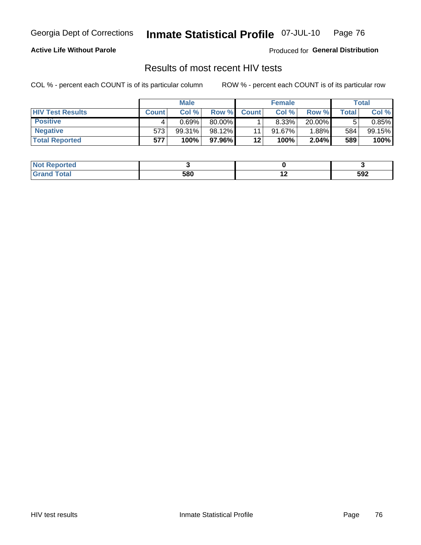Georgia Dept of Corrections

#### Inmate Statistical Profile 07-JUL-10 Page 76

### **Active Life Without Parole**

Produced for General Distribution

# Results of most recent HIV tests

COL % - percent each COUNT is of its particular column

|                         |              | <b>Male</b> |          |              | <b>Female</b> |           |             | Total  |
|-------------------------|--------------|-------------|----------|--------------|---------------|-----------|-------------|--------|
| <b>HIV Test Results</b> | <b>Count</b> | Col%        | Row %I   | <b>Count</b> | Col %         | Row %I    | $\tau$ otal | Col %  |
| <b>Positive</b>         |              | 0.69%       | 80.00%   |              | 8.33%         | $20.00\%$ |             | 0.85%  |
| <b>Negative</b>         | 573          | 99.31%      | 98.12%   | 11           | $91.67\%$     | $1.88\%$  | 584         | 99.15% |
| <b>Total Reported</b>   | 577          | 100%        | 97.96% I | 12           | 100%          | 2.04%     | 589         | 100%   |

| <b>Not Reported</b> |     |     |     |
|---------------------|-----|-----|-----|
| <b>Total</b>        | 580 | . . | 592 |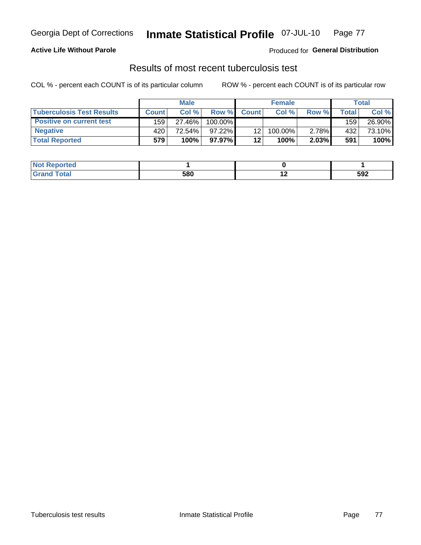#### Inmate Statistical Profile 07-JUL-10 Page 77

### **Active Life Without Parole**

Produced for General Distribution

## Results of most recent tuberculosis test

COL % - percent each COUNT is of its particular column

|                                 |              | <b>Male</b> |           |                 | <b>Female</b> |       |       | Total  |
|---------------------------------|--------------|-------------|-----------|-----------------|---------------|-------|-------|--------|
| Tuberculosis Test Results       | <b>Count</b> | Col%        | Row %     | <b>Count</b>    | Col %         | Row % | Total | Col %  |
| <b>Positive on current test</b> | 159          | 27.46%      | 100.00%   |                 |               |       | 159   | 26.90% |
| <b>Negative</b>                 | 420          | 72.54%      | $97.22\%$ | 12 <sup>2</sup> | 100.00%       | 2.78% | 432   | 73.10% |
| <b>Total Reported</b>           | 579          | 100%        | 97.97%    | 12              | 100%          | 2.03% | 591   | 100%   |

| <b>Not Reported</b> |     |     |     |
|---------------------|-----|-----|-----|
| Total               | 580 | . . | 592 |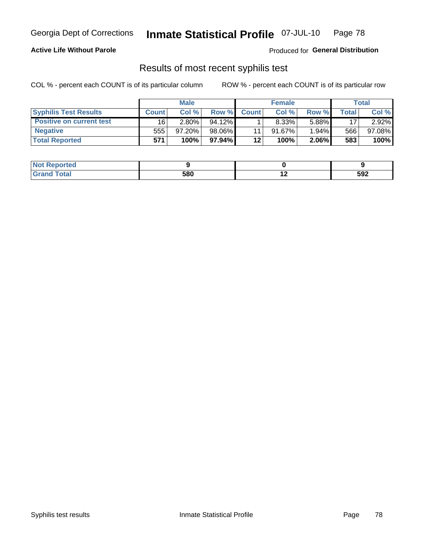#### Inmate Statistical Profile 07-JUL-10 Page 78

### **Active Life Without Parole**

Produced for General Distribution

# Results of most recent syphilis test

COL % - percent each COUNT is of its particular column

|                                 |              | <b>Male</b> |           |              | <b>Female</b> |       |         | Total  |
|---------------------------------|--------------|-------------|-----------|--------------|---------------|-------|---------|--------|
| <b>Syphilis Test Results</b>    | <b>Count</b> | Col%        | Row %     | <b>Count</b> | Col %         | Row % | Total i | Col %  |
| <b>Positive on current test</b> | 16           | 2.80%       | $94.12\%$ |              | $8.33\%$      | 5.88% | 17      | 2.92%  |
| <b>Negative</b>                 | 555          | 97.20%      | 98.06%    |              | $91.67\%$     | 1.94% | 566     | 97.08% |
| <b>Total Reported</b>           | 571          | 100%        | 97.94% I  | 12           | 100%          | 2.06% | 583     | 100%   |

| <b>Not Reported</b> |     |     |     |
|---------------------|-----|-----|-----|
| <b>Total</b>        | 580 | . . | 592 |